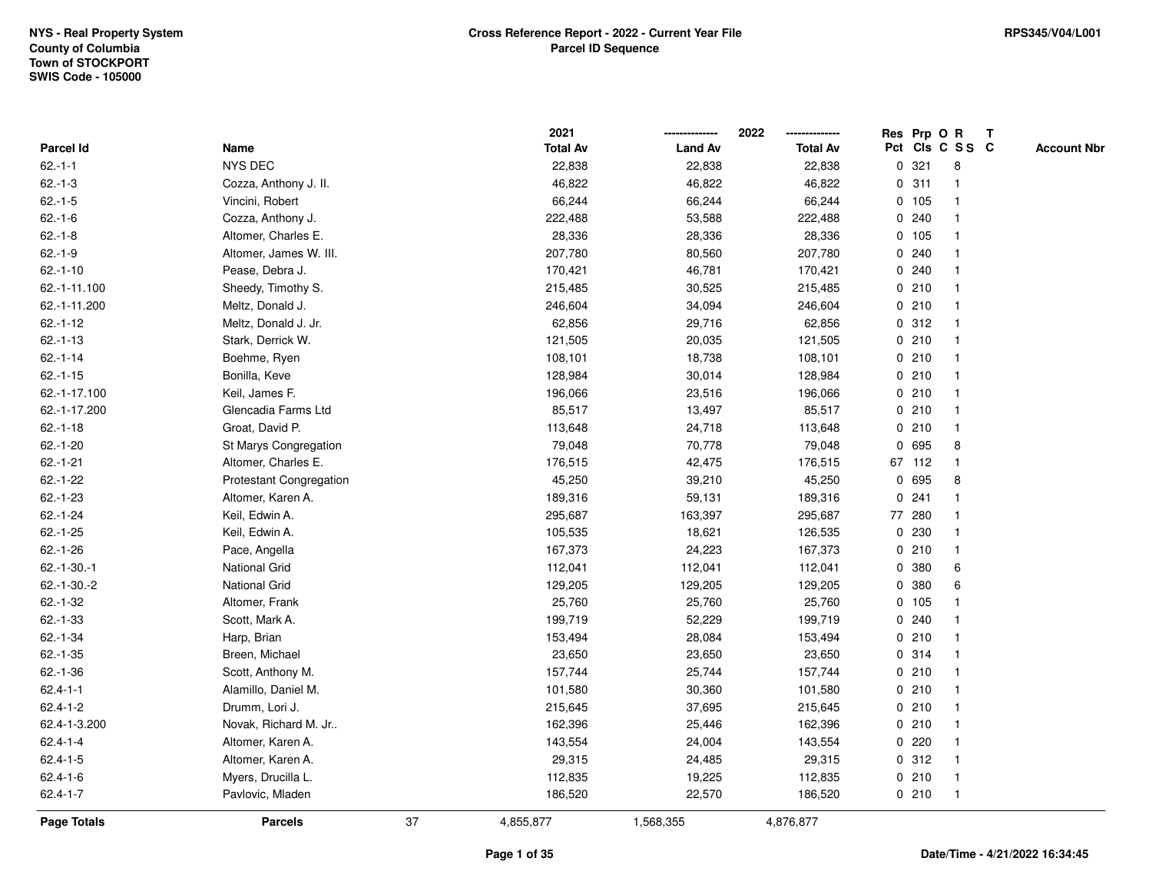|                |                         |    | 2021            |                | 2022            |             |        | Res Prp O R     | $\mathbf{T}$ |                    |
|----------------|-------------------------|----|-----------------|----------------|-----------------|-------------|--------|-----------------|--------------|--------------------|
| Parcel Id      | Name                    |    | <b>Total Av</b> | <b>Land Av</b> | <b>Total Av</b> |             |        | Pct Cls C S S C |              | <b>Account Nbr</b> |
| $62 - 1 - 1$   | <b>NYS DEC</b>          |    | 22,838          | 22,838         | 22,838          | 0           | 321    | 8               |              |                    |
| $62.-1-3$      | Cozza, Anthony J. II.   |    | 46,822          | 46,822         | 46,822          | 0           | 311    |                 |              |                    |
| $62.-1-5$      | Vincini, Robert         |    | 66,244          | 66,244         | 66,244          |             | 0, 105 |                 |              |                    |
| $62.-1-6$      | Cozza, Anthony J.       |    | 222,488         | 53,588         | 222,488         | 0           | 240    | $\mathbf{1}$    |              |                    |
| $62.-1-8$      | Altomer, Charles E.     |    | 28,336          | 28,336         | 28,336          |             | 0, 105 | $\mathbf 1$     |              |                    |
| $62.-1-9$      | Altomer, James W. III.  |    | 207,780         | 80,560         | 207,780         |             | 0.240  | -1              |              |                    |
| $62.-1-10$     | Pease, Debra J.         |    | 170,421         | 46,781         | 170,421         |             | 0.240  |                 |              |                    |
| 62.-1-11.100   | Sheedy, Timothy S.      |    | 215,485         | 30,525         | 215,485         |             | 0210   |                 |              |                    |
| 62.-1-11.200   | Meltz, Donald J.        |    | 246,604         | 34,094         | 246,604         |             | 0210   | -1              |              |                    |
| $62.-1-12$     | Meltz, Donald J. Jr.    |    | 62,856          | 29,716         | 62,856          |             | 0.312  |                 |              |                    |
| $62.-1-13$     | Stark, Derrick W.       |    | 121,505         | 20,035         | 121,505         |             | 0210   | $\mathbf{1}$    |              |                    |
| $62.-1-14$     | Boehme, Ryen            |    | 108,101         | 18,738         | 108,101         |             | 0210   | $\mathbf{1}$    |              |                    |
| $62.-1-15$     | Bonilla, Keve           |    | 128,984         | 30,014         | 128,984         |             | 0210   | -1              |              |                    |
| 62.-1-17.100   | Keil, James F.          |    | 196,066         | 23,516         | 196,066         |             | 0210   |                 |              |                    |
| 62.-1-17.200   | Glencadia Farms Ltd     |    | 85,517          | 13,497         | 85,517          |             | 0210   |                 |              |                    |
| $62.-1-18$     | Groat, David P.         |    | 113,648         | 24,718         | 113,648         |             | 0210   | $\mathbf 1$     |              |                    |
| $62.-1-20$     | St Marys Congregation   |    | 79,048          | 70,778         | 79,048          | 0           | 695    | 8               |              |                    |
| $62.-1-21$     | Altomer, Charles E.     |    | 176,515         | 42,475         | 176,515         |             | 67 112 | $\mathbf 1$     |              |                    |
| $62.-1-22$     | Protestant Congregation |    | 45,250          | 39,210         | 45,250          |             | 0 695  | 8               |              |                    |
| $62.-1-23$     | Altomer, Karen A.       |    | 189,316         | 59,131         | 189,316         |             | 0.241  |                 |              |                    |
| $62 - 1 - 24$  | Keil, Edwin A.          |    | 295,687         | 163,397        | 295,687         |             | 77 280 |                 |              |                    |
| $62.-1-25$     | Keil, Edwin A.          |    | 105,535         | 18,621         | 126,535         |             | 0 230  |                 |              |                    |
| $62.-1-26$     | Pace, Angella           |    | 167,373         | 24,223         | 167,373         |             | 0210   | $\mathbf 1$     |              |                    |
| $62.-1-30.-1$  | <b>National Grid</b>    |    | 112,041         | 112,041        | 112,041         | $\mathbf 0$ | 380    | 6               |              |                    |
| $62.-1-30.-2$  | <b>National Grid</b>    |    | 129,205         | 129,205        | 129,205         | 0           | 380    | 6               |              |                    |
| $62.-1-32$     | Altomer, Frank          |    | 25,760          | 25,760         | 25,760          |             | 0 105  | -1              |              |                    |
| $62.-1-33$     | Scott, Mark A.          |    | 199,719         | 52,229         | 199,719         |             | 0.240  |                 |              |                    |
| $62.-1-34$     | Harp, Brian             |    | 153,494         | 28,084         | 153,494         |             | 0210   |                 |              |                    |
| $62.-1-35$     | Breen, Michael          |    | 23,650          | 23,650         | 23,650          |             | 0.314  |                 |              |                    |
| $62.-1-36$     | Scott, Anthony M.       |    | 157,744         | 25,744         | 157,744         |             | 0210   | -1              |              |                    |
| $62.4 - 1 - 1$ | Alamillo, Daniel M.     |    | 101,580         | 30,360         | 101,580         |             | 0210   | -1              |              |                    |
| $62.4 - 1 - 2$ | Drumm, Lori J.          |    | 215,645         | 37,695         | 215,645         |             | 0210   | $\mathbf 1$     |              |                    |
| 62.4-1-3.200   | Novak, Richard M. Jr    |    | 162,396         | 25,446         | 162,396         |             | 0210   |                 |              |                    |
| $62.4 - 1 - 4$ | Altomer, Karen A.       |    | 143,554         | 24,004         | 143,554         |             | 0220   |                 |              |                    |
| $62.4 - 1 - 5$ | Altomer, Karen A.       |    | 29,315          | 24,485         | 29,315          |             | 0.312  |                 |              |                    |
| $62.4 - 1 - 6$ | Myers, Drucilla L.      |    | 112,835         | 19,225         | 112,835         |             | 0210   | $\mathbf{1}$    |              |                    |
| $62.4 - 1 - 7$ | Pavlovic, Mladen        |    | 186,520         | 22,570         | 186,520         |             | 0210   | -1              |              |                    |
| Page Totals    | <b>Parcels</b>          | 37 | 4,855,877       | 1,568,355      | 4,876,877       |             |        |                 |              |                    |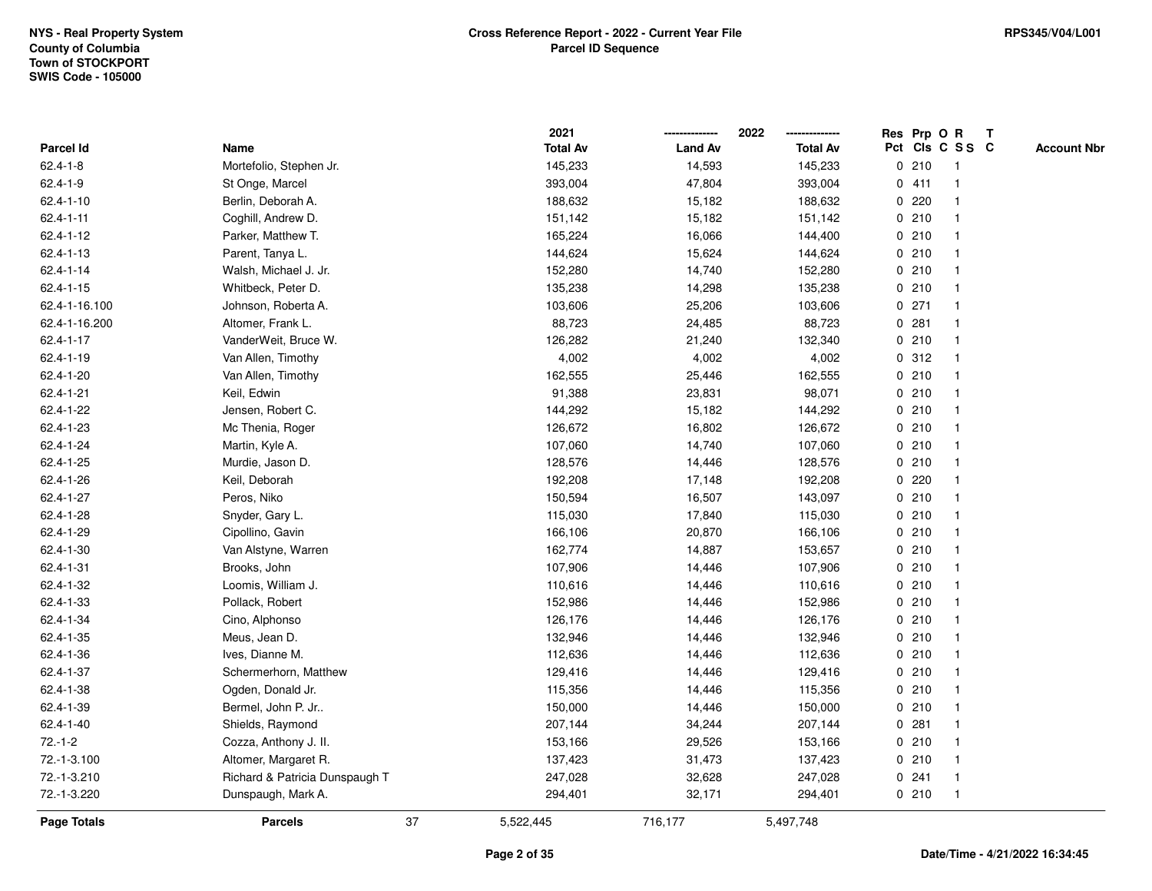|                 |                                |    | 2021            |                | 2022            |   |         | Res Prp O R             | T |                    |
|-----------------|--------------------------------|----|-----------------|----------------|-----------------|---|---------|-------------------------|---|--------------------|
| Parcel Id       | Name                           |    | <b>Total Av</b> | <b>Land Av</b> | <b>Total Av</b> |   |         | Pct Cls C S S C         |   | <b>Account Nbr</b> |
| $62.4 - 1 - 8$  | Mortefolio, Stephen Jr.        |    | 145,233         | 14,593         | 145,233         | 0 | 210     | $\mathbf{1}$            |   |                    |
| $62.4 - 1 - 9$  | St Onge, Marcel                |    | 393,004         | 47,804         | 393,004         |   | 0411    | -1                      |   |                    |
| $62.4 - 1 - 10$ | Berlin, Deborah A.             |    | 188,632         | 15,182         | 188,632         |   | 0.220   | -1                      |   |                    |
| $62.4 - 1 - 11$ | Coghill, Andrew D.             |    | 151,142         | 15,182         | 151,142         |   | 0210    |                         |   |                    |
| 62.4-1-12       | Parker, Matthew T.             |    | 165,224         | 16,066         | 144,400         |   | 0210    |                         |   |                    |
| 62.4-1-13       | Parent, Tanya L.               |    | 144,624         | 15,624         | 144,624         |   | 0210    |                         |   |                    |
| 62.4-1-14       | Walsh, Michael J. Jr.          |    | 152,280         | 14,740         | 152,280         |   | 0210    | -1                      |   |                    |
| $62.4 - 1 - 15$ | Whitbeck, Peter D.             |    | 135,238         | 14,298         | 135,238         | 0 | 210     | $\overline{\mathbf{1}}$ |   |                    |
| 62.4-1-16.100   | Johnson, Roberta A.            |    | 103,606         | 25,206         | 103,606         |   | $0$ 271 | $\mathbf{1}$            |   |                    |
| 62.4-1-16.200   | Altomer, Frank L.              |    | 88,723          | 24,485         | 88,723          |   | 0.281   | $\mathbf{1}$            |   |                    |
| 62.4-1-17       | VanderWeit, Bruce W.           |    | 126,282         | 21,240         | 132,340         |   | 0210    |                         |   |                    |
| 62.4-1-19       | Van Allen, Timothy             |    | 4,002           | 4,002          | 4,002           |   | 0.312   |                         |   |                    |
| 62.4-1-20       | Van Allen, Timothy             |    | 162,555         | 25,446         | 162,555         |   | 0210    |                         |   |                    |
| 62.4-1-21       | Keil, Edwin                    |    | 91,388          | 23,831         | 98,071          |   | 0210    |                         |   |                    |
| 62.4-1-22       | Jensen, Robert C.              |    | 144,292         | 15,182         | 144,292         |   | 0210    |                         |   |                    |
| 62.4-1-23       | Mc Thenia, Roger               |    | 126,672         | 16,802         | 126,672         |   | 0210    | $\mathbf{1}$            |   |                    |
| 62.4-1-24       | Martin, Kyle A.                |    | 107,060         | 14,740         | 107,060         |   | 0210    | $\mathbf{1}$            |   |                    |
| 62.4-1-25       | Murdie, Jason D.               |    | 128,576         | 14,446         | 128,576         |   | 0210    |                         |   |                    |
| 62.4-1-26       | Keil, Deborah                  |    | 192,208         | 17,148         | 192,208         |   | 0.220   |                         |   |                    |
| 62.4-1-27       | Peros, Niko                    |    | 150,594         | 16,507         | 143,097         |   | 0210    |                         |   |                    |
| 62.4-1-28       | Snyder, Gary L.                |    | 115,030         | 17,840         | 115,030         |   | 0210    |                         |   |                    |
| 62.4-1-29       | Cipollino, Gavin               |    | 166,106         | 20,870         | 166,106         |   | 0210    |                         |   |                    |
| 62.4-1-30       | Van Alstyne, Warren            |    | 162,774         | 14,887         | 153,657         |   | 0210    | $\mathbf{1}$            |   |                    |
| 62.4-1-31       | Brooks, John                   |    | 107,906         | 14,446         | 107,906         |   | 0210    | $\overline{\mathbf{1}}$ |   |                    |
| 62.4-1-32       | Loomis, William J.             |    | 110,616         | 14,446         | 110,616         |   | 0210    |                         |   |                    |
| 62.4-1-33       | Pollack, Robert                |    | 152,986         | 14,446         | 152,986         |   | 0210    |                         |   |                    |
| 62.4-1-34       | Cino, Alphonso                 |    | 126,176         | 14,446         | 126,176         |   | 0210    |                         |   |                    |
| 62.4-1-35       | Meus, Jean D.                  |    | 132,946         | 14,446         | 132,946         |   | 0210    |                         |   |                    |
| 62.4-1-36       | Ives, Dianne M.                |    | 112,636         | 14,446         | 112,636         |   | 0210    |                         |   |                    |
| 62.4-1-37       | Schermerhorn, Matthew          |    | 129,416         | 14,446         | 129,416         |   | 0210    | -1                      |   |                    |
| 62.4-1-38       | Ogden, Donald Jr.              |    | 115,356         | 14,446         | 115,356         |   | 0210    | -1                      |   |                    |
| 62.4-1-39       | Bermel, John P. Jr             |    | 150,000         | 14,446         | 150,000         |   | 0210    | $\mathbf 1$             |   |                    |
| 62.4-1-40       | Shields, Raymond               |    | 207,144         | 34,244         | 207,144         |   | 0.281   |                         |   |                    |
| $72.-1-2$       | Cozza, Anthony J. II.          |    | 153,166         | 29,526         | 153,166         |   | 0210    |                         |   |                    |
| 72.-1-3.100     | Altomer, Margaret R.           |    | 137,423         | 31,473         | 137,423         |   | 0210    | $\mathbf{1}$            |   |                    |
| 72.-1-3.210     | Richard & Patricia Dunspaugh T |    | 247,028         | 32,628         | 247,028         |   | 0.241   | $\mathbf{1}$            |   |                    |
| 72.-1-3.220     | Dunspaugh, Mark A.             |    | 294,401         | 32,171         | 294,401         |   | 0210    | $\mathbf{1}$            |   |                    |
| Page Totals     | <b>Parcels</b>                 | 37 | 5,522,445       | 716,177        | 5,497,748       |   |         |                         |   |                    |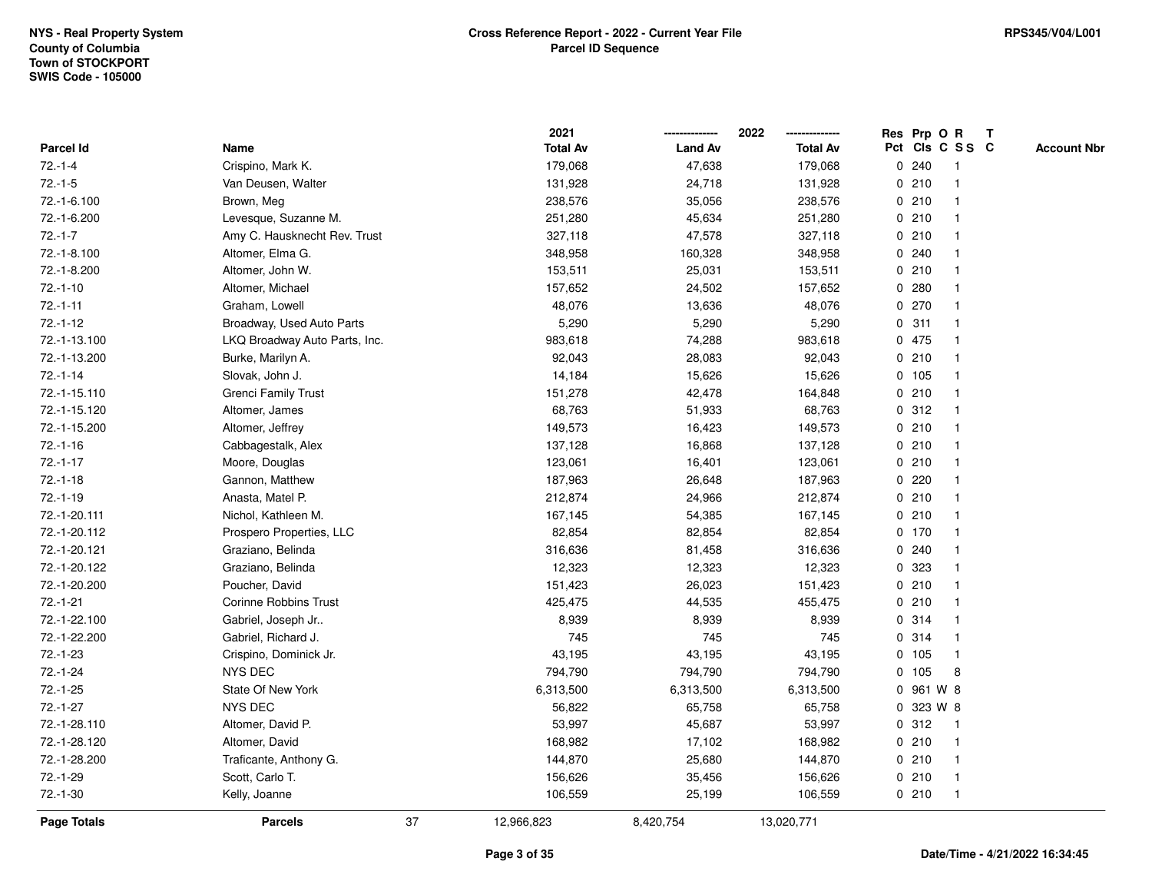|              |                               | 2021            |                | 2022            | Res Prp O R        |              | T |                    |
|--------------|-------------------------------|-----------------|----------------|-----------------|--------------------|--------------|---|--------------------|
| Parcel Id    | Name                          | <b>Total Av</b> | <b>Land Av</b> | <b>Total Av</b> | Pct Cls C S S C    |              |   | <b>Account Nbr</b> |
| $72.-1-4$    | Crispino, Mark K.             | 179,068         | 47,638         | 179,068         | 0.240              |              |   |                    |
| $72.-1-5$    | Van Deusen, Walter            | 131,928         | 24,718         | 131,928         | 0210               |              |   |                    |
| 72.-1-6.100  | Brown, Meg                    | 238,576         | 35,056         | 238,576         | 0210               | -1           |   |                    |
| 72.-1-6.200  | Levesque, Suzanne M.          | 251,280         | 45,634         | 251,280         | 0210               | $\mathbf{1}$ |   |                    |
| $72.-1-7$    | Amy C. Hausknecht Rev. Trust  | 327,118         | 47,578         | 327,118         | 0210               | $\mathbf 1$  |   |                    |
| 72.-1-8.100  | Altomer, Elma G.              | 348,958         | 160,328        | 348,958         | 0.240              | -1           |   |                    |
| 72.-1-8.200  | Altomer, John W.              | 153,511         | 25,031         | 153,511         | 0210               |              |   |                    |
| $72.-1-10$   | Altomer, Michael              | 157,652         | 24,502         | 157,652         | 0.280              |              |   |                    |
| $72.-1-11$   | Graham, Lowell                | 48,076          | 13,636         | 48,076          | 0270               |              |   |                    |
| $72.-1-12$   | Broadway, Used Auto Parts     | 5,290           | 5,290          | 5,290           | 311<br>0           |              |   |                    |
| 72.-1-13.100 | LKQ Broadway Auto Parts, Inc. | 983,618         | 74,288         | 983,618         | 0 475              | $\mathbf{1}$ |   |                    |
| 72.-1-13.200 | Burke, Marilyn A.             | 92,043          | 28,083         | 92,043          | 0210               | $\mathbf 1$  |   |                    |
| $72.-1-14$   | Slovak, John J.               | 14,184          | 15,626         | 15,626          | 0 105              |              |   |                    |
| 72.-1-15.110 | <b>Grenci Family Trust</b>    | 151,278         | 42,478         | 164,848         | 0210               |              |   |                    |
| 72.-1-15.120 | Altomer, James                | 68,763          | 51,933         | 68,763          | 0.312              |              |   |                    |
| 72.-1-15.200 | Altomer, Jeffrey              | 149,573         | 16,423         | 149,573         | 0210               | -1           |   |                    |
| $72.-1-16$   | Cabbagestalk, Alex            | 137,128         | 16,868         | 137,128         | 0210               | $\mathbf{1}$ |   |                    |
| $72.-1-17$   | Moore, Douglas                | 123,061         | 16,401         | 123,061         | 0210               | $\mathbf 1$  |   |                    |
| $72.-1-18$   | Gannon, Matthew               | 187,963         | 26,648         | 187,963         | 0220               |              |   |                    |
| $72.-1-19$   | Anasta, Matel P.              | 212,874         | 24,966         | 212,874         | 0210               |              |   |                    |
| 72.-1-20.111 | Nichol, Kathleen M.           | 167,145         | 54,385         | 167,145         | 0210               |              |   |                    |
| 72.-1-20.112 | Prospero Properties, LLC      | 82,854          | 82,854         | 82,854          | $0$ 170            | $\mathbf 1$  |   |                    |
| 72.-1-20.121 | Graziano, Belinda             | 316,636         | 81,458         | 316,636         | 0.240              |              |   |                    |
| 72.-1-20.122 | Graziano, Belinda             | 12,323          | 12,323         | 12,323          | 323<br>$\mathbf 0$ | $\mathbf{1}$ |   |                    |
| 72.-1-20.200 | Poucher, David                | 151,423         | 26,023         | 151,423         | 0210               | $\mathbf 1$  |   |                    |
| $72.-1-21$   | <b>Corinne Robbins Trust</b>  | 425,475         | 44,535         | 455,475         | 0210               |              |   |                    |
| 72.-1-22.100 | Gabriel, Joseph Jr            | 8,939           | 8,939          | 8,939           | 0.314              |              |   |                    |
| 72.-1-22.200 | Gabriel, Richard J.           | 745             | 745            | 745             | 0.314              |              |   |                    |
| 72.-1-23     | Crispino, Dominick Jr.        | 43,195          | 43,195         | 43,195          | 0 105              | $\mathbf 1$  |   |                    |
| $72.-1-24$   | <b>NYS DEC</b>                | 794,790         | 794,790        | 794,790         | 0<br>105           | 8            |   |                    |
| $72.-1-25$   | State Of New York             | 6,313,500       | 6,313,500      | 6,313,500       | 0                  | 961 W 8      |   |                    |
| $72.-1-27$   | <b>NYS DEC</b>                | 56,822          | 65,758         | 65,758          | 0 323 W 8          |              |   |                    |
| 72.-1-28.110 | Altomer, David P.             | 53,997          | 45,687         | 53,997          | 0.312              | -1           |   |                    |
| 72.-1-28.120 | Altomer, David                | 168,982         | 17,102         | 168,982         | 0210               |              |   |                    |
| 72.-1-28.200 | Traficante, Anthony G.        | 144,870         | 25,680         | 144,870         | 0210               | $\mathbf 1$  |   |                    |
| $72.-1-29$   | Scott, Carlo T.               | 156,626         | 35,456         | 156,626         | 0210               | $\mathbf{1}$ |   |                    |
| $72.-1-30$   | Kelly, Joanne                 | 106,559         | 25,199         | 106,559         | 0210               | $\mathbf{1}$ |   |                    |
| Page Totals  | 37<br><b>Parcels</b>          | 12,966,823      | 8,420,754      | 13,020,771      |                    |              |   |                    |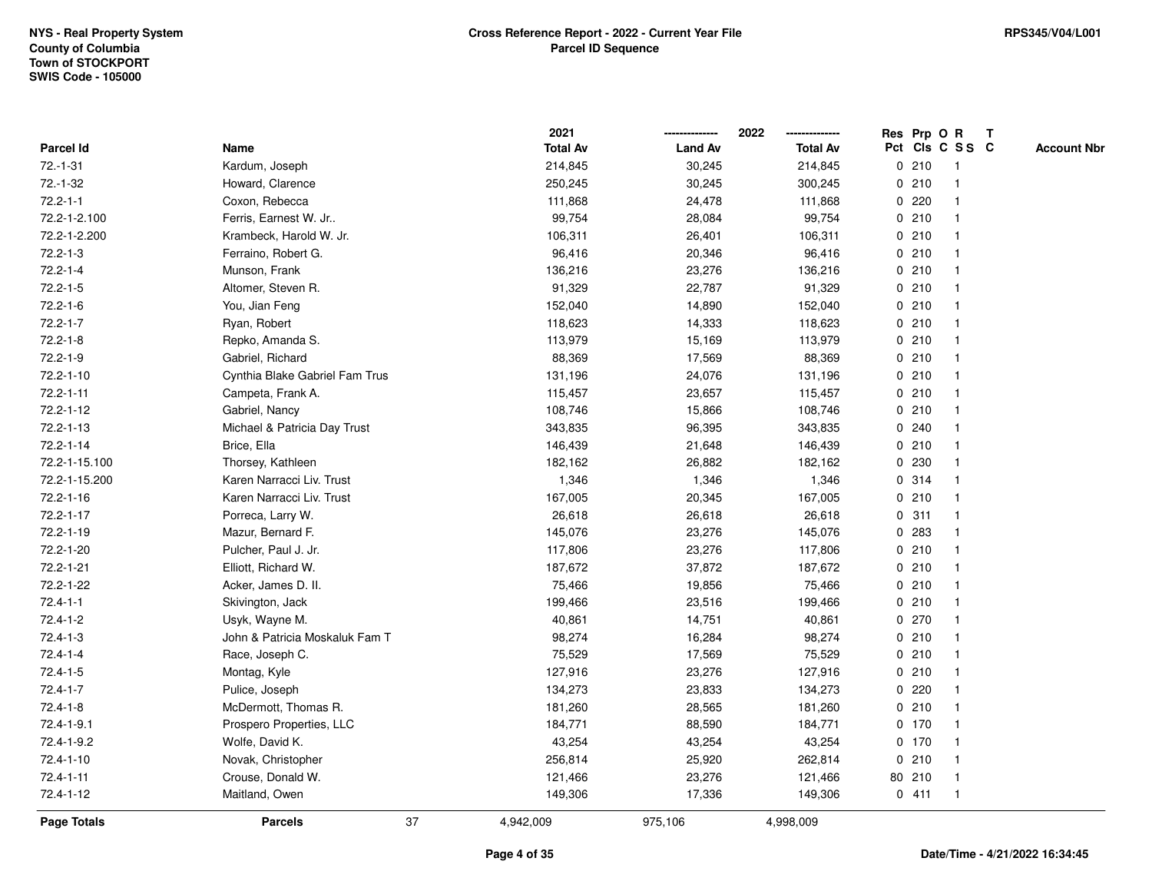|                 |                                |    | 2021            |                | 2022            |             |         | Res Prp O R     | $\mathbf{T}$ |                    |
|-----------------|--------------------------------|----|-----------------|----------------|-----------------|-------------|---------|-----------------|--------------|--------------------|
| Parcel Id       | Name                           |    | <b>Total Av</b> | <b>Land Av</b> | <b>Total Av</b> |             |         | Pct Cls C S S C |              | <b>Account Nbr</b> |
| $72.-1-31$      | Kardum, Joseph                 |    | 214,845         | 30,245         | 214,845         |             | 0210    |                 |              |                    |
| $72.-1-32$      | Howard, Clarence               |    | 250,245         | 30,245         | 300,245         |             | 0210    |                 |              |                    |
| $72.2 - 1 - 1$  | Coxon, Rebecca                 |    | 111,868         | 24,478         | 111,868         |             | 0220    |                 |              |                    |
| 72.2-1-2.100    | Ferris, Earnest W. Jr          |    | 99,754          | 28,084         | 99,754          | $\mathbf 0$ | 210     | -1              |              |                    |
| 72.2-1-2.200    | Krambeck, Harold W. Jr.        |    | 106,311         | 26,401         | 106,311         |             | 0210    | -1              |              |                    |
| $72.2 - 1 - 3$  | Ferraino, Robert G.            |    | 96,416          | 20,346         | 96,416          |             | 0210    |                 |              |                    |
| $72.2 - 1 - 4$  | Munson, Frank                  |    | 136,216         | 23,276         | 136,216         |             | 0210    |                 |              |                    |
| $72.2 - 1 - 5$  | Altomer, Steven R.             |    | 91,329          | 22,787         | 91,329          |             | 0210    |                 |              |                    |
| $72.2 - 1 - 6$  | You, Jian Feng                 |    | 152,040         | 14,890         | 152,040         |             | 0210    |                 |              |                    |
| $72.2 - 1 - 7$  | Ryan, Robert                   |    | 118,623         | 14,333         | 118,623         |             | 0210    |                 |              |                    |
| $72.2 - 1 - 8$  | Repko, Amanda S.               |    | 113,979         | 15,169         | 113,979         |             | 0210    | $\mathbf 1$     |              |                    |
| $72.2 - 1 - 9$  | Gabriel, Richard               |    | 88,369          | 17,569         | 88,369          |             | 0210    | $\mathbf 1$     |              |                    |
| 72.2-1-10       | Cynthia Blake Gabriel Fam Trus |    | 131,196         | 24,076         | 131,196         |             | 0210    |                 |              |                    |
| $72.2 - 1 - 11$ | Campeta, Frank A.              |    | 115,457         | 23,657         | 115,457         |             | 0210    |                 |              |                    |
| 72.2-1-12       | Gabriel, Nancy                 |    | 108,746         | 15,866         | 108,746         |             | 0210    |                 |              |                    |
| 72.2-1-13       | Michael & Patricia Day Trust   |    | 343,835         | 96,395         | 343,835         |             | 0.240   |                 |              |                    |
| 72.2-1-14       | Brice, Ella                    |    | 146,439         | 21,648         | 146,439         |             | 0210    |                 |              |                    |
| 72.2-1-15.100   | Thorsey, Kathleen              |    | 182,162         | 26,882         | 182,162         | 0           | 230     |                 |              |                    |
| 72.2-1-15.200   | Karen Narracci Liv. Trust      |    | 1,346           | 1,346          | 1,346           |             | 0.314   | -1              |              |                    |
| $72.2 - 1 - 16$ | Karen Narracci Liv. Trust      |    | 167,005         | 20,345         | 167,005         |             | 0210    |                 |              |                    |
| 72.2-1-17       | Porreca, Larry W.              |    | 26,618          | 26,618         | 26,618          |             | 0.311   |                 |              |                    |
| 72.2-1-19       | Mazur, Bernard F.              |    | 145,076         | 23,276         | 145,076         |             | 0 283   |                 |              |                    |
| 72.2-1-20       | Pulcher, Paul J. Jr.           |    | 117,806         | 23,276         | 117,806         |             | 0210    |                 |              |                    |
| 72.2-1-21       | Elliott, Richard W.            |    | 187,672         | 37,872         | 187,672         |             | 0210    | $\mathbf{1}$    |              |                    |
| 72.2-1-22       | Acker, James D. II.            |    | 75,466          | 19,856         | 75,466          |             | 0210    |                 |              |                    |
| $72.4 - 1 - 1$  | Skivington, Jack               |    | 199,466         | 23,516         | 199,466         |             | 0210    | $\mathbf 1$     |              |                    |
| $72.4 - 1 - 2$  | Usyk, Wayne M.                 |    | 40,861          | 14,751         | 40,861          |             | 0 270   |                 |              |                    |
| $72.4 - 1 - 3$  | John & Patricia Moskaluk Fam T |    | 98,274          | 16,284         | 98,274          |             | 0210    |                 |              |                    |
| $72.4 - 1 - 4$  | Race, Joseph C.                |    | 75,529          | 17,569         | 75,529          |             | 0210    |                 |              |                    |
| $72.4 - 1 - 5$  | Montag, Kyle                   |    | 127,916         | 23,276         | 127,916         |             | 0210    |                 |              |                    |
| $72.4 - 1 - 7$  | Pulice, Joseph                 |    | 134,273         | 23,833         | 134,273         |             | 0220    |                 |              |                    |
| $72.4 - 1 - 8$  | McDermott, Thomas R.           |    | 181,260         | 28,565         | 181,260         |             | 0210    | $\mathbf 1$     |              |                    |
| 72.4-1-9.1      | Prospero Properties, LLC       |    | 184,771         | 88,590         | 184,771         |             | 0, 170  |                 |              |                    |
| 72.4-1-9.2      | Wolfe, David K.                |    | 43,254          | 43,254         | 43,254          |             | $0$ 170 |                 |              |                    |
| 72.4-1-10       | Novak, Christopher             |    | 256,814         | 25,920         | 262,814         |             | 0210    |                 |              |                    |
| $72.4 - 1 - 11$ | Crouse, Donald W.              |    | 121,466         | 23,276         | 121,466         |             | 80 210  | $\mathbf 1$     |              |                    |
| 72.4-1-12       | Maitland, Owen                 |    | 149,306         | 17,336         | 149,306         |             | 0411    | -1              |              |                    |
| Page Totals     | <b>Parcels</b>                 | 37 | 4,942,009       | 975,106        | 4,998,009       |             |         |                 |              |                    |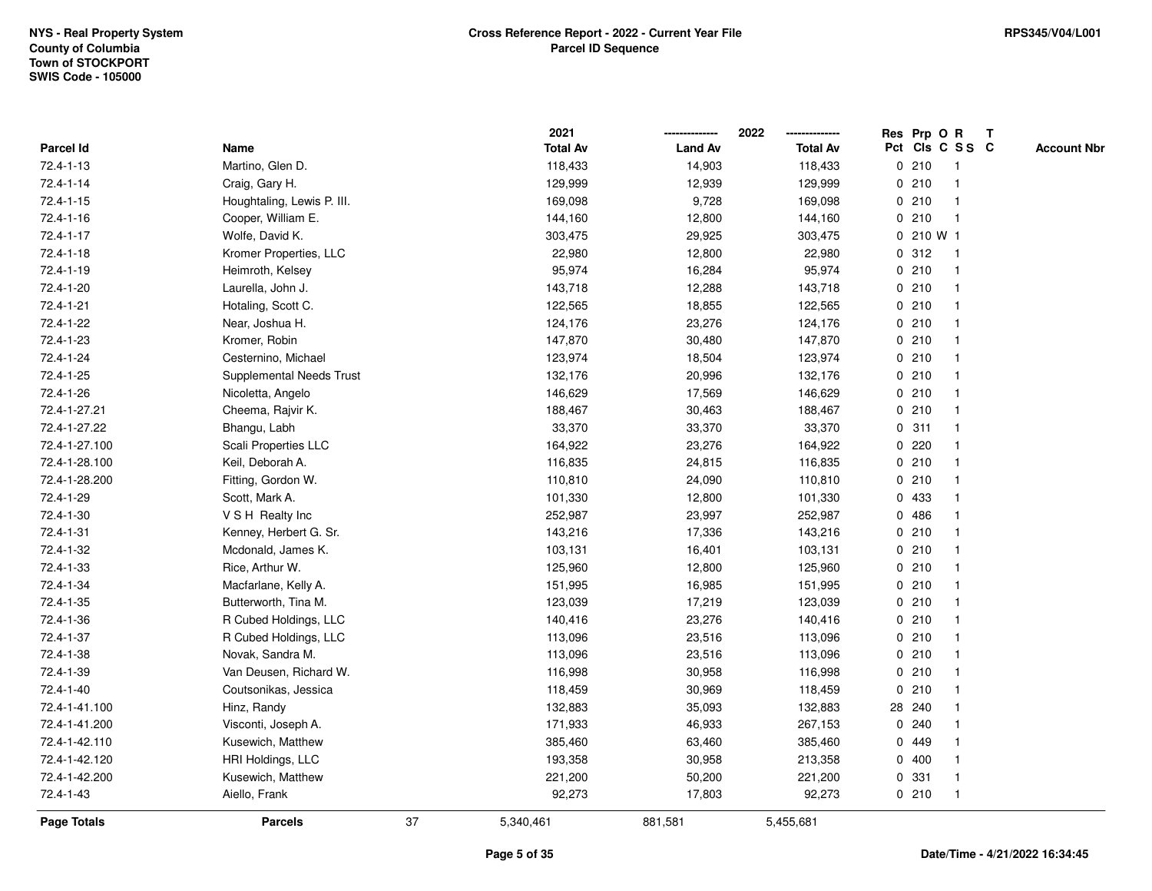|                 |                            |    | 2021            |                | 2022            | Res Prp O R     |                         | T |                    |
|-----------------|----------------------------|----|-----------------|----------------|-----------------|-----------------|-------------------------|---|--------------------|
| Parcel Id       | Name                       |    | <b>Total Av</b> | <b>Land Av</b> | <b>Total Av</b> | Pct Cls C S S C |                         |   | <b>Account Nbr</b> |
| 72.4-1-13       | Martino, Glen D.           |    | 118,433         | 14,903         | 118,433         | 0210            | $\overline{\mathbf{1}}$ |   |                    |
| 72.4-1-14       | Craig, Gary H.             |    | 129,999         | 12,939         | 129,999         | 0210            | $\mathbf{1}$            |   |                    |
| $72.4 - 1 - 15$ | Houghtaling, Lewis P. III. |    | 169,098         | 9,728          | 169,098         | 0210            | -1                      |   |                    |
| $72.4 - 1 - 16$ | Cooper, William E.         |    | 144,160         | 12,800         | 144,160         | 0210            | -1                      |   |                    |
| 72.4-1-17       | Wolfe, David K.            |    | 303,475         | 29,925         | 303,475         | 0 210 W 1       |                         |   |                    |
| 72.4-1-18       | Kromer Properties, LLC     |    | 22,980          | 12,800         | 22,980          | 0.312           |                         |   |                    |
| 72.4-1-19       | Heimroth, Kelsey           |    | 95,974          | 16,284         | 95,974          | 0210            |                         |   |                    |
| 72.4-1-20       | Laurella, John J.          |    | 143,718         | 12,288         | 143,718         | 0210            | -1                      |   |                    |
| 72.4-1-21       | Hotaling, Scott C.         |    | 122,565         | 18,855         | 122,565         | 0210            | $\overline{\mathbf{1}}$ |   |                    |
| 72.4-1-22       | Near, Joshua H.            |    | 124,176         | 23,276         | 124,176         | 0210            | $\mathbf{1}$            |   |                    |
| 72.4-1-23       | Kromer, Robin              |    | 147,870         | 30,480         | 147,870         | 0210            |                         |   |                    |
| 72.4-1-24       | Cesternino, Michael        |    | 123,974         | 18,504         | 123,974         | 0210            |                         |   |                    |
| 72.4-1-25       | Supplemental Needs Trust   |    | 132,176         | 20,996         | 132,176         | 0210            |                         |   |                    |
| 72.4-1-26       | Nicoletta, Angelo          |    | 146,629         | 17,569         | 146,629         | 0210            |                         |   |                    |
| 72.4-1-27.21    | Cheema, Rajvir K.          |    | 188,467         | 30,463         | 188,467         | 0210            | $\overline{\mathbf{1}}$ |   |                    |
| 72.4-1-27.22    | Bhangu, Labh               |    | 33,370          | 33,370         | 33,370          | 0.311           | $\overline{\mathbf{1}}$ |   |                    |
| 72.4-1-27.100   | Scali Properties LLC       |    | 164,922         | 23,276         | 164,922         | $0$ 220         | -1                      |   |                    |
| 72.4-1-28.100   | Keil, Deborah A.           |    | 116,835         | 24,815         | 116,835         | 0210            |                         |   |                    |
| 72.4-1-28.200   | Fitting, Gordon W.         |    | 110,810         | 24,090         | 110,810         | 0210            |                         |   |                    |
| 72.4-1-29       | Scott, Mark A.             |    | 101,330         | 12,800         | 101,330         | 0 433           |                         |   |                    |
| 72.4-1-30       | V S H Realty Inc           |    | 252,987         | 23,997         | 252,987         | 0486            |                         |   |                    |
| 72.4-1-31       | Kenney, Herbert G. Sr.     |    | 143,216         | 17,336         | 143,216         | 0210            |                         |   |                    |
| 72.4-1-32       | Mcdonald, James K.         |    | 103,131         | 16,401         | 103,131         | 0210            | $\overline{1}$          |   |                    |
| 72.4-1-33       | Rice, Arthur W.            |    | 125,960         | 12,800         | 125,960         | 0210            | -1                      |   |                    |
| 72.4-1-34       | Macfarlane, Kelly A.       |    | 151,995         | 16,985         | 151,995         | 0210            |                         |   |                    |
| 72.4-1-35       | Butterworth, Tina M.       |    | 123,039         | 17,219         | 123,039         | 0210            |                         |   |                    |
| 72.4-1-36       | R Cubed Holdings, LLC      |    | 140,416         | 23,276         | 140,416         | 0210            |                         |   |                    |
| 72.4-1-37       | R Cubed Holdings, LLC      |    | 113,096         | 23,516         | 113,096         | 0210            |                         |   |                    |
| 72.4-1-38       | Novak, Sandra M.           |    | 113,096         | 23,516         | 113,096         | 0210            | -1                      |   |                    |
| 72.4-1-39       | Van Deusen, Richard W.     |    | 116,998         | 30,958         | 116,998         | 0210            | $\overline{\mathbf{1}}$ |   |                    |
| 72.4-1-40       | Coutsonikas, Jessica       |    | 118,459         | 30,969         | 118,459         | 0210            | $\overline{1}$          |   |                    |
| 72.4-1-41.100   | Hinz, Randy                |    | 132,883         | 35,093         | 132,883         | 28 240          |                         |   |                    |
| 72.4-1-41.200   | Visconti, Joseph A.        |    | 171,933         | 46,933         | 267,153         | 0.240           |                         |   |                    |
| 72.4-1-42.110   | Kusewich, Matthew          |    | 385,460         | 63,460         | 385,460         | 0 449           |                         |   |                    |
| 72.4-1-42.120   | HRI Holdings, LLC          |    | 193,358         | 30,958         | 213,358         | 0400            | -1                      |   |                    |
| 72.4-1-42.200   | Kusewich, Matthew          |    | 221,200         | 50,200         | 221,200         | 0 331           | -1                      |   |                    |
| 72.4-1-43       | Aiello, Frank              |    | 92,273          | 17,803         | 92,273          | 0210            | $\overline{1}$          |   |                    |
| Page Totals     | <b>Parcels</b>             | 37 | 5,340,461       | 881,581        | 5,455,681       |                 |                         |   |                    |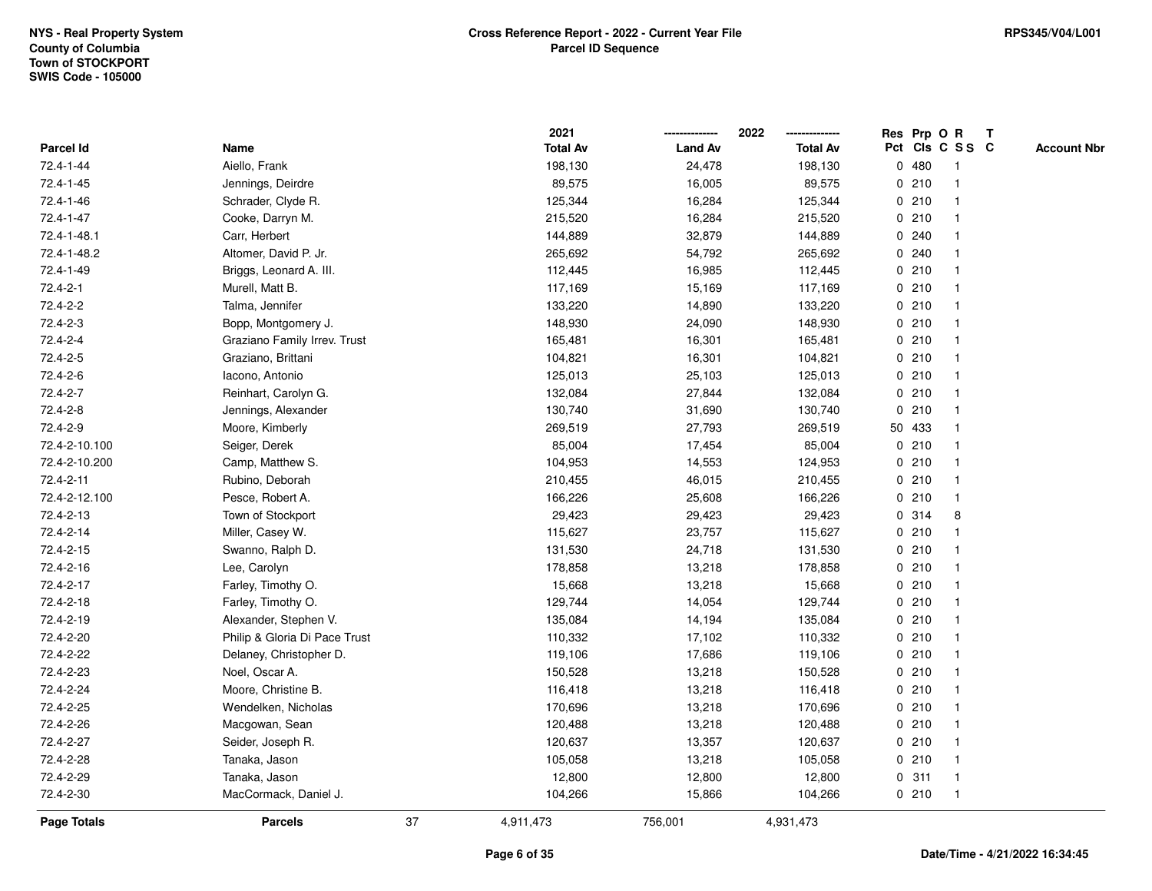|                |                               |    | 2021            |                | 2022            |             |        | Res Prp O R     | T                  |
|----------------|-------------------------------|----|-----------------|----------------|-----------------|-------------|--------|-----------------|--------------------|
| Parcel Id      | Name                          |    | <b>Total Av</b> | <b>Land Av</b> | <b>Total Av</b> |             |        | Pct Cls C S S C | <b>Account Nbr</b> |
| 72.4-1-44      | Aiello, Frank                 |    | 198,130         | 24,478         | 198,130         |             | 0480   | -1              |                    |
| 72.4-1-45      | Jennings, Deirdre             |    | 89,575          | 16,005         | 89,575          | 0           | 210    | -1              |                    |
| 72.4-1-46      | Schrader, Clyde R.            |    | 125,344         | 16,284         | 125,344         |             | 0210   | -1              |                    |
| 72.4-1-47      | Cooke, Darryn M.              |    | 215,520         | 16,284         | 215,520         |             | 0210   |                 |                    |
| 72.4-1-48.1    | Carr, Herbert                 |    | 144,889         | 32,879         | 144,889         |             | 0.240  |                 |                    |
| 72.4-1-48.2    | Altomer, David P. Jr.         |    | 265,692         | 54,792         | 265,692         |             | 0.240  |                 |                    |
| 72.4-1-49      | Briggs, Leonard A. III.       |    | 112,445         | 16,985         | 112,445         |             | 0210   |                 |                    |
| $72.4 - 2 - 1$ | Murell, Matt B.               |    | 117,169         | 15,169         | 117,169         | 0           | 210    |                 |                    |
| 72.4-2-2       | Talma, Jennifer               |    | 133,220         | 14,890         | 133,220         |             | 0210   | -1              |                    |
| 72.4-2-3       | Bopp, Montgomery J.           |    | 148,930         | 24,090         | 148,930         |             | 0210   | -1              |                    |
| 72.4-2-4       | Graziano Family Irrev. Trust  |    | 165,481         | 16,301         | 165,481         |             | 0210   |                 |                    |
| 72.4-2-5       | Graziano, Brittani            |    | 104,821         | 16,301         | 104,821         |             | 0210   |                 |                    |
| 72.4-2-6       | Iacono, Antonio               |    | 125,013         | 25,103         | 125,013         |             | 0210   |                 |                    |
| 72.4-2-7       | Reinhart, Carolyn G.          |    | 132,084         | 27,844         | 132,084         |             | 0210   |                 |                    |
| 72.4-2-8       | Jennings, Alexander           |    | 130,740         | 31,690         | 130,740         | $\mathbf 0$ | 210    |                 |                    |
| 72.4-2-9       | Moore, Kimberly               |    | 269,519         | 27,793         | 269,519         |             | 50 433 |                 |                    |
| 72.4-2-10.100  | Seiger, Derek                 |    | 85,004          | 17,454         | 85,004          |             | 0210   |                 |                    |
| 72.4-2-10.200  | Camp, Matthew S.              |    | 104,953         | 14,553         | 124,953         |             | 0210   |                 |                    |
| 72.4-2-11      | Rubino, Deborah               |    | 210,455         | 46,015         | 210,455         |             | 0210   |                 |                    |
| 72.4-2-12.100  | Pesce, Robert A.              |    | 166,226         | 25,608         | 166,226         |             | 0210   |                 |                    |
| 72.4-2-13      | Town of Stockport             |    | 29,423          | 29,423         | 29,423          |             | 0 314  | 8               |                    |
| 72.4-2-14      | Miller, Casey W.              |    | 115,627         | 23,757         | 115,627         |             | 0210   |                 |                    |
| 72.4-2-15      | Swanno, Ralph D.              |    | 131,530         | 24,718         | 131,530         |             | 0210   | -1              |                    |
| 72.4-2-16      | Lee, Carolyn                  |    | 178,858         | 13,218         | 178,858         |             | 0210   |                 |                    |
| 72.4-2-17      | Farley, Timothy O.            |    | 15,668          | 13,218         | 15,668          |             | 0210   |                 |                    |
| 72.4-2-18      | Farley, Timothy O.            |    | 129,744         | 14,054         | 129,744         |             | 0210   |                 |                    |
| 72.4-2-19      | Alexander, Stephen V.         |    | 135,084         | 14,194         | 135,084         |             | 0210   |                 |                    |
| 72.4-2-20      | Philip & Gloria Di Pace Trust |    | 110,332         | 17,102         | 110,332         |             | 0210   |                 |                    |
| 72.4-2-22      | Delaney, Christopher D.       |    | 119,106         | 17,686         | 119,106         |             | 0210   |                 |                    |
| 72.4-2-23      | Noel, Oscar A.                |    | 150,528         | 13,218         | 150,528         |             | 0210   |                 |                    |
| 72.4-2-24      | Moore, Christine B.           |    | 116,418         | 13,218         | 116,418         |             | 0210   |                 |                    |
| 72.4-2-25      | Wendelken, Nicholas           |    | 170,696         | 13,218         | 170,696         |             | 0210   | $\mathbf 1$     |                    |
| 72.4-2-26      | Macgowan, Sean                |    | 120,488         | 13,218         | 120,488         |             | 0210   |                 |                    |
| 72.4-2-27      | Seider, Joseph R.             |    | 120,637         | 13,357         | 120,637         |             | 0210   |                 |                    |
| 72.4-2-28      | Tanaka, Jason                 |    | 105,058         | 13,218         | 105,058         |             | 0210   |                 |                    |
| 72.4-2-29      | Tanaka, Jason                 |    | 12,800          | 12,800         | 12,800          |             | 0.311  | -1              |                    |
| 72.4-2-30      | MacCormack, Daniel J.         |    | 104,266         | 15,866         | 104,266         |             | 0210   | $\mathbf{1}$    |                    |
| Page Totals    | <b>Parcels</b>                | 37 | 4,911,473       | 756,001        | 4,931,473       |             |        |                 |                    |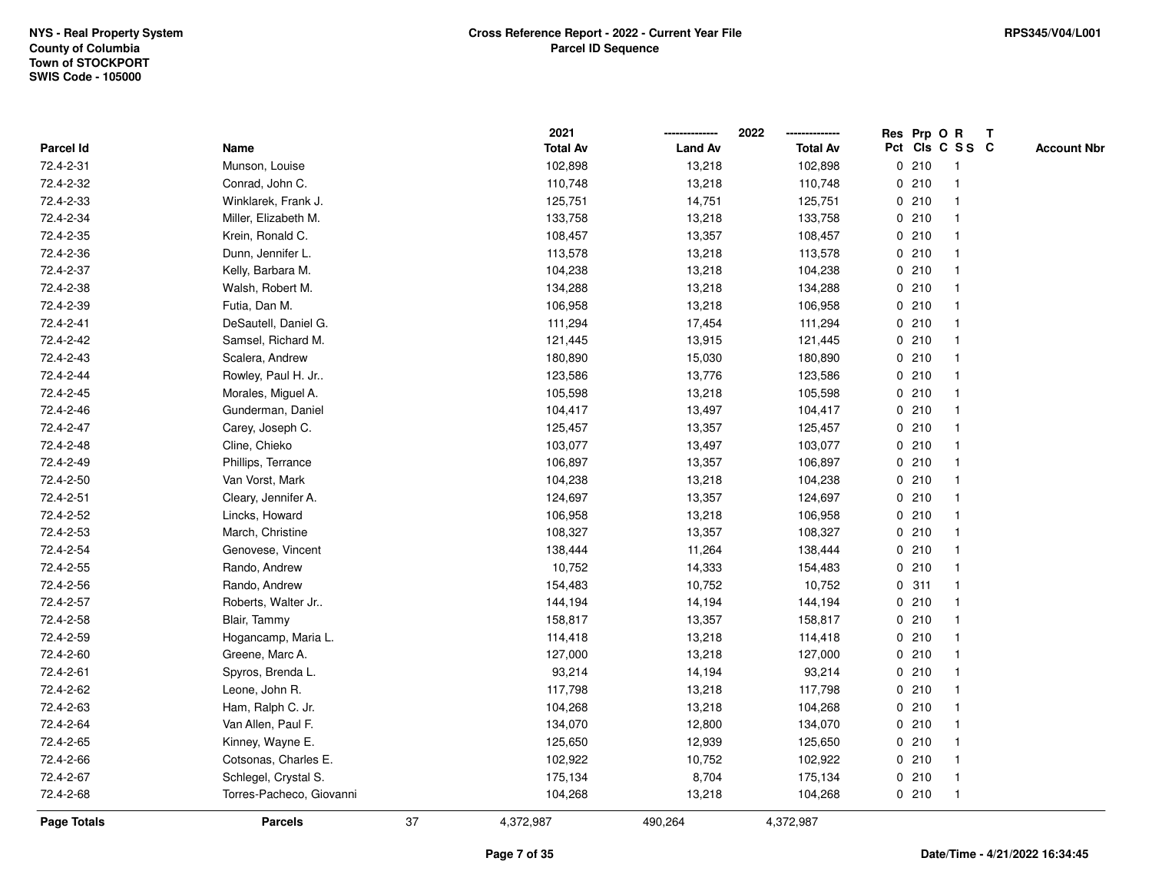|                    |                          |    | 2021            |                | 2022            | Res Prp O R |                         | T |                    |
|--------------------|--------------------------|----|-----------------|----------------|-----------------|-------------|-------------------------|---|--------------------|
| Parcel Id          | Name                     |    | <b>Total Av</b> | <b>Land Av</b> | <b>Total Av</b> |             | Pct Cls C S S C         |   | <b>Account Nbr</b> |
| 72.4-2-31          | Munson, Louise           |    | 102,898         | 13,218         | 102,898         | 0210        | $\overline{\mathbf{1}}$ |   |                    |
| 72.4-2-32          | Conrad, John C.          |    | 110,748         | 13,218         | 110,748         | 0210        | $\overline{\mathbf{1}}$ |   |                    |
| 72.4-2-33          | Winklarek, Frank J.      |    | 125,751         | 14,751         | 125,751         | 0210        | 1                       |   |                    |
| 72.4-2-34          | Miller, Elizabeth M.     |    | 133,758         | 13,218         | 133,758         | 0210        |                         |   |                    |
| 72.4-2-35          | Krein, Ronald C.         |    | 108,457         | 13,357         | 108,457         | 0210        |                         |   |                    |
| 72.4-2-36          | Dunn, Jennifer L.        |    | 113,578         | 13,218         | 113,578         | 0210        |                         |   |                    |
| 72.4-2-37          | Kelly, Barbara M.        |    | 104,238         | 13,218         | 104,238         | 0210        | -1                      |   |                    |
| 72.4-2-38          | Walsh, Robert M.         |    | 134,288         | 13,218         | 134,288         | 0210        | $\overline{\mathbf{1}}$ |   |                    |
| 72.4-2-39          | Futia, Dan M.            |    | 106,958         | 13,218         | 106,958         | 0210        | $\overline{\mathbf{1}}$ |   |                    |
| 72.4-2-41          | DeSautell, Daniel G.     |    | 111,294         | 17,454         | 111,294         | 0210        | -1                      |   |                    |
| 72.4-2-42          | Samsel, Richard M.       |    | 121,445         | 13,915         | 121,445         | 0210        |                         |   |                    |
| 72.4-2-43          | Scalera, Andrew          |    | 180,890         | 15,030         | 180,890         | 0210        |                         |   |                    |
| 72.4-2-44          | Rowley, Paul H. Jr       |    | 123,586         | 13,776         | 123,586         | 0210        |                         |   |                    |
| 72.4-2-45          | Morales, Miguel A.       |    | 105,598         | 13,218         | 105,598         | 0210        | -1                      |   |                    |
| 72.4-2-46          | Gunderman, Daniel        |    | 104,417         | 13,497         | 104,417         | 0210        | $\overline{\mathbf{1}}$ |   |                    |
| 72.4-2-47          | Carey, Joseph C.         |    | 125,457         | 13,357         | 125,457         | 0210        | -1                      |   |                    |
| 72.4-2-48          | Cline, Chieko            |    | 103,077         | 13,497         | 103,077         | 0210        |                         |   |                    |
| 72.4-2-49          | Phillips, Terrance       |    | 106,897         | 13,357         | 106,897         | 0210        |                         |   |                    |
| 72.4-2-50          | Van Vorst, Mark          |    | 104,238         | 13,218         | 104,238         | 0210        |                         |   |                    |
| 72.4-2-51          | Cleary, Jennifer A.      |    | 124,697         | 13,357         | 124,697         | 0210        |                         |   |                    |
| 72.4-2-52          | Lincks, Howard           |    | 106,958         | 13,218         | 106,958         | 0210        | -1                      |   |                    |
| 72.4-2-53          | March, Christine         |    | 108,327         | 13,357         | 108,327         | 0210        | $\overline{\mathbf{1}}$ |   |                    |
| 72.4-2-54          | Genovese, Vincent        |    | 138,444         | 11,264         | 138,444         | 0210        | -1                      |   |                    |
| 72.4-2-55          | Rando, Andrew            |    | 10,752          | 14,333         | 154,483         | 0210        | -1                      |   |                    |
| 72.4-2-56          | Rando, Andrew            |    | 154,483         | 10,752         | 10,752          | 0.311       |                         |   |                    |
| 72.4-2-57          | Roberts, Walter Jr       |    | 144,194         | 14,194         | 144,194         | 0210        |                         |   |                    |
| 72.4-2-58          | Blair, Tammy             |    | 158,817         | 13,357         | 158,817         | 0210        |                         |   |                    |
| 72.4-2-59          | Hogancamp, Maria L.      |    | 114,418         | 13,218         | 114,418         | 0210        |                         |   |                    |
| 72.4-2-60          | Greene, Marc A.          |    | 127,000         | 13,218         | 127,000         | 0210        | $\overline{\mathbf{1}}$ |   |                    |
| 72.4-2-61          | Spyros, Brenda L.        |    | 93,214          | 14,194         | 93,214          | 0210        | -1                      |   |                    |
| 72.4-2-62          | Leone, John R.           |    | 117,798         | 13,218         | 117,798         | 0210        | -1                      |   |                    |
| 72.4-2-63          | Ham, Ralph C. Jr.        |    | 104,268         | 13,218         | 104,268         | 0210        |                         |   |                    |
| 72.4-2-64          | Van Allen, Paul F.       |    | 134,070         | 12,800         | 134,070         | 0210        |                         |   |                    |
| 72.4-2-65          | Kinney, Wayne E.         |    | 125,650         | 12,939         | 125,650         | 0210        |                         |   |                    |
| 72.4-2-66          | Cotsonas, Charles E.     |    | 102,922         | 10,752         | 102,922         | 0210        | $\overline{\mathbf{1}}$ |   |                    |
| 72.4-2-67          | Schlegel, Crystal S.     |    | 175,134         | 8,704          | 175,134         | 0210        | $\overline{1}$          |   |                    |
| 72.4-2-68          | Torres-Pacheco, Giovanni |    | 104,268         | 13,218         | 104,268         | 0210        | $\overline{1}$          |   |                    |
| <b>Page Totals</b> | <b>Parcels</b>           | 37 | 4,372,987       | 490,264        | 4,372,987       |             |                         |   |                    |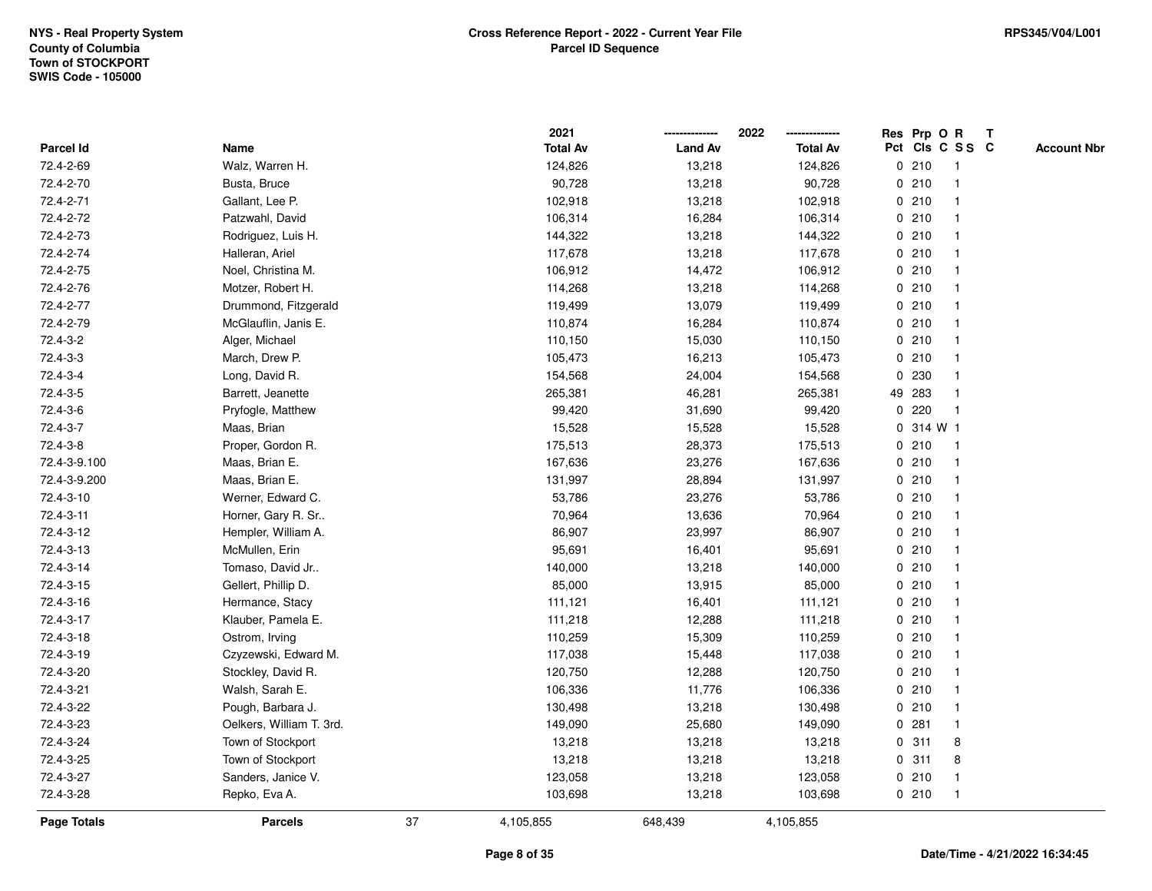|              |                          |    | 2021            |                | 2022            |             |           | Res Prp O R     | T |                    |
|--------------|--------------------------|----|-----------------|----------------|-----------------|-------------|-----------|-----------------|---|--------------------|
| Parcel Id    | Name                     |    | <b>Total Av</b> | <b>Land Av</b> | <b>Total Av</b> |             |           | Pct Cls C S S C |   | <b>Account Nbr</b> |
| 72.4-2-69    | Walz, Warren H.          |    | 124,826         | 13,218         | 124,826         |             | 0210      | $\mathbf{1}$    |   |                    |
| 72.4-2-70    | Busta, Bruce             |    | 90,728          | 13,218         | 90,728          |             | 0210      |                 |   |                    |
| 72.4-2-71    | Gallant, Lee P.          |    | 102,918         | 13,218         | 102,918         |             | 0210      | $\mathbf 1$     |   |                    |
| 72.4-2-72    | Patzwahl, David          |    | 106,314         | 16,284         | 106,314         |             | 0210      |                 |   |                    |
| 72.4-2-73    | Rodriguez, Luis H.       |    | 144,322         | 13,218         | 144,322         |             | 0210      |                 |   |                    |
| 72.4-2-74    | Halleran, Ariel          |    | 117,678         | 13,218         | 117,678         |             | 0210      |                 |   |                    |
| 72.4-2-75    | Noel, Christina M.       |    | 106,912         | 14,472         | 106,912         |             | 0210      |                 |   |                    |
| 72.4-2-76    | Motzer, Robert H.        |    | 114,268         | 13,218         | 114,268         |             | 0210      |                 |   |                    |
| 72.4-2-77    | Drummond, Fitzgerald     |    | 119,499         | 13,079         | 119,499         |             | 0210      | -1              |   |                    |
| 72.4-2-79    | McGlauflin, Janis E.     |    | 110,874         | 16,284         | 110,874         |             | 0210      | $\mathbf 1$     |   |                    |
| 72.4-3-2     | Alger, Michael           |    | 110,150         | 15,030         | 110,150         |             | 0210      |                 |   |                    |
| 72.4-3-3     | March, Drew P.           |    | 105,473         | 16,213         | 105,473         |             | 0210      |                 |   |                    |
| 72.4-3-4     | Long, David R.           |    | 154,568         | 24,004         | 154,568         |             | 0 230     |                 |   |                    |
| 72.4-3-5     | Barrett, Jeanette        |    | 265,381         | 46,281         | 265,381         |             | 49 283    |                 |   |                    |
| 72.4-3-6     | Pryfogle, Matthew        |    | 99,420          | 31,690         | 99,420          | $\mathbf 0$ | 220       | -1              |   |                    |
| 72.4-3-7     | Maas, Brian              |    | 15,528          | 15,528         | 15,528          |             | 0 314 W 1 |                 |   |                    |
| 72.4-3-8     | Proper, Gordon R.        |    | 175,513         | 28,373         | 175,513         |             | 0210      | $\mathbf{1}$    |   |                    |
| 72.4-3-9.100 | Maas, Brian E.           |    | 167,636         | 23,276         | 167,636         |             | 0210      |                 |   |                    |
| 72.4-3-9.200 | Maas, Brian E.           |    | 131,997         | 28,894         | 131,997         |             | 0210      |                 |   |                    |
| 72.4-3-10    | Werner, Edward C.        |    | 53,786          | 23,276         | 53,786          |             | 0210      |                 |   |                    |
| 72.4-3-11    | Horner, Gary R. Sr       |    | 70,964          | 13,636         | 70,964          |             | 0210      |                 |   |                    |
| 72.4-3-12    | Hempler, William A.      |    | 86,907          | 23,997         | 86,907          |             | 0210      |                 |   |                    |
| 72.4-3-13    | McMullen, Erin           |    | 95,691          | 16,401         | 95,691          |             | 0210      | $\mathbf 1$     |   |                    |
| 72.4-3-14    | Tomaso, David Jr         |    | 140,000         | 13,218         | 140,000         |             | 0210      |                 |   |                    |
| 72.4-3-15    | Gellert, Phillip D.      |    | 85,000          | 13,915         | 85,000          |             | 0210      |                 |   |                    |
| 72.4-3-16    | Hermance, Stacy          |    | 111,121         | 16,401         | 111,121         |             | 0210      |                 |   |                    |
| 72.4-3-17    | Klauber, Pamela E.       |    | 111,218         | 12,288         | 111,218         |             | 0210      |                 |   |                    |
| 72.4-3-18    | Ostrom, Irving           |    | 110,259         | 15,309         | 110,259         |             | 0210      |                 |   |                    |
| 72.4-3-19    | Czyzewski, Edward M.     |    | 117,038         | 15,448         | 117,038         |             | 0210      |                 |   |                    |
| 72.4-3-20    | Stockley, David R.       |    | 120,750         | 12,288         | 120,750         |             | 0210      |                 |   |                    |
| 72.4-3-21    | Walsh, Sarah E.          |    | 106,336         | 11,776         | 106,336         |             | 0210      |                 |   |                    |
| 72.4-3-22    | Pough, Barbara J.        |    | 130,498         | 13,218         | 130,498         |             | 0210      | $\mathbf 1$     |   |                    |
| 72.4-3-23    | Oelkers, William T. 3rd. |    | 149,090         | 25,680         | 149,090         |             | 0.281     |                 |   |                    |
| 72.4-3-24    | Town of Stockport        |    | 13,218          | 13,218         | 13,218          |             | 0.311     | 8               |   |                    |
| 72.4-3-25    | Town of Stockport        |    | 13,218          | 13,218         | 13,218          |             | 0.311     | 8               |   |                    |
| 72.4-3-27    | Sanders, Janice V.       |    | 123,058         | 13,218         | 123,058         |             | 0210      | $\mathbf{1}$    |   |                    |
| 72.4-3-28    | Repko, Eva A.            |    | 103,698         | 13,218         | 103,698         |             | 0210      | $\overline{1}$  |   |                    |
| Page Totals  | <b>Parcels</b>           | 37 | 4,105,855       | 648,439        | 4,105,855       |             |           |                 |   |                    |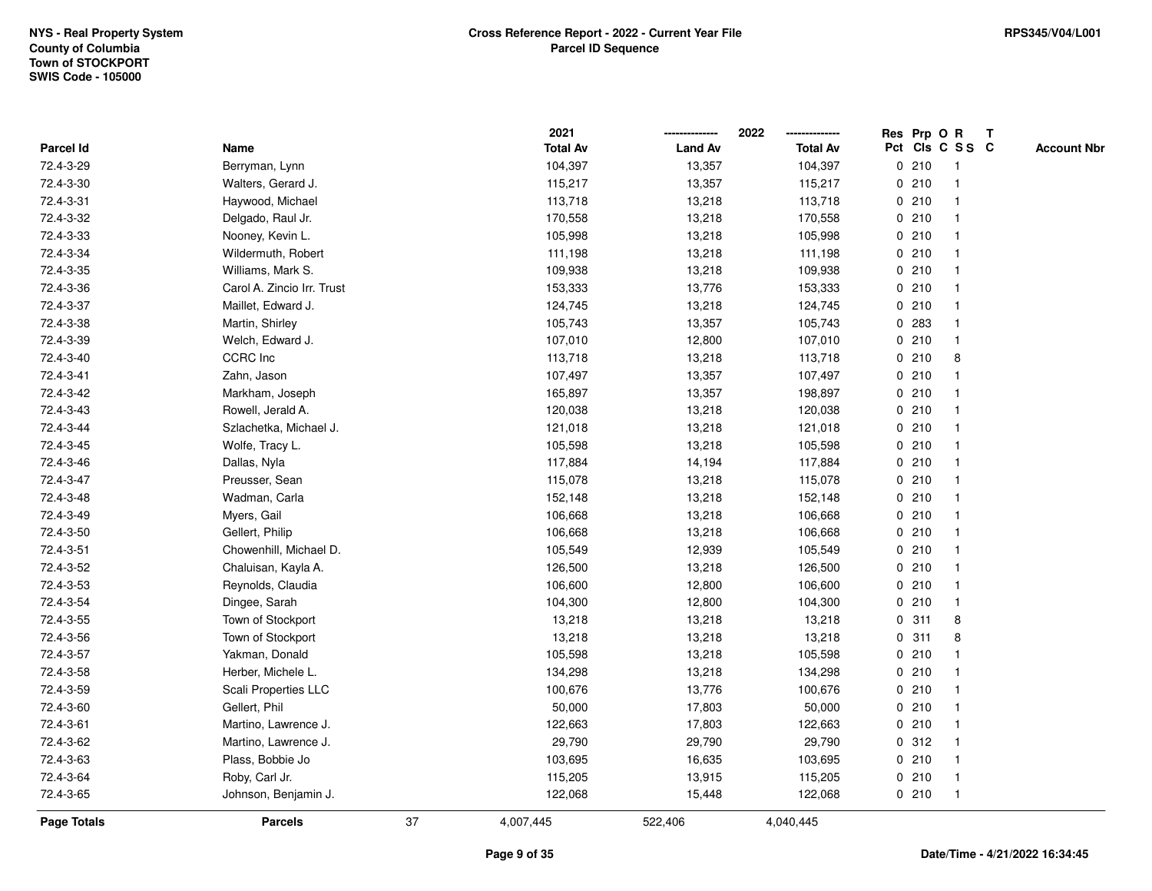|                    |                            |    | 2021            |                | 2022            | Res Prp O R |                         | Т |                    |
|--------------------|----------------------------|----|-----------------|----------------|-----------------|-------------|-------------------------|---|--------------------|
| Parcel Id          | Name                       |    | <b>Total Av</b> | <b>Land Av</b> | <b>Total Av</b> |             | Pct Cls C S S C         |   | <b>Account Nbr</b> |
| 72.4-3-29          | Berryman, Lynn             |    | 104,397         | 13,357         | 104,397         | 0210        | $\overline{\mathbf{1}}$ |   |                    |
| 72.4-3-30          | Walters, Gerard J.         |    | 115,217         | 13,357         | 115,217         | 0210        | $\overline{\mathbf{1}}$ |   |                    |
| 72.4-3-31          | Haywood, Michael           |    | 113,718         | 13,218         | 113,718         | 0210        | 1                       |   |                    |
| 72.4-3-32          | Delgado, Raul Jr.          |    | 170,558         | 13,218         | 170,558         | 0210        | -1                      |   |                    |
| 72.4-3-33          | Nooney, Kevin L.           |    | 105,998         | 13,218         | 105,998         | 0210        |                         |   |                    |
| 72.4-3-34          | Wildermuth, Robert         |    | 111,198         | 13,218         | 111,198         | 0210        |                         |   |                    |
| 72.4-3-35          | Williams, Mark S.          |    | 109,938         | 13,218         | 109,938         | 0210        |                         |   |                    |
| 72.4-3-36          | Carol A. Zincio Irr. Trust |    | 153,333         | 13,776         | 153,333         | 0210        | -1                      |   |                    |
| 72.4-3-37          | Maillet, Edward J.         |    | 124,745         | 13,218         | 124,745         | 0210        | $\overline{\mathbf{1}}$ |   |                    |
| 72.4-3-38          | Martin, Shirley            |    | 105,743         | 13,357         | 105,743         | 0 283       | $\overline{1}$          |   |                    |
| 72.4-3-39          | Welch, Edward J.           |    | 107,010         | 12,800         | 107,010         | 0210        |                         |   |                    |
| 72.4-3-40          | <b>CCRC</b> Inc            |    | 113,718         | 13,218         | 113,718         | 0210        | 8                       |   |                    |
| 72.4-3-41          | Zahn, Jason                |    | 107,497         | 13,357         | 107,497         | 0210        |                         |   |                    |
| 72.4-3-42          | Markham, Joseph            |    | 165,897         | 13,357         | 198,897         | 0210        |                         |   |                    |
| 72.4-3-43          | Rowell, Jerald A.          |    | 120,038         | 13,218         | 120,038         | 0210        | -1                      |   |                    |
| 72.4-3-44          | Szlachetka, Michael J.     |    | 121,018         | 13,218         | 121,018         | 0210        | -1                      |   |                    |
| 72.4-3-45          | Wolfe, Tracy L.            |    | 105,598         | 13,218         | 105,598         | 0210        | $\overline{1}$          |   |                    |
| 72.4-3-46          | Dallas, Nyla               |    | 117,884         | 14,194         | 117,884         | 0210        |                         |   |                    |
| 72.4-3-47          | Preusser, Sean             |    | 115,078         | 13,218         | 115,078         | 0210        |                         |   |                    |
| 72.4-3-48          | Wadman, Carla              |    | 152,148         | 13,218         | 152,148         | 0210        |                         |   |                    |
| 72.4-3-49          | Myers, Gail                |    | 106,668         | 13,218         | 106,668         | 0210        | $\overline{1}$          |   |                    |
| 72.4-3-50          | Gellert, Philip            |    | 106,668         | 13,218         | 106,668         | 0210        | -1                      |   |                    |
| 72.4-3-51          | Chowenhill, Michael D.     |    | 105,549         | 12,939         | 105,549         | 0210        | $\overline{\mathbf{1}}$ |   |                    |
| 72.4-3-52          | Chaluisan, Kayla A.        |    | 126,500         | 13,218         | 126,500         | 0210        | $\overline{1}$          |   |                    |
| 72.4-3-53          | Reynolds, Claudia          |    | 106,600         | 12,800         | 106,600         | 0210        |                         |   |                    |
| 72.4-3-54          | Dingee, Sarah              |    | 104,300         | 12,800         | 104,300         | 0210        |                         |   |                    |
| 72.4-3-55          | Town of Stockport          |    | 13,218          | 13,218         | 13,218          | 0.311       | 8                       |   |                    |
| 72.4-3-56          | Town of Stockport          |    | 13,218          | 13,218         | 13,218          | 0.311       | 8                       |   |                    |
| 72.4-3-57          | Yakman, Donald             |    | 105,598         | 13,218         | 105,598         | 0210        | -1                      |   |                    |
| 72.4-3-58          | Herber, Michele L.         |    | 134,298         | 13,218         | 134,298         | 0210        | -1                      |   |                    |
| 72.4-3-59          | Scali Properties LLC       |    | 100,676         | 13,776         | 100,676         | 0210        | 1                       |   |                    |
| 72.4-3-60          | Gellert, Phil              |    | 50,000          | 17,803         | 50,000          | 0210        |                         |   |                    |
| 72.4-3-61          | Martino, Lawrence J.       |    | 122,663         | 17,803         | 122,663         | 0210        |                         |   |                    |
| 72.4-3-62          | Martino, Lawrence J.       |    | 29,790          | 29,790         | 29,790          | 0.312       |                         |   |                    |
| 72.4-3-63          | Plass, Bobbie Jo           |    | 103,695         | 16,635         | 103,695         | 0210        | $\overline{1}$          |   |                    |
| 72.4-3-64          | Roby, Carl Jr.             |    | 115,205         | 13,915         | 115,205         | 0210        | -1                      |   |                    |
| 72.4-3-65          | Johnson, Benjamin J.       |    | 122,068         | 15,448         | 122,068         | 0210        | $\overline{1}$          |   |                    |
| <b>Page Totals</b> | <b>Parcels</b>             | 37 | 4,007,445       | 522,406        | 4,040,445       |             |                         |   |                    |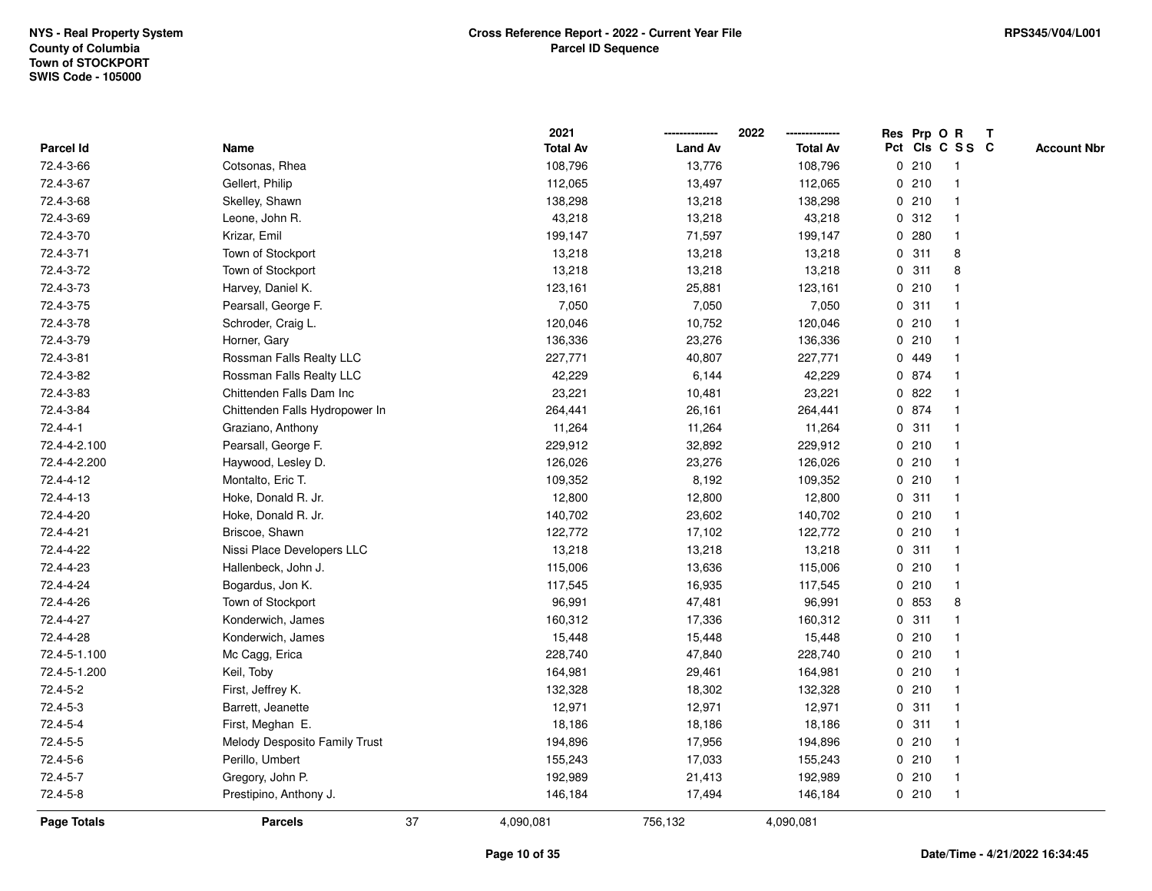|                  |                                |    | 2021            |                | 2022            |   |       | Res Prp O R     | $\mathbf{T}$       |
|------------------|--------------------------------|----|-----------------|----------------|-----------------|---|-------|-----------------|--------------------|
| <b>Parcel Id</b> | Name                           |    | <b>Total Av</b> | <b>Land Av</b> | <b>Total Av</b> |   |       | Pct Cls C S S C | <b>Account Nbr</b> |
| 72.4-3-66        | Cotsonas, Rhea                 |    | 108,796         | 13,776         | 108,796         |   | 0210  |                 |                    |
| 72.4-3-67        | Gellert, Philip                |    | 112,065         | 13,497         | 112,065         |   | 0210  |                 |                    |
| 72.4-3-68        | Skelley, Shawn                 |    | 138,298         | 13,218         | 138,298         |   | 0210  |                 |                    |
| 72.4-3-69        | Leone, John R.                 |    | 43,218          | 13,218         | 43,218          |   | 0.312 |                 |                    |
| 72.4-3-70        | Krizar, Emil                   |    | 199,147         | 71,597         | 199,147         | 0 | 280   |                 |                    |
| 72.4-3-71        | Town of Stockport              |    | 13,218          | 13,218         | 13,218          |   | 0.311 | 8               |                    |
| 72.4-3-72        | Town of Stockport              |    | 13,218          | 13,218         | 13,218          |   | 0.311 | 8               |                    |
| 72.4-3-73        | Harvey, Daniel K.              |    | 123,161         | 25,881         | 123,161         |   | 0210  |                 |                    |
| 72.4-3-75        | Pearsall, George F.            |    | 7,050           | 7,050          | 7,050           |   | 0.311 |                 |                    |
| 72.4-3-78        | Schroder, Craig L.             |    | 120,046         | 10,752         | 120,046         |   | 0210  |                 |                    |
| 72.4-3-79        | Horner, Gary                   |    | 136,336         | 23,276         | 136,336         |   | 0210  |                 |                    |
| 72.4-3-81        | Rossman Falls Realty LLC       |    | 227,771         | 40,807         | 227,771         |   | 0 449 |                 |                    |
| 72.4-3-82        | Rossman Falls Realty LLC       |    | 42,229          | 6,144          | 42,229          |   | 0 874 |                 |                    |
| 72.4-3-83        | Chittenden Falls Dam Inc       |    | 23,221          | 10,481         | 23,221          |   | 0822  |                 |                    |
| 72.4-3-84        | Chittenden Falls Hydropower In |    | 264,441         | 26,161         | 264,441         |   | 0 874 |                 |                    |
| $72.4 - 4 - 1$   | Graziano, Anthony              |    | 11,264          | 11,264         | 11,264          |   | 0.311 |                 |                    |
| 72.4-4-2.100     | Pearsall, George F.            |    | 229,912         | 32,892         | 229,912         | 0 | 210   |                 |                    |
| 72.4-4-2.200     | Haywood, Lesley D.             |    | 126,026         | 23,276         | 126,026         |   | 0210  |                 |                    |
| 72.4-4-12        | Montalto, Eric T.              |    | 109,352         | 8,192          | 109,352         |   | 0210  |                 |                    |
| 72.4-4-13        | Hoke, Donald R. Jr.            |    | 12,800          | 12,800         | 12,800          |   | 0.311 |                 |                    |
| 72.4-4-20        | Hoke, Donald R. Jr.            |    | 140,702         | 23,602         | 140,702         |   | 0210  |                 |                    |
| 72.4-4-21        | Briscoe, Shawn                 |    | 122,772         | 17,102         | 122,772         |   | 0210  |                 |                    |
| 72.4-4-22        | Nissi Place Developers LLC     |    | 13,218          | 13,218         | 13,218          |   | 0.311 |                 |                    |
| 72.4-4-23        | Hallenbeck, John J.            |    | 115,006         | 13,636         | 115,006         |   | 0210  |                 |                    |
| 72.4-4-24        | Bogardus, Jon K.               |    | 117,545         | 16,935         | 117,545         |   | 0210  | $\mathbf 1$     |                    |
| 72.4-4-26        | Town of Stockport              |    | 96,991          | 47,481         | 96,991          |   | 0 853 | 8               |                    |
| 72.4-4-27        | Konderwich, James              |    | 160,312         | 17,336         | 160,312         |   | 0.311 |                 |                    |
| 72.4-4-28        | Konderwich, James              |    | 15,448          | 15,448         | 15,448          |   | 0210  |                 |                    |
| 72.4-5-1.100     | Mc Cagg, Erica                 |    | 228,740         | 47,840         | 228,740         |   | 0210  |                 |                    |
| 72.4-5-1.200     | Keil, Toby                     |    | 164,981         | 29,461         | 164,981         |   | 0210  |                 |                    |
| 72.4-5-2         | First, Jeffrey K.              |    | 132,328         | 18,302         | 132,328         |   | 0210  |                 |                    |
| 72.4-5-3         | Barrett, Jeanette              |    | 12,971          | 12,971         | 12,971          |   | 0.311 |                 |                    |
| 72.4-5-4         | First, Meghan E.               |    | 18,186          | 18,186         | 18,186          |   | 0.311 |                 |                    |
| 72.4-5-5         | Melody Desposito Family Trust  |    | 194,896         | 17,956         | 194,896         |   | 0210  |                 |                    |
| 72.4-5-6         | Perillo, Umbert                |    | 155,243         | 17,033         | 155,243         |   | 0210  |                 |                    |
| 72.4-5-7         | Gregory, John P.               |    | 192,989         | 21,413         | 192,989         |   | 0210  |                 |                    |
| 72.4-5-8         | Prestipino, Anthony J.         |    | 146,184         | 17,494         | 146,184         |   | 0210  |                 |                    |
| Page Totals      | <b>Parcels</b>                 | 37 | 4,090,081       | 756,132        | 4,090,081       |   |       |                 |                    |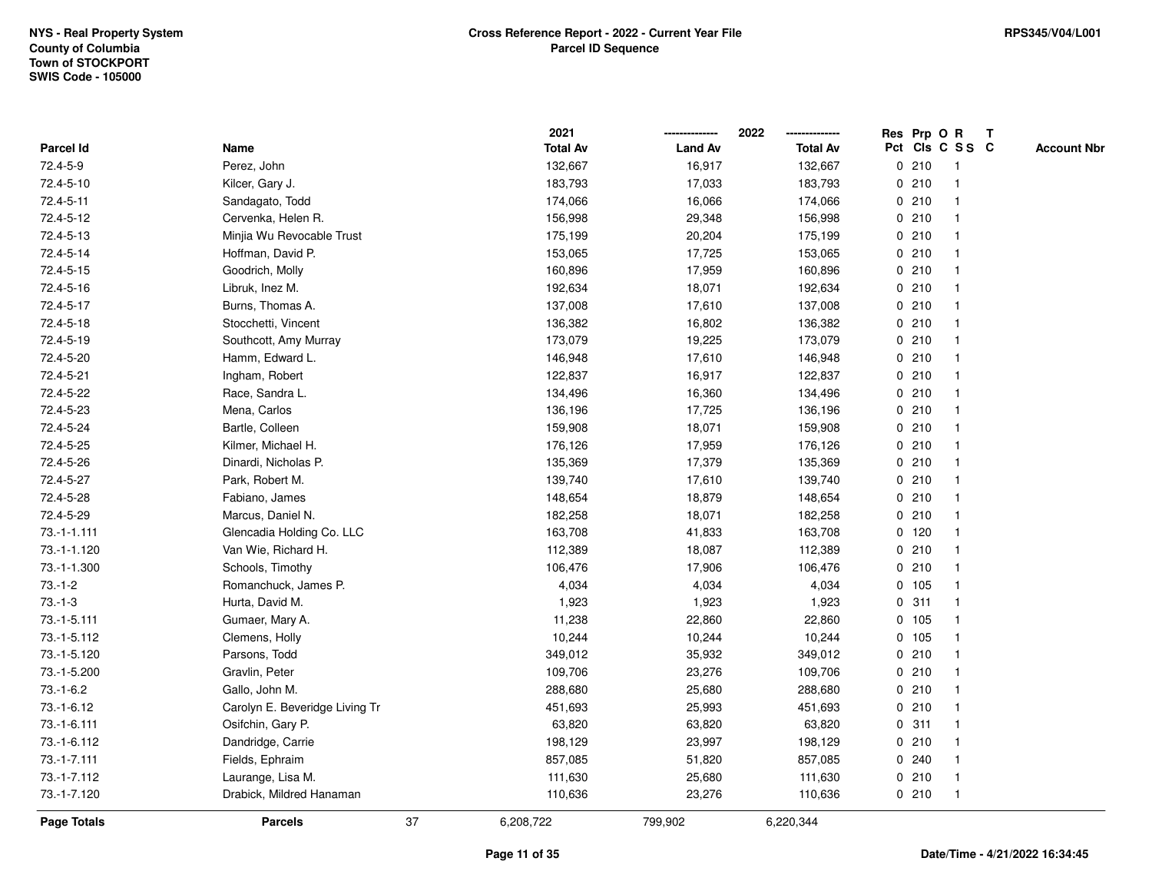|                    |                                |    | 2021            |                | 2022            | Res Prp O R |                         | Т |                    |
|--------------------|--------------------------------|----|-----------------|----------------|-----------------|-------------|-------------------------|---|--------------------|
| Parcel Id          | Name                           |    | <b>Total Av</b> | <b>Land Av</b> | <b>Total Av</b> |             | Pct Cls C S S C         |   | <b>Account Nbr</b> |
| 72.4-5-9           | Perez, John                    |    | 132,667         | 16,917         | 132,667         | 0210        | $\overline{\mathbf{1}}$ |   |                    |
| 72.4-5-10          | Kilcer, Gary J.                |    | 183,793         | 17,033         | 183,793         | 0210        | $\overline{\mathbf{1}}$ |   |                    |
| 72.4-5-11          | Sandagato, Todd                |    | 174,066         | 16,066         | 174,066         | 0210        | -1                      |   |                    |
| 72.4-5-12          | Cervenka, Helen R.             |    | 156,998         | 29,348         | 156,998         | 0210        |                         |   |                    |
| 72.4-5-13          | Minjia Wu Revocable Trust      |    | 175,199         | 20,204         | 175,199         | 0210        |                         |   |                    |
| 72.4-5-14          | Hoffman, David P.              |    | 153,065         | 17,725         | 153,065         | 0210        |                         |   |                    |
| 72.4-5-15          | Goodrich, Molly                |    | 160,896         | 17,959         | 160,896         | 0210        |                         |   |                    |
| 72.4-5-16          | Libruk, Inez M.                |    | 192,634         | 18,071         | 192,634         | 0210        | $\overline{\mathbf{1}}$ |   |                    |
| 72.4-5-17          | Burns, Thomas A.               |    | 137,008         | 17,610         | 137,008         | 0210        | -1                      |   |                    |
| 72.4-5-18          | Stocchetti, Vincent            |    | 136,382         | 16,802         | 136,382         | 0210        | $\mathbf{1}$            |   |                    |
| 72.4-5-19          | Southcott, Amy Murray          |    | 173,079         | 19,225         | 173,079         | 0210        |                         |   |                    |
| 72.4-5-20          | Hamm, Edward L.                |    | 146,948         | 17,610         | 146,948         | 0210        |                         |   |                    |
| 72.4-5-21          | Ingham, Robert                 |    | 122,837         | 16,917         | 122,837         | 0210        |                         |   |                    |
| 72.4-5-22          | Race, Sandra L.                |    | 134,496         | 16,360         | 134,496         | 0210        |                         |   |                    |
| 72.4-5-23          | Mena, Carlos                   |    | 136,196         | 17,725         | 136,196         | 0210        |                         |   |                    |
| 72.4-5-24          | Bartle, Colleen                |    | 159,908         | 18,071         | 159,908         | 0210        | $\overline{\mathbf{1}}$ |   |                    |
| 72.4-5-25          | Kilmer, Michael H.             |    | 176,126         | 17,959         | 176,126         | 0210        | -1                      |   |                    |
| 72.4-5-26          | Dinardi, Nicholas P.           |    | 135,369         | 17,379         | 135,369         | 0210        |                         |   |                    |
| 72.4-5-27          | Park, Robert M.                |    | 139,740         | 17,610         | 139,740         | 0210        |                         |   |                    |
| 72.4-5-28          | Fabiano, James                 |    | 148,654         | 18,879         | 148,654         | 0210        |                         |   |                    |
| 72.4-5-29          | Marcus, Daniel N.              |    | 182,258         | 18,071         | 182,258         | 0210        |                         |   |                    |
| $73.-1-1.111$      | Glencadia Holding Co. LLC      |    | 163,708         | 41,833         | 163,708         | $0$ 120     |                         |   |                    |
| 73.-1-1.120        | Van Wie, Richard H.            |    | 112,389         | 18,087         | 112,389         | 0210        | $\overline{\mathbf{1}}$ |   |                    |
| 73.-1-1.300        | Schools, Timothy               |    | 106,476         | 17,906         | 106,476         | 0210        | -1                      |   |                    |
| $73.-1-2$          | Romanchuck, James P.           |    | 4,034           | 4,034          | 4,034           | 0 105       | -1                      |   |                    |
| $73.-1-3$          | Hurta, David M.                |    | 1,923           | 1,923          | 1,923           | 0.311       |                         |   |                    |
| 73.-1-5.111        | Gumaer, Mary A.                |    | 11,238          | 22,860         | 22,860          | 0 105       |                         |   |                    |
| 73.-1-5.112        | Clemens, Holly                 |    | 10,244          | 10,244         | 10,244          | 0 105       |                         |   |                    |
| 73.-1-5.120        | Parsons, Todd                  |    | 349,012         | 35,932         | 349,012         | 0210        | $\overline{\mathbf{1}}$ |   |                    |
| 73.-1-5.200        | Gravlin, Peter                 |    | 109,706         | 23,276         | 109,706         | 0210        | -1                      |   |                    |
| $73.-1-6.2$        | Gallo, John M.                 |    | 288,680         | 25,680         | 288,680         | 0210        | -1                      |   |                    |
| 73.-1-6.12         | Carolyn E. Beveridge Living Tr |    | 451,693         | 25,993         | 451,693         | 0210        |                         |   |                    |
| 73.-1-6.111        | Osifchin, Gary P.              |    | 63,820          | 63,820         | 63,820          | 0.311       |                         |   |                    |
| 73.-1-6.112        | Dandridge, Carrie              |    | 198,129         | 23,997         | 198,129         | 0210        |                         |   |                    |
| 73.-1-7.111        | Fields, Ephraim                |    | 857,085         | 51,820         | 857,085         | 0.240       |                         |   |                    |
| 73.-1-7.112        | Laurange, Lisa M.              |    | 111,630         | 25,680         | 111,630         | 0210        | $\overline{\mathbf{1}}$ |   |                    |
| 73.-1-7.120        | Drabick, Mildred Hanaman       |    | 110,636         | 23,276         | 110,636         | 0210        | $\overline{1}$          |   |                    |
| <b>Page Totals</b> | <b>Parcels</b>                 | 37 | 6,208,722       | 799,902        | 6,220,344       |             |                         |   |                    |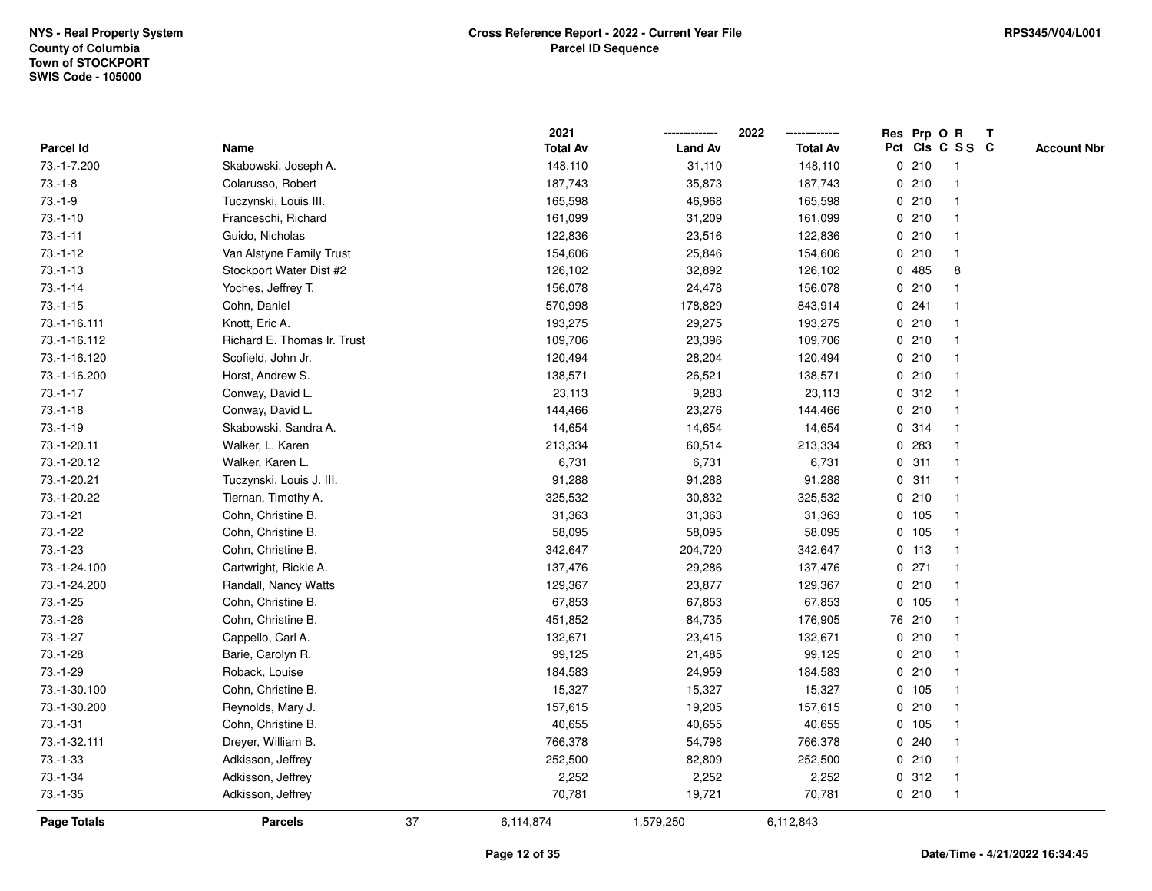|                    |                             |    | 2021            |                | 2022            |   |         | Res Prp O R             | T |                    |
|--------------------|-----------------------------|----|-----------------|----------------|-----------------|---|---------|-------------------------|---|--------------------|
| Parcel Id          | Name                        |    | <b>Total Av</b> | <b>Land Av</b> | <b>Total Av</b> |   |         | Pct Cls C S S C         |   | <b>Account Nbr</b> |
| 73.-1-7.200        | Skabowski, Joseph A.        |    | 148,110         | 31,110         | 148,110         | 0 | 210     | $\mathbf{1}$            |   |                    |
| $73.-1-8$          | Colarusso, Robert           |    | 187,743         | 35,873         | 187,743         | 0 | 210     | -1                      |   |                    |
| $73.-1-9$          | Tuczynski, Louis III.       |    | 165,598         | 46,968         | 165,598         |   | 0210    | $\mathbf 1$             |   |                    |
| $73.-1-10$         | Franceschi, Richard         |    | 161,099         | 31,209         | 161,099         |   | 0210    |                         |   |                    |
| $73.-1-11$         | Guido, Nicholas             |    | 122,836         | 23,516         | 122,836         |   | 0210    |                         |   |                    |
| $73.-1-12$         | Van Alstyne Family Trust    |    | 154,606         | 25,846         | 154,606         |   | 0210    |                         |   |                    |
| $73.-1-13$         | Stockport Water Dist #2     |    | 126,102         | 32,892         | 126,102         |   | 0 485   | 8                       |   |                    |
| $73.-1-14$         | Yoches, Jeffrey T.          |    | 156,078         | 24,478         | 156,078         | 0 | 210     |                         |   |                    |
| $73.-1-15$         | Cohn, Daniel                |    | 570,998         | 178,829        | 843,914         |   | 0.241   |                         |   |                    |
| 73.-1-16.111       | Knott, Eric A.              |    | 193,275         | 29,275         | 193,275         |   | 0210    | -1                      |   |                    |
| 73.-1-16.112       | Richard E. Thomas Ir. Trust |    | 109,706         | 23,396         | 109,706         |   | 0210    |                         |   |                    |
| 73.-1-16.120       | Scofield, John Jr.          |    | 120,494         | 28,204         | 120,494         |   | 0210    |                         |   |                    |
| 73.-1-16.200       | Horst, Andrew S.            |    | 138,571         | 26,521         | 138,571         |   | 0210    |                         |   |                    |
| $73.-1-17$         | Conway, David L.            |    | 23,113          | 9,283          | 23,113          |   | 0.312   |                         |   |                    |
| $73.-1-18$         | Conway, David L.            |    | 144,466         | 23,276         | 144,466         | 0 | 210     | -1                      |   |                    |
| $73.-1-19$         | Skabowski, Sandra A.        |    | 14,654          | 14,654         | 14,654          |   | 0.314   | $\overline{\mathbf{1}}$ |   |                    |
| 73.-1-20.11        | Walker, L. Karen            |    | 213,334         | 60,514         | 213,334         |   | 0 283   | $\mathbf 1$             |   |                    |
| 73.-1-20.12        | Walker, Karen L.            |    | 6,731           | 6,731          | 6,731           |   | 0.311   |                         |   |                    |
| 73.-1-20.21        | Tuczynski, Louis J. III.    |    | 91,288          | 91,288         | 91,288          |   | 0.311   |                         |   |                    |
| 73.-1-20.22        | Tiernan, Timothy A.         |    | 325,532         | 30,832         | 325,532         |   | 0210    |                         |   |                    |
| $73.-1-21$         | Cohn, Christine B.          |    | 31,363          | 31,363         | 31,363          |   | 0 105   |                         |   |                    |
| $73 - 1 - 22$      | Cohn, Christine B.          |    | 58,095          | 58,095         | 58,095          |   | 0 105   | -1                      |   |                    |
| $73.-1-23$         | Cohn, Christine B.          |    | 342,647         | 204,720        | 342,647         |   | 0, 113  | $\mathbf{1}$            |   |                    |
| 73.-1-24.100       | Cartwright, Rickie A.       |    | 137,476         | 29,286         | 137,476         |   | $0$ 271 | -1                      |   |                    |
| 73.-1-24.200       | Randall, Nancy Watts        |    | 129,367         | 23,877         | 129,367         |   | 0210    |                         |   |                    |
| $73.-1-25$         | Cohn, Christine B.          |    | 67,853          | 67,853         | 67,853          |   | 0, 105  |                         |   |                    |
| $73.-1-26$         | Cohn, Christine B.          |    | 451,852         | 84,735         | 176,905         |   | 76 210  |                         |   |                    |
| $73.-1-27$         | Cappello, Carl A.           |    | 132,671         | 23,415         | 132,671         |   | 0210    |                         |   |                    |
| $73.-1-28$         | Barie, Carolyn R.           |    | 99,125          | 21,485         | 99,125          | 0 | 210     | -1                      |   |                    |
| 73.-1-29           | Roback, Louise              |    | 184,583         | 24,959         | 184,583         | 0 | 210     | $\mathbf{1}$            |   |                    |
| 73.-1-30.100       | Cohn, Christine B.          |    | 15,327          | 15,327         | 15,327          |   | 0, 105  | $\mathbf 1$             |   |                    |
| 73.-1-30.200       | Reynolds, Mary J.           |    | 157,615         | 19,205         | 157,615         |   | 0210    |                         |   |                    |
| $73. - 1 - 31$     | Cohn, Christine B.          |    | 40,655          | 40,655         | 40,655          |   | 0, 105  |                         |   |                    |
| 73.-1-32.111       | Dreyer, William B.          |    | 766,378         | 54,798         | 766,378         |   | 0.240   |                         |   |                    |
| $73.-1-33$         | Adkisson, Jeffrey           |    | 252,500         | 82,809         | 252,500         |   | 0210    | $\mathbf{1}$            |   |                    |
| $73.-1-34$         | Adkisson, Jeffrey           |    | 2,252           | 2,252          | 2,252           | 0 | 312     | $\mathbf{1}$            |   |                    |
| $73.-1-35$         | Adkisson, Jeffrey           |    | 70,781          | 19,721         | 70,781          |   | 0210    | $\mathbf{1}$            |   |                    |
| <b>Page Totals</b> | <b>Parcels</b>              | 37 | 6,114,874       | 1,579,250      | 6,112,843       |   |         |                         |   |                    |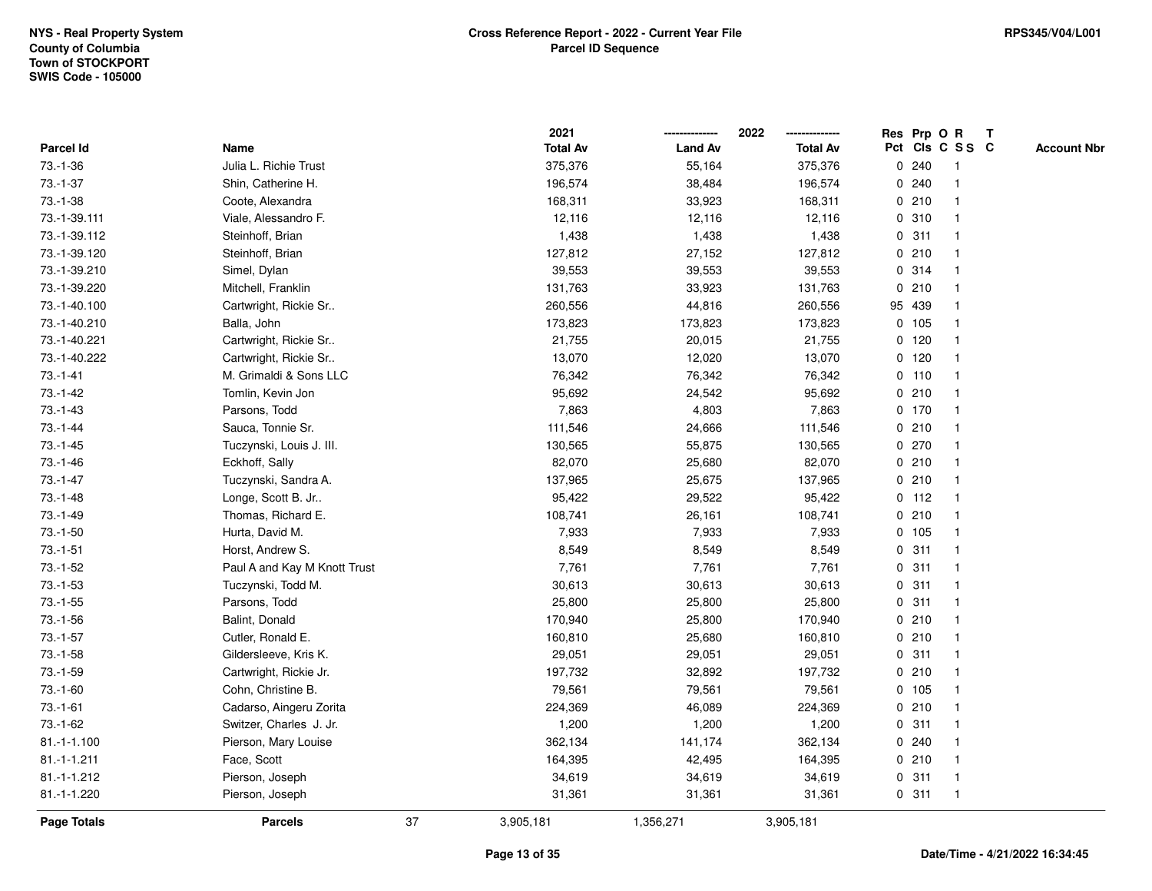|               |                              |    | 2021            |                | 2022            |             |         | Res Prp O R     | $\mathbf{T}$ |                    |
|---------------|------------------------------|----|-----------------|----------------|-----------------|-------------|---------|-----------------|--------------|--------------------|
| Parcel Id     | Name                         |    | <b>Total Av</b> | <b>Land Av</b> | <b>Total Av</b> |             |         | Pct Cls C S S C |              | <b>Account Nbr</b> |
| $73.-1-36$    | Julia L. Richie Trust        |    | 375,376         | 55,164         | 375,376         |             | 0.240   | -1              |              |                    |
| $73.-1-37$    | Shin, Catherine H.           |    | 196,574         | 38,484         | 196,574         | 0           | 240     |                 |              |                    |
| $73.-1-38$    | Coote, Alexandra             |    | 168,311         | 33,923         | 168,311         |             | 0210    |                 |              |                    |
| 73.-1-39.111  | Viale, Alessandro F.         |    | 12,116          | 12,116         | 12,116          | 0           | 310     | -1              |              |                    |
| 73.-1-39.112  | Steinhoff, Brian             |    | 1,438           | 1,438          | 1,438           | 0           | 311     | $\mathbf{1}$    |              |                    |
| 73.-1-39.120  | Steinhoff, Brian             |    | 127,812         | 27,152         | 127,812         |             | 0210    |                 |              |                    |
| 73.-1-39.210  | Simel, Dylan                 |    | 39,553          | 39,553         | 39,553          |             | 0.314   |                 |              |                    |
| 73.-1-39.220  | Mitchell, Franklin           |    | 131,763         | 33,923         | 131,763         |             | 0210    |                 |              |                    |
| 73.-1-40.100  | Cartwright, Rickie Sr        |    | 260,556         | 44,816         | 260,556         |             | 95 439  |                 |              |                    |
| 73.-1-40.210  | Balla, John                  |    | 173,823         | 173,823        | 173,823         |             | 0, 105  |                 |              |                    |
| 73.-1-40.221  | Cartwright, Rickie Sr        |    | 21,755          | 20,015         | 21,755          |             | 0, 120  | $\mathbf{1}$    |              |                    |
| 73.-1-40.222  | Cartwright, Rickie Sr        |    | 13,070          | 12,020         | 13,070          |             | $0$ 120 | $\mathbf{1}$    |              |                    |
| $73.-1-41$    | M. Grimaldi & Sons LLC       |    | 76,342          | 76,342         | 76,342          |             | $0$ 110 |                 |              |                    |
| $73.-1-42$    | Tomlin, Kevin Jon            |    | 95,692          | 24,542         | 95,692          |             | 0210    |                 |              |                    |
| $73.-1-43$    | Parsons, Todd                |    | 7,863           | 4,803          | 7,863           |             | $0$ 170 |                 |              |                    |
| $73.-1-44$    | Sauca, Tonnie Sr.            |    | 111,546         | 24,666         | 111,546         |             | 0210    |                 |              |                    |
| $73.-1-45$    | Tuczynski, Louis J. III.     |    | 130,565         | 55,875         | 130,565         | 0           | 270     | -1              |              |                    |
| $73.-1-46$    | Eckhoff, Sally               |    | 82,070          | 25,680         | 82,070          |             | 0210    | -1              |              |                    |
| $73.-1-47$    | Tuczynski, Sandra A.         |    | 137,965         | 25,675         | 137,965         |             | 0210    | $\mathbf 1$     |              |                    |
| $73.-1-48$    | Longe, Scott B. Jr           |    | 95,422          | 29,522         | 95,422          |             | $0$ 112 |                 |              |                    |
| $73.-1-49$    | Thomas, Richard E.           |    | 108,741         | 26,161         | 108,741         |             | 0210    |                 |              |                    |
| $73.-1-50$    | Hurta, David M.              |    | 7,933           | 7,933          | 7,933           |             | 0 105   |                 |              |                    |
| $73.-1-51$    | Horst, Andrew S.             |    | 8,549           | 8,549          | 8,549           |             | 0.311   |                 |              |                    |
| $73.-1-52$    | Paul A and Kay M Knott Trust |    | 7,761           | 7,761          | 7,761           | $\mathbf 0$ | 311     | -1              |              |                    |
| $73.-1-53$    | Tuczynski, Todd M.           |    | 30,613          | 30,613         | 30,613          | 0           | 311     | $\mathbf{1}$    |              |                    |
| $73.-1-55$    | Parsons, Todd                |    | 25,800          | 25,800         | 25,800          |             | 0.311   | -1              |              |                    |
| $73.-1-56$    | Balint, Donald               |    | 170,940         | 25,800         | 170,940         |             | 0210    |                 |              |                    |
| $73.-1-57$    | Cutler, Ronald E.            |    | 160,810         | 25,680         | 160,810         |             | 0210    |                 |              |                    |
| $73.-1-58$    | Gildersleeve, Kris K.        |    | 29,051          | 29,051         | 29,051          |             | 0.311   | -1              |              |                    |
| $73.-1-59$    | Cartwright, Rickie Jr.       |    | 197,732         | 32,892         | 197,732         |             | 0210    |                 |              |                    |
| $73.-1-60$    | Cohn, Christine B.           |    | 79,561          | 79,561         | 79,561          |             | 0, 105  | $\mathbf{1}$    |              |                    |
| $73.-1-61$    | Cadarso, Aingeru Zorita      |    | 224,369         | 46,089         | 224,369         |             | 0210    | $\mathbf{1}$    |              |                    |
| $73.-1-62$    | Switzer, Charles J. Jr.      |    | 1,200           | 1,200          | 1,200           |             | 0.311   |                 |              |                    |
| $81.-1-1.100$ | Pierson, Mary Louise         |    | 362,134         | 141,174        | 362,134         |             | 0.240   |                 |              |                    |
| $81.-1-1.211$ | Face, Scott                  |    | 164,395         | 42,495         | 164,395         |             | 0210    |                 |              |                    |
| 81.-1-1.212   | Pierson, Joseph              |    | 34,619          | 34,619         | 34,619          |             | 0.311   | $\mathbf{1}$    |              |                    |
| 81.-1-1.220   | Pierson, Joseph              |    | 31,361          | 31,361         | 31,361          |             | 0.311   | $\mathbf{1}$    |              |                    |
| Page Totals   | <b>Parcels</b>               | 37 | 3,905,181       | 1,356,271      | 3,905,181       |             |         |                 |              |                    |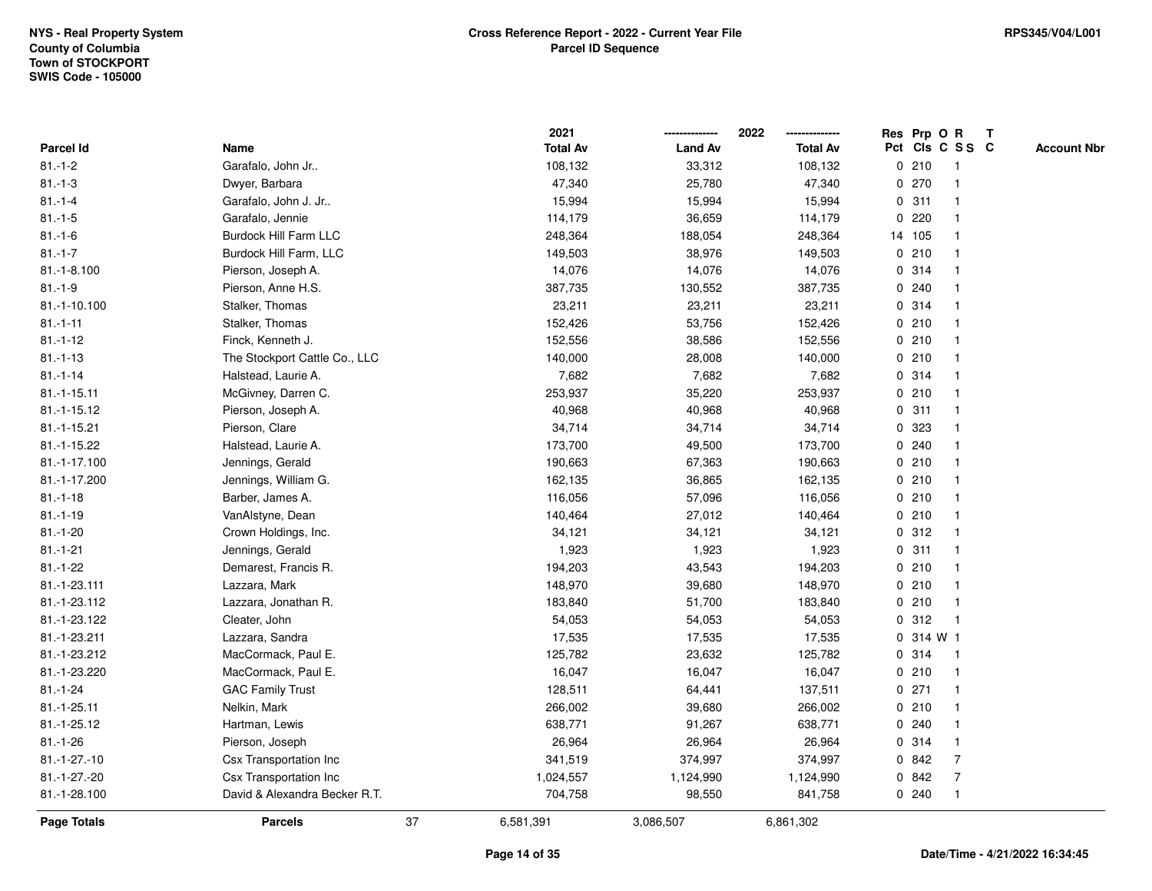|                    |                               | 2021            |                | 2022<br>-------------- | Res Prp O R |          |                 | $\mathbf{T}$ |                    |
|--------------------|-------------------------------|-----------------|----------------|------------------------|-------------|----------|-----------------|--------------|--------------------|
| Parcel Id          | Name                          | <b>Total Av</b> | <b>Land Av</b> | <b>Total Av</b>        |             |          | Pct Cls C S S C |              | <b>Account Nbr</b> |
| $81 - 1 - 2$       | Garafalo, John Jr             | 108,132         | 33,312         | 108,132                |             | 0210     | -1              |              |                    |
| $81 - 1 - 3$       | Dwyer, Barbara                | 47,340          | 25,780         | 47,340                 | 0           | 270      |                 |              |                    |
| $81 - 1 - 4$       | Garafalo, John J. Jr          | 15,994          | 15,994         | 15,994                 |             | 0.311    |                 |              |                    |
| $81.-1-5$          | Garafalo, Jennie              | 114,179         | 36,659         | 114,179                | $\mathbf 0$ | 220      |                 |              |                    |
| $81.-1-6$          | <b>Burdock Hill Farm LLC</b>  | 248,364         | 188,054        | 248,364                |             | 14 105   | $\overline{1}$  |              |                    |
| $81 - 1 - 7$       | Burdock Hill Farm, LLC        | 149,503         | 38,976         | 149,503                |             | 0210     | -1              |              |                    |
| $81.-1-8.100$      | Pierson, Joseph A.            | 14,076          | 14,076         | 14,076                 |             | 0.314    |                 |              |                    |
| $81.-1-9$          | Pierson, Anne H.S.            | 387,735         | 130,552        | 387,735                |             | 0.240    |                 |              |                    |
| 81.-1-10.100       | Stalker, Thomas               | 23,211          | 23,211         | 23,211                 |             | 0.314    |                 |              |                    |
| $81.-1-11$         | Stalker, Thomas               | 152,426         | 53,756         | 152,426                |             | 0210     |                 |              |                    |
| $81 - 1 - 12$      | Finck, Kenneth J.             | 152,556         | 38,586         | 152,556                |             | 0210     | -1              |              |                    |
| $81.-1-13$         | The Stockport Cattle Co., LLC | 140,000         | 28,008         | 140,000                |             | 0210     | $\mathbf{1}$    |              |                    |
| $81 - 1 - 14$      | Halstead, Laurie A.           | 7,682           | 7,682          | 7,682                  |             | 0 314    |                 |              |                    |
| $81.-1-15.11$      | McGivney, Darren C.           | 253,937         | 35,220         | 253,937                |             | 0210     |                 |              |                    |
| $81.-1-15.12$      | Pierson, Joseph A.            | 40,968          | 40,968         | 40,968                 |             | 0.311    |                 |              |                    |
| 81.-1-15.21        | Pierson, Clare                | 34,714          | 34,714         | 34,714                 |             | 0.323    |                 |              |                    |
| 81.-1-15.22        | Halstead, Laurie A.           | 173,700         | 49,500         | 173,700                | 0           | 240      |                 |              |                    |
| 81.-1-17.100       | Jennings, Gerald              | 190,663         | 67,363         | 190,663                | 0           | 210      | -1              |              |                    |
| 81.-1-17.200       | Jennings, William G.          | 162,135         | 36,865         | 162,135                |             | 0210     | -1              |              |                    |
| $81.-1-18$         | Barber, James A.              | 116,056         | 57,096         | 116,056                |             | 0210     |                 |              |                    |
| $81.-1-19$         | VanAlstyne, Dean              | 140,464         | 27,012         | 140,464                |             | 0210     |                 |              |                    |
| $81.-1-20$         | Crown Holdings, Inc.          | 34,121          | 34,121         | 34,121                 |             | 0.312    |                 |              |                    |
| $81.-1-21$         | Jennings, Gerald              | 1,923           | 1,923          | 1,923                  |             | 0.311    |                 |              |                    |
| $81.-1-22$         | Demarest, Francis R.          | 194,203         | 43,543         | 194,203                | $\mathbf 0$ | 210      | -1              |              |                    |
| 81.-1-23.111       | Lazzara, Mark                 | 148,970         | 39,680         | 148,970                |             | 0210     | -1              |              |                    |
| 81.-1-23.112       | Lazzara, Jonathan R.          | 183,840         | 51,700         | 183,840                |             | 0210     | -1              |              |                    |
| 81.-1-23.122       | Cleater, John                 | 54,053          | 54,053         | 54,053                 |             | 0.312    |                 |              |                    |
| 81.-1-23.211       | Lazzara, Sandra               | 17,535          | 17,535         | 17,535                 |             | 0.314 W1 |                 |              |                    |
| 81.-1-23.212       | MacCormack, Paul E.           | 125,782         | 23,632         | 125,782                |             | 0 314    | -1              |              |                    |
| 81.-1-23.220       | MacCormack, Paul E.           | 16,047          | 16,047         | 16,047                 |             | 0210     | -1              |              |                    |
| $81 - 1 - 24$      | <b>GAC Family Trust</b>       | 128,511         | 64,441         | 137,511                |             | 0271     | $\overline{1}$  |              |                    |
| 81.-1-25.11        | Nelkin, Mark                  | 266,002         | 39,680         | 266,002                |             | 0210     | $\overline{1}$  |              |                    |
| 81.-1-25.12        | Hartman, Lewis                | 638,771         | 91,267         | 638,771                |             | 0.240    |                 |              |                    |
| $81.-1-26$         | Pierson, Joseph               | 26,964          | 26,964         | 26,964                 |             | 0 314    |                 |              |                    |
| $81.-1-27.-10$     | <b>Csx Transportation Inc</b> | 341,519         | 374,997        | 374,997                |             | 0 842    | $\overline{7}$  |              |                    |
| 81.-1-27.-20       | Csx Transportation Inc        | 1,024,557       | 1,124,990      | 1,124,990              |             | 0 842    | $\overline{7}$  |              |                    |
| 81.-1-28.100       | David & Alexandra Becker R.T. | 704,758         | 98,550         | 841,758                |             | 0.240    | $\mathbf{1}$    |              |                    |
| <b>Page Totals</b> | 37<br><b>Parcels</b>          | 6,581,391       | 3,086,507      | 6,861,302              |             |          |                 |              |                    |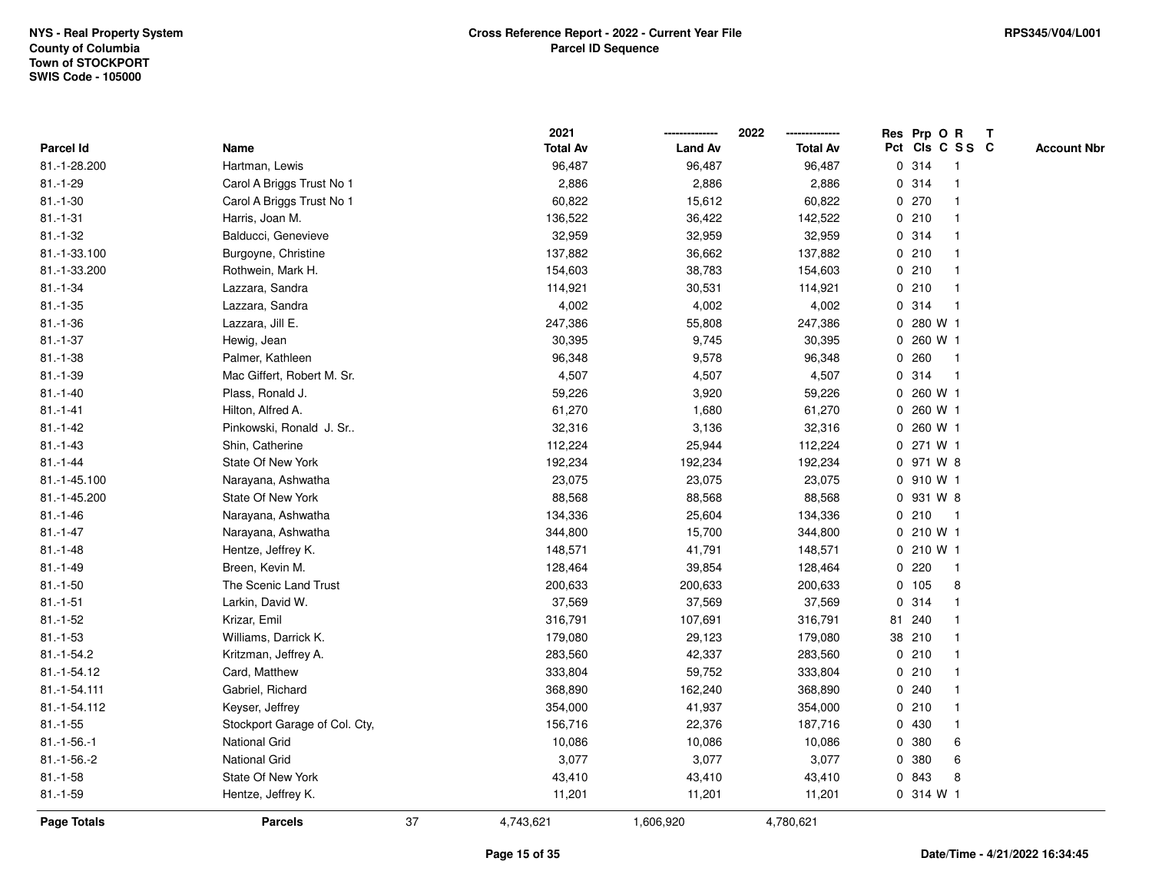|               |                               |    | 2021            |                | 2022            |              | Res Prp O R |                 | $\mathbf{T}$ |                    |
|---------------|-------------------------------|----|-----------------|----------------|-----------------|--------------|-------------|-----------------|--------------|--------------------|
| Parcel Id     | Name                          |    | <b>Total Av</b> | <b>Land Av</b> | <b>Total Av</b> |              |             | Pct Cls C S S C |              | <b>Account Nbr</b> |
| 81.-1-28.200  | Hartman, Lewis                |    | 96,487          | 96,487         | 96,487          |              | 0 314       |                 |              |                    |
| $81.-1-29$    | Carol A Briggs Trust No 1     |    | 2,886           | 2,886          | 2,886           |              | 0.314       |                 |              |                    |
| $81.-1-30$    | Carol A Briggs Trust No 1     |    | 60,822          | 15,612         | 60,822          |              | 0270        |                 |              |                    |
| $81.-1-31$    | Harris, Joan M.               |    | 136,522         | 36,422         | 142,522         | 0            | 210         | -1              |              |                    |
| $81.-1-32$    | Balducci, Genevieve           |    | 32,959          | 32,959         | 32,959          |              | 0.314       | $\mathbf 1$     |              |                    |
| 81.-1-33.100  | Burgoyne, Christine           |    | 137,882         | 36,662         | 137,882         |              | 0210        | -1              |              |                    |
| 81.-1-33.200  | Rothwein, Mark H.             |    | 154,603         | 38,783         | 154,603         |              | 0210        |                 |              |                    |
| $81.-1-34$    | Lazzara, Sandra               |    | 114,921         | 30,531         | 114,921         |              | 0210        |                 |              |                    |
| $81.-1-35$    | Lazzara, Sandra               |    | 4,002           | 4,002          | 4,002           |              | 0.314       | -1              |              |                    |
| $81.-1-36$    | Lazzara, Jill E.              |    | 247,386         | 55,808         | 247,386         | 0            | 280 W 1     |                 |              |                    |
| $81.-1-37$    | Hewig, Jean                   |    | 30,395          | 9,745          | 30,395          | 0            | 260 W 1     |                 |              |                    |
| $81.-1-38$    | Palmer, Kathleen              |    | 96,348          | 9,578          | 96,348          | $\mathbf 0$  | 260         | $\mathbf{1}$    |              |                    |
| $81.-1-39$    | Mac Giffert, Robert M. Sr.    |    | 4,507           | 4,507          | 4,507           |              | 0.314       | -1              |              |                    |
| $81.-1-40$    | Plass, Ronald J.              |    | 59,226          | 3,920          | 59,226          |              | 0 260 W 1   |                 |              |                    |
| $81.-1-41$    | Hilton, Alfred A.             |    | 61,270          | 1,680          | 61,270          |              | 0 260 W 1   |                 |              |                    |
| $81 - 1 - 42$ | Pinkowski, Ronald J. Sr       |    | 32,316          | 3,136          | 32,316          |              | 0 260 W 1   |                 |              |                    |
| $81.-1-43$    | Shin, Catherine               |    | 112,224         | 25,944         | 112,224         | $\mathbf 0$  | 271 W 1     |                 |              |                    |
| $81 - 1 - 44$ | State Of New York             |    | 192,234         | 192,234        | 192,234         |              | 0 971 W 8   |                 |              |                    |
| 81.-1-45.100  | Narayana, Ashwatha            |    | 23,075          | 23,075         | 23,075          |              | 0 910 W 1   |                 |              |                    |
| 81.-1-45.200  | State Of New York             |    | 88,568          | 88,568         | 88,568          |              | 0 931 W 8   |                 |              |                    |
| $81.-1-46$    | Narayana, Ashwatha            |    | 134,336         | 25,604         | 134,336         |              | 0210        | -1              |              |                    |
| $81.-1-47$    | Narayana, Ashwatha            |    | 344,800         | 15,700         | 344,800         |              | 0 210 W 1   |                 |              |                    |
| $81.-1-48$    | Hentze, Jeffrey K.            |    | 148,571         | 41,791         | 148,571         |              | 0 210 W 1   |                 |              |                    |
| $81.-1-49$    | Breen, Kevin M.               |    | 128,464         | 39,854         | 128,464         | $\mathbf{0}$ | 220         | $\mathbf{1}$    |              |                    |
| $81.-1-50$    | The Scenic Land Trust         |    | 200,633         | 200,633        | 200,633         |              | 0 105       | 8               |              |                    |
| $81.-1-51$    | Larkin, David W.              |    | 37,569          | 37,569         | 37,569          |              | 0.314       | $\mathbf 1$     |              |                    |
| $81.-1-52$    | Krizar, Emil                  |    | 316,791         | 107,691        | 316,791         |              | 81 240      |                 |              |                    |
| $81.-1-53$    | Williams, Darrick K.          |    | 179,080         | 29,123         | 179,080         |              | 38 210      |                 |              |                    |
| 81.-1-54.2    | Kritzman, Jeffrey A.          |    | 283,560         | 42,337         | 283,560         |              | 0210        |                 |              |                    |
| 81.-1-54.12   | Card, Matthew                 |    | 333,804         | 59,752         | 333,804         |              | 0210        |                 |              |                    |
| 81.-1-54.111  | Gabriel, Richard              |    | 368,890         | 162,240        | 368,890         |              | 0.240       | -1              |              |                    |
| 81.-1-54.112  | Keyser, Jeffrey               |    | 354,000         | 41,937         | 354,000         |              | 0210        | $\mathbf 1$     |              |                    |
| $81.-1-55$    | Stockport Garage of Col. Cty, |    | 156,716         | 22,376         | 187,716         |              | 0 430       | $\mathbf 1$     |              |                    |
| $81.-1-56.-1$ | <b>National Grid</b>          |    | 10,086          | 10,086         | 10,086          |              | 0 380       | 6               |              |                    |
| $81.-1-56.-2$ | <b>National Grid</b>          |    | 3,077           | 3,077          | 3,077           | $\mathbf{0}$ | 380         | 6               |              |                    |
| $81.-1-58$    | State Of New York             |    | 43,410          | 43,410         | 43,410          |              | 0 843       | 8               |              |                    |
| $81.-1-59$    | Hentze, Jeffrey K.            |    | 11,201          | 11,201         | 11,201          |              | 0.314 W1    |                 |              |                    |
| Page Totals   | <b>Parcels</b>                | 37 | 4,743,621       | 1,606,920      | 4,780,621       |              |             |                 |              |                    |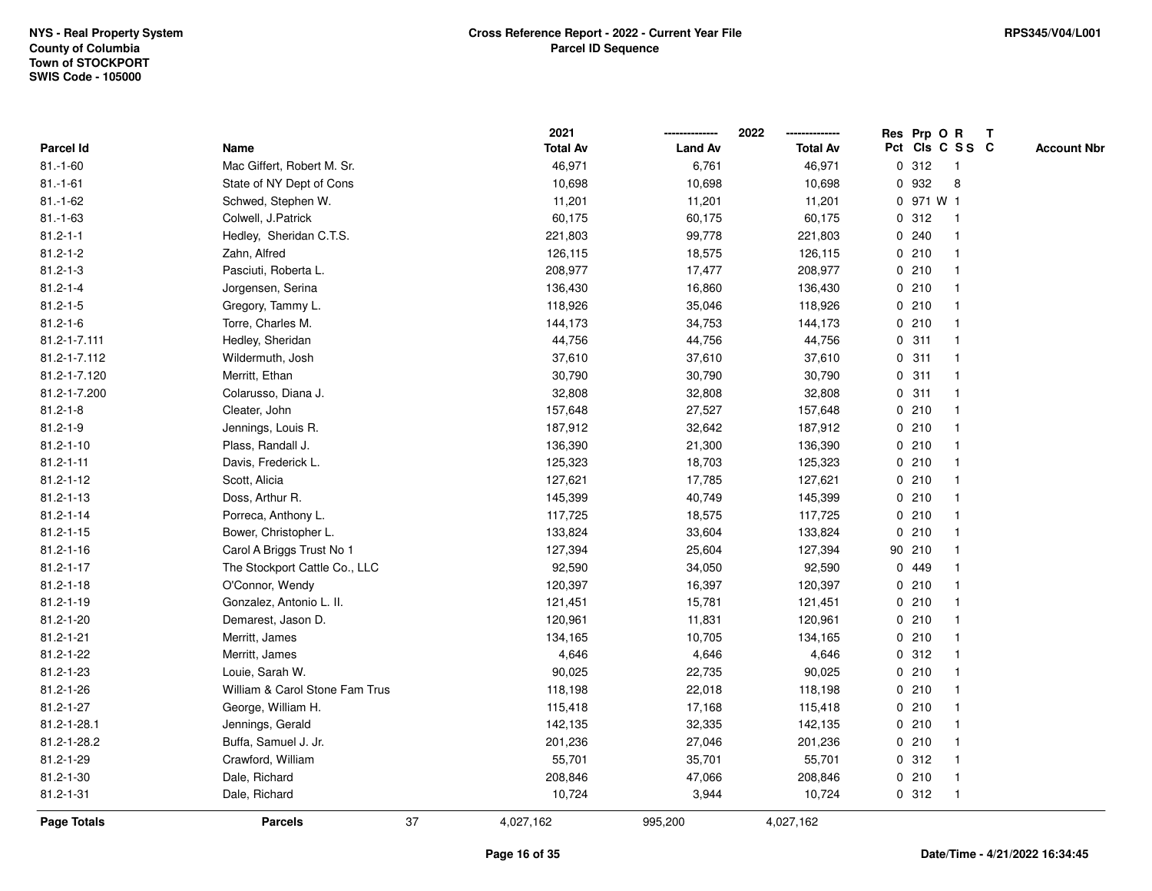|                    |                                |    | 2021            |                | 2022            |   |           | Res Prp O R     | $\mathbf{T}$ |                    |
|--------------------|--------------------------------|----|-----------------|----------------|-----------------|---|-----------|-----------------|--------------|--------------------|
| <b>Parcel Id</b>   | Name                           |    | <b>Total Av</b> | <b>Land Av</b> | <b>Total Av</b> |   |           | Pct Cls C S S C |              | <b>Account Nbr</b> |
| $81.-1-60$         | Mac Giffert, Robert M. Sr.     |    | 46,971          | 6,761          | 46,971          |   | 0.312     | -1              |              |                    |
| $81.-1-61$         | State of NY Dept of Cons       |    | 10,698          | 10,698         | 10,698          | 0 | 932       | 8               |              |                    |
| $81.-1-62$         | Schwed, Stephen W.             |    | 11,201          | 11,201         | 11,201          |   | 0 971 W 1 |                 |              |                    |
| $81.-1-63$         | Colwell, J.Patrick             |    | 60,175          | 60,175         | 60,175          |   | 0.312     | $\mathbf{1}$    |              |                    |
| $81.2 - 1 - 1$     | Hedley, Sheridan C.T.S.        |    | 221,803         | 99,778         | 221,803         |   | 0.240     |                 |              |                    |
| $81.2 - 1 - 2$     | Zahn, Alfred                   |    | 126,115         | 18,575         | 126,115         |   | 0210      |                 |              |                    |
| $81.2 - 1 - 3$     | Pasciuti, Roberta L.           |    | 208,977         | 17,477         | 208,977         |   | 0210      |                 |              |                    |
| $81.2 - 1 - 4$     | Jorgensen, Serina              |    | 136,430         | 16,860         | 136,430         |   | 0210      |                 |              |                    |
| $81.2 - 1 - 5$     | Gregory, Tammy L.              |    | 118,926         | 35,046         | 118,926         |   | 0210      |                 |              |                    |
| $81.2 - 1 - 6$     | Torre, Charles M.              |    | 144,173         | 34,753         | 144,173         |   | 0210      |                 |              |                    |
| 81.2-1-7.111       | Hedley, Sheridan               |    | 44,756          | 44,756         | 44,756          | 0 | 311       |                 |              |                    |
| 81.2-1-7.112       | Wildermuth, Josh               |    | 37,610          | 37,610         | 37,610          |   | 0.311     |                 |              |                    |
| 81.2-1-7.120       | Merritt, Ethan                 |    | 30,790          | 30,790         | 30,790          |   | 0.311     |                 |              |                    |
| 81.2-1-7.200       | Colarusso, Diana J.            |    | 32,808          | 32,808         | 32,808          |   | 0.311     |                 |              |                    |
| $81.2 - 1 - 8$     | Cleater, John                  |    | 157,648         | 27,527         | 157,648         |   | 0210      |                 |              |                    |
| $81.2 - 1 - 9$     | Jennings, Louis R.             |    | 187,912         | 32,642         | 187,912         |   | 0210      |                 |              |                    |
| $81.2 - 1 - 10$    | Plass, Randall J.              |    | 136,390         | 21,300         | 136,390         |   | 0210      |                 |              |                    |
| $81.2 - 1 - 11$    | Davis, Frederick L.            |    | 125,323         | 18,703         | 125,323         |   | 0210      |                 |              |                    |
| $81.2 - 1 - 12$    | Scott, Alicia                  |    | 127,621         | 17,785         | 127,621         |   | 0210      |                 |              |                    |
| $81.2 - 1 - 13$    | Doss, Arthur R.                |    | 145,399         | 40,749         | 145,399         |   | 0210      |                 |              |                    |
| $81.2 - 1 - 14$    | Porreca, Anthony L.            |    | 117,725         | 18,575         | 117,725         |   | 0210      |                 |              |                    |
| $81.2 - 1 - 15$    | Bower, Christopher L.          |    | 133,824         | 33,604         | 133,824         |   | 0210      |                 |              |                    |
| $81.2 - 1 - 16$    | Carol A Briggs Trust No 1      |    | 127,394         | 25,604         | 127,394         |   | 90 210    |                 |              |                    |
| $81.2 - 1 - 17$    | The Stockport Cattle Co., LLC  |    | 92,590          | 34,050         | 92,590          |   | 0 449     |                 |              |                    |
| $81.2 - 1 - 18$    | O'Connor, Wendy                |    | 120,397         | 16,397         | 120,397         |   | 0210      |                 |              |                    |
| $81.2 - 1 - 19$    | Gonzalez, Antonio L. II.       |    | 121,451         | 15,781         | 121,451         |   | 0210      |                 |              |                    |
| 81.2-1-20          | Demarest, Jason D.             |    | 120,961         | 11,831         | 120,961         |   | 0210      |                 |              |                    |
| $81.2 - 1 - 21$    | Merritt, James                 |    | 134,165         | 10,705         | 134,165         |   | 0210      |                 |              |                    |
| 81.2-1-22          | Merritt, James                 |    | 4,646           | 4,646          | 4,646           |   | 0.312     |                 |              |                    |
| 81.2-1-23          | Louie, Sarah W.                |    | 90,025          | 22,735         | 90,025          |   | 0210      |                 |              |                    |
| 81.2-1-26          | William & Carol Stone Fam Trus |    | 118,198         | 22,018         | 118,198         |   | 0210      |                 |              |                    |
| $81.2 - 1 - 27$    | George, William H.             |    | 115,418         | 17,168         | 115,418         |   | 0210      |                 |              |                    |
| 81.2-1-28.1        | Jennings, Gerald               |    | 142,135         | 32,335         | 142,135         |   | 0210      |                 |              |                    |
| 81.2-1-28.2        | Buffa, Samuel J. Jr.           |    | 201,236         | 27,046         | 201,236         |   | 0210      |                 |              |                    |
| 81.2-1-29          | Crawford, William              |    | 55,701          | 35,701         | 55,701          |   | 0.312     |                 |              |                    |
| 81.2-1-30          | Dale, Richard                  |    | 208,846         | 47,066         | 208,846         |   | 0210      |                 |              |                    |
| $81.2 - 1 - 31$    | Dale, Richard                  |    | 10,724          | 3,944          | 10,724          |   | 0.312     |                 |              |                    |
| <b>Page Totals</b> | <b>Parcels</b>                 | 37 | 4,027,162       | 995,200        | 4,027,162       |   |           |                 |              |                    |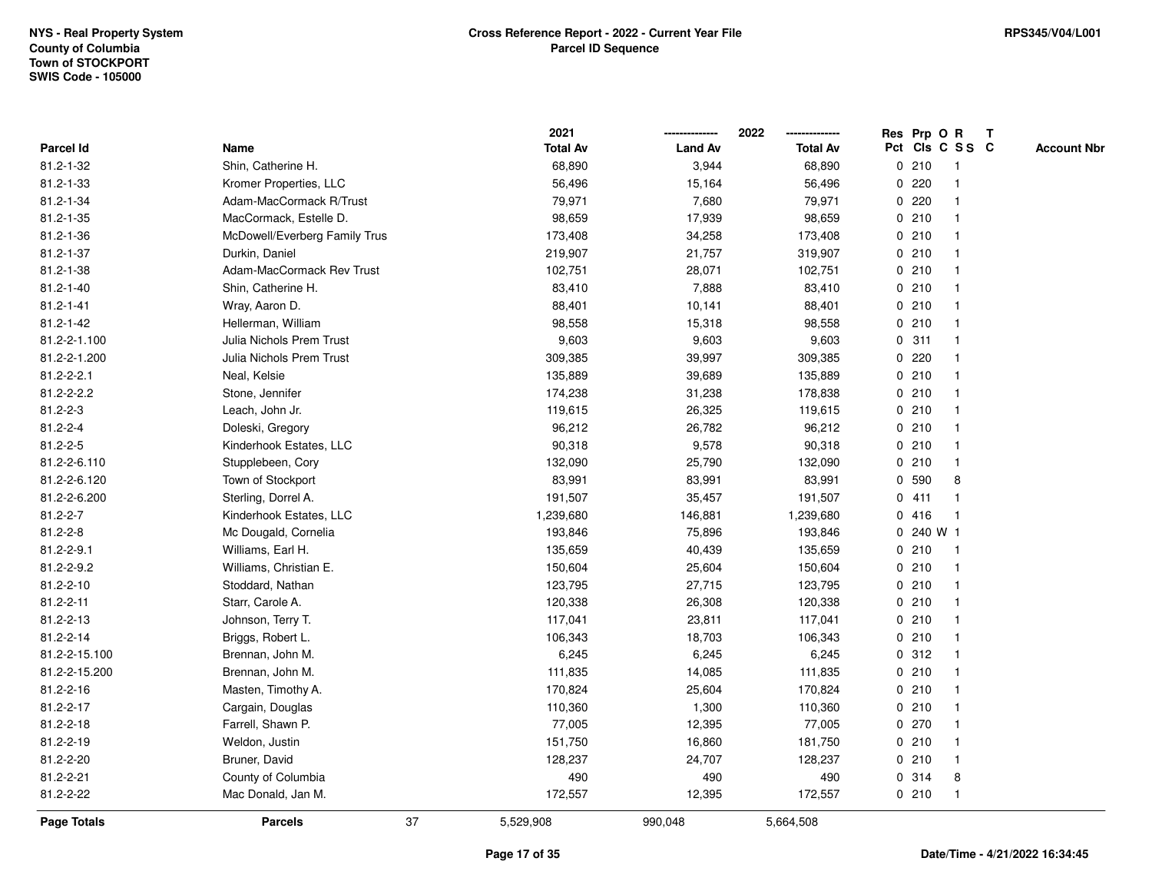|                  |                                 |    | 2021            |                | 2022            | Res Prp O R     |                         | T |                    |
|------------------|---------------------------------|----|-----------------|----------------|-----------------|-----------------|-------------------------|---|--------------------|
| Parcel Id        | Name                            |    | <b>Total Av</b> | <b>Land Av</b> | <b>Total Av</b> | Pct Cls C S S C |                         |   | <b>Account Nbr</b> |
| 81.2-1-32        | Shin, Catherine H.              |    | 68,890          | 3,944          | 68,890          | 0210            | $\overline{\mathbf{1}}$ |   |                    |
| $81.2 - 1 - 33$  | Kromer Properties, LLC          |    | 56,496          | 15,164         | 56,496          | 0220            | $\overline{\mathbf{1}}$ |   |                    |
| $81.2 - 1 - 34$  | Adam-MacCormack R/Trust         |    | 79,971          | 7,680          | 79,971          | 0.220           | 1                       |   |                    |
| $81.2 - 1 - 35$  | MacCormack, Estelle D.          |    | 98,659          | 17,939         | 98,659          | 0210            |                         |   |                    |
| 81.2-1-36        | McDowell/Everberg Family Trus   |    | 173,408         | 34,258         | 173,408         | 0210            |                         |   |                    |
| 81.2-1-37        | Durkin, Daniel                  |    | 219,907         | 21,757         | 319,907         | 0210            |                         |   |                    |
| $81.2 - 1 - 38$  | Adam-MacCormack Rev Trust       |    | 102,751         | 28,071         | 102,751         | 0210            |                         |   |                    |
| $81.2 - 1 - 40$  | Shin, Catherine H.              |    | 83,410          | 7,888          | 83,410          | 0210            | $\overline{\mathbf{1}}$ |   |                    |
| $81.2 - 1 - 41$  | Wray, Aaron D.                  |    | 88,401          | 10,141         | 88,401          | 0210            | -1                      |   |                    |
| $81.2 - 1 - 42$  | Hellerman, William              |    | 98,558          | 15,318         | 98,558          | 0210            | $\mathbf{1}$            |   |                    |
| 81.2-2-1.100     | <b>Julia Nichols Prem Trust</b> |    | 9,603           | 9,603          | 9,603           | 0.311           |                         |   |                    |
| 81.2-2-1.200     | Julia Nichols Prem Trust        |    | 309,385         | 39,997         | 309,385         | $0$ 220         |                         |   |                    |
| $81.2 - 2 - 2.1$ | Neal, Kelsie                    |    | 135,889         | 39,689         | 135,889         | 0210            |                         |   |                    |
| 81.2-2-2.2       | Stone, Jennifer                 |    | 174,238         | 31,238         | 178,838         | 0210            |                         |   |                    |
| $81.2 - 2 - 3$   | Leach, John Jr.                 |    | 119,615         | 26,325         | 119,615         | 0210            | -1                      |   |                    |
| $81.2 - 2 - 4$   | Doleski, Gregory                |    | 96,212          | 26,782         | 96,212          | 0210            | $\overline{\mathbf{1}}$ |   |                    |
| $81.2 - 2 - 5$   | Kinderhook Estates, LLC         |    | 90,318          | 9,578          | 90,318          | 0210            | -1                      |   |                    |
| 81.2-2-6.110     | Stupplebeen, Cory               |    | 132,090         | 25,790         | 132,090         | 0210            |                         |   |                    |
| 81.2-2-6.120     | Town of Stockport               |    | 83,991          | 83,991         | 83,991          | 0 590           | 8                       |   |                    |
| 81.2-2-6.200     | Sterling, Dorrel A.             |    | 191,507         | 35,457         | 191,507         | 0411            |                         |   |                    |
| $81.2 - 2 - 7$   | Kinderhook Estates, LLC         |    | 1,239,680       | 146,881        | 1,239,680       | 0416            | -1                      |   |                    |
| $81.2 - 2 - 8$   | Mc Dougald, Cornelia            |    | 193,846         | 75,896         | 193,846         | 0 240 W 1       |                         |   |                    |
| 81.2-2-9.1       | Williams, Earl H.               |    | 135,659         | 40,439         | 135,659         | 0210            | $\overline{1}$          |   |                    |
| 81.2-2-9.2       | Williams, Christian E.          |    | 150,604         | 25,604         | 150,604         | 0210            | -1                      |   |                    |
| 81.2-2-10        | Stoddard, Nathan                |    | 123,795         | 27,715         | 123,795         | 0210            |                         |   |                    |
| 81.2-2-11        | Starr, Carole A.                |    | 120,338         | 26,308         | 120,338         | 0210            |                         |   |                    |
| 81.2-2-13        | Johnson, Terry T.               |    | 117,041         | 23,811         | 117,041         | 0210            |                         |   |                    |
| 81.2-2-14        | Briggs, Robert L.               |    | 106,343         | 18,703         | 106,343         | 0210            |                         |   |                    |
| 81.2-2-15.100    | Brennan, John M.                |    | 6,245           | 6,245          | 6,245           | 0.312           | $\overline{\mathbf{1}}$ |   |                    |
| 81.2-2-15.200    | Brennan, John M.                |    | 111,835         | 14,085         | 111,835         | 0210            | -1                      |   |                    |
| 81.2-2-16        | Masten, Timothy A.              |    | 170,824         | 25,604         | 170,824         | 0210            | -1                      |   |                    |
| 81.2-2-17        | Cargain, Douglas                |    | 110,360         | 1,300          | 110,360         | 0210            |                         |   |                    |
| 81.2-2-18        | Farrell, Shawn P.               |    | 77,005          | 12,395         | 77,005          | 0270            |                         |   |                    |
| 81.2-2-19        | Weldon, Justin                  |    | 151,750         | 16,860         | 181,750         | 0210            |                         |   |                    |
| 81.2-2-20        | Bruner, David                   |    | 128,237         | 24,707         | 128,237         | 0210            | $\mathbf{1}$            |   |                    |
| 81.2-2-21        | County of Columbia              |    | 490             | 490            | 490             | 0.314           | 8                       |   |                    |
| 81.2-2-22        | Mac Donald, Jan M.              |    | 172,557         | 12,395         | 172,557         | 0210            | $\overline{1}$          |   |                    |
| Page Totals      | <b>Parcels</b>                  | 37 | 5,529,908       | 990,048        | 5,664,508       |                 |                         |   |                    |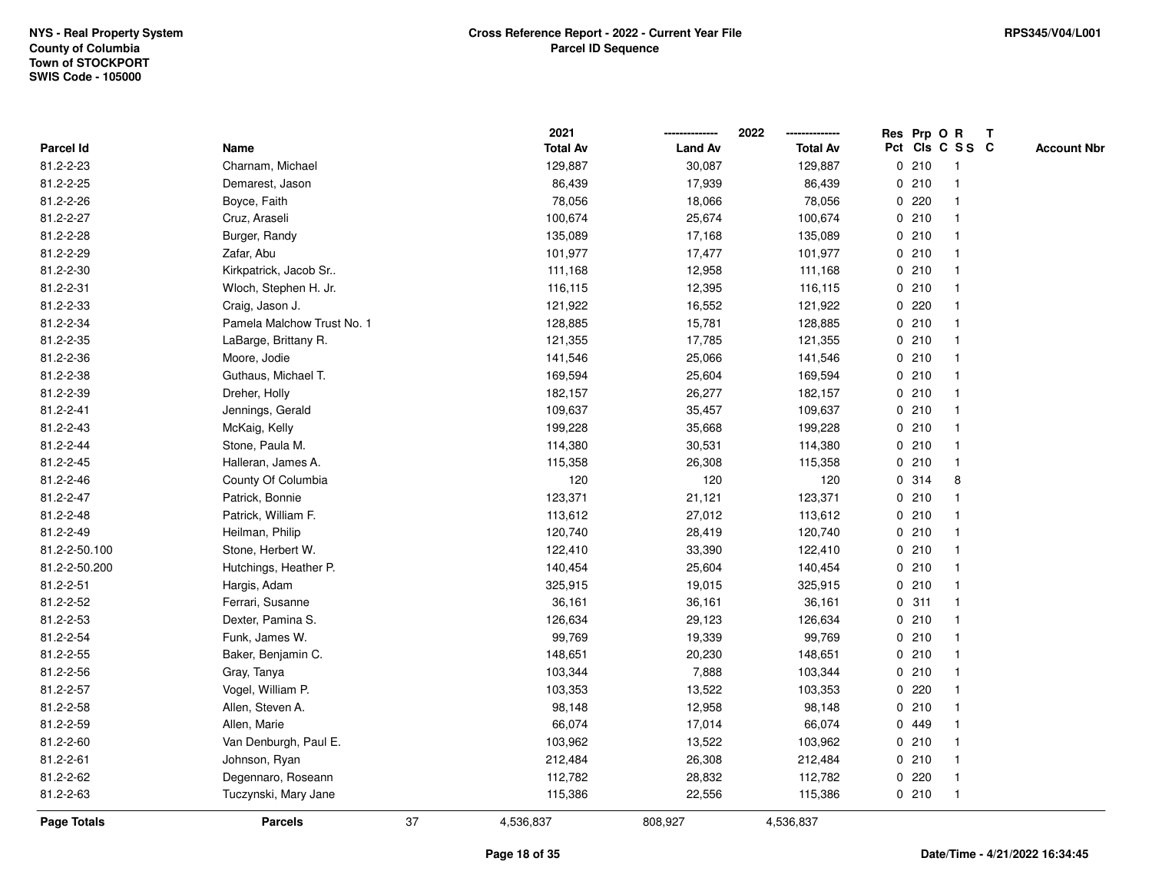|               |                            |    | 2021            |                | 2022            |   |       | Res Prp O R     | T |                    |
|---------------|----------------------------|----|-----------------|----------------|-----------------|---|-------|-----------------|---|--------------------|
| Parcel Id     | Name                       |    | <b>Total Av</b> | <b>Land Av</b> | <b>Total Av</b> |   |       | Pct Cls C S S C |   | <b>Account Nbr</b> |
| 81.2-2-23     | Charnam, Michael           |    | 129,887         | 30,087         | 129,887         |   | 0210  | $\mathbf{1}$    |   |                    |
| 81.2-2-25     | Demarest, Jason            |    | 86,439          | 17,939         | 86,439          | 0 | 210   | -1              |   |                    |
| 81.2-2-26     | Boyce, Faith               |    | 78,056          | 18,066         | 78,056          |   | 0.220 | -1              |   |                    |
| 81.2-2-27     | Cruz, Araseli              |    | 100,674         | 25,674         | 100,674         |   | 0210  |                 |   |                    |
| 81.2-2-28     | Burger, Randy              |    | 135,089         | 17,168         | 135,089         |   | 0210  |                 |   |                    |
| 81.2-2-29     | Zafar, Abu                 |    | 101,977         | 17,477         | 101,977         |   | 0210  |                 |   |                    |
| 81.2-2-30     | Kirkpatrick, Jacob Sr      |    | 111,168         | 12,958         | 111,168         |   | 0210  |                 |   |                    |
| 81.2-2-31     | Wloch, Stephen H. Jr.      |    | 116,115         | 12,395         | 116,115         |   | 0210  |                 |   |                    |
| 81.2-2-33     | Craig, Jason J.            |    | 121,922         | 16,552         | 121,922         |   | 0220  |                 |   |                    |
| 81.2-2-34     | Pamela Malchow Trust No. 1 |    | 128,885         | 15,781         | 128,885         |   | 0210  | $\mathbf 1$     |   |                    |
| 81.2-2-35     | LaBarge, Brittany R.       |    | 121,355         | 17,785         | 121,355         |   | 0210  |                 |   |                    |
| 81.2-2-36     | Moore, Jodie               |    | 141,546         | 25,066         | 141,546         |   | 0210  |                 |   |                    |
| 81.2-2-38     | Guthaus, Michael T.        |    | 169,594         | 25,604         | 169,594         |   | 0210  |                 |   |                    |
| 81.2-2-39     | Dreher, Holly              |    | 182,157         | 26,277         | 182,157         |   | 0210  |                 |   |                    |
| 81.2-2-41     | Jennings, Gerald           |    | 109,637         | 35,457         | 109,637         |   | 0210  |                 |   |                    |
| 81.2-2-43     | McKaig, Kelly              |    | 199,228         | 35,668         | 199,228         |   | 0210  | $\mathbf{1}$    |   |                    |
| 81.2-2-44     | Stone, Paula M.            |    | 114,380         | 30,531         | 114,380         |   | 0210  | $\mathbf{1}$    |   |                    |
| 81.2-2-45     | Halleran, James A.         |    | 115,358         | 26,308         | 115,358         |   | 0210  |                 |   |                    |
| 81.2-2-46     | County Of Columbia         |    | 120             | 120            | 120             |   | 0 314 | 8               |   |                    |
| 81.2-2-47     | Patrick, Bonnie            |    | 123,371         | 21,121         | 123,371         |   | 0210  |                 |   |                    |
| 81.2-2-48     | Patrick, William F.        |    | 113,612         | 27,012         | 113,612         |   | 0210  |                 |   |                    |
| 81.2-2-49     | Heilman, Philip            |    | 120,740         | 28,419         | 120,740         |   | 0210  |                 |   |                    |
| 81.2-2-50.100 | Stone, Herbert W.          |    | 122,410         | 33,390         | 122,410         |   | 0210  | $\mathbf{1}$    |   |                    |
| 81.2-2-50.200 | Hutchings, Heather P.      |    | 140,454         | 25,604         | 140,454         |   | 0210  | $\mathbf{1}$    |   |                    |
| 81.2-2-51     | Hargis, Adam               |    | 325,915         | 19,015         | 325,915         |   | 0210  |                 |   |                    |
| 81.2-2-52     | Ferrari, Susanne           |    | 36,161          | 36,161         | 36,161          |   | 0.311 |                 |   |                    |
| 81.2-2-53     | Dexter, Pamina S.          |    | 126,634         | 29,123         | 126,634         |   | 0210  |                 |   |                    |
| 81.2-2-54     | Funk, James W.             |    | 99,769          | 19,339         | 99,769          |   | 0210  |                 |   |                    |
| 81.2-2-55     | Baker, Benjamin C.         |    | 148,651         | 20,230         | 148,651         |   | 0210  |                 |   |                    |
| 81.2-2-56     | Gray, Tanya                |    | 103,344         | 7,888          | 103,344         |   | 0210  |                 |   |                    |
| 81.2-2-57     | Vogel, William P.          |    | 103,353         | 13,522         | 103,353         | 0 | 220   |                 |   |                    |
| 81.2-2-58     | Allen, Steven A.           |    | 98,148          | 12,958         | 98,148          |   | 0210  |                 |   |                    |
| 81.2-2-59     | Allen, Marie               |    | 66,074          | 17,014         | 66,074          |   | 0 449 |                 |   |                    |
| 81.2-2-60     | Van Denburgh, Paul E.      |    | 103,962         | 13,522         | 103,962         |   | 0210  |                 |   |                    |
| 81.2-2-61     | Johnson, Ryan              |    | 212,484         | 26,308         | 212,484         |   | 0210  |                 |   |                    |
| 81.2-2-62     | Degennaro, Roseann         |    | 112,782         | 28,832         | 112,782         |   | 0220  |                 |   |                    |
| 81.2-2-63     | Tuczynski, Mary Jane       |    | 115,386         | 22,556         | 115,386         |   | 0210  | $\mathbf{1}$    |   |                    |
| Page Totals   | <b>Parcels</b>             | 37 | 4,536,837       | 808,927        | 4,536,837       |   |       |                 |   |                    |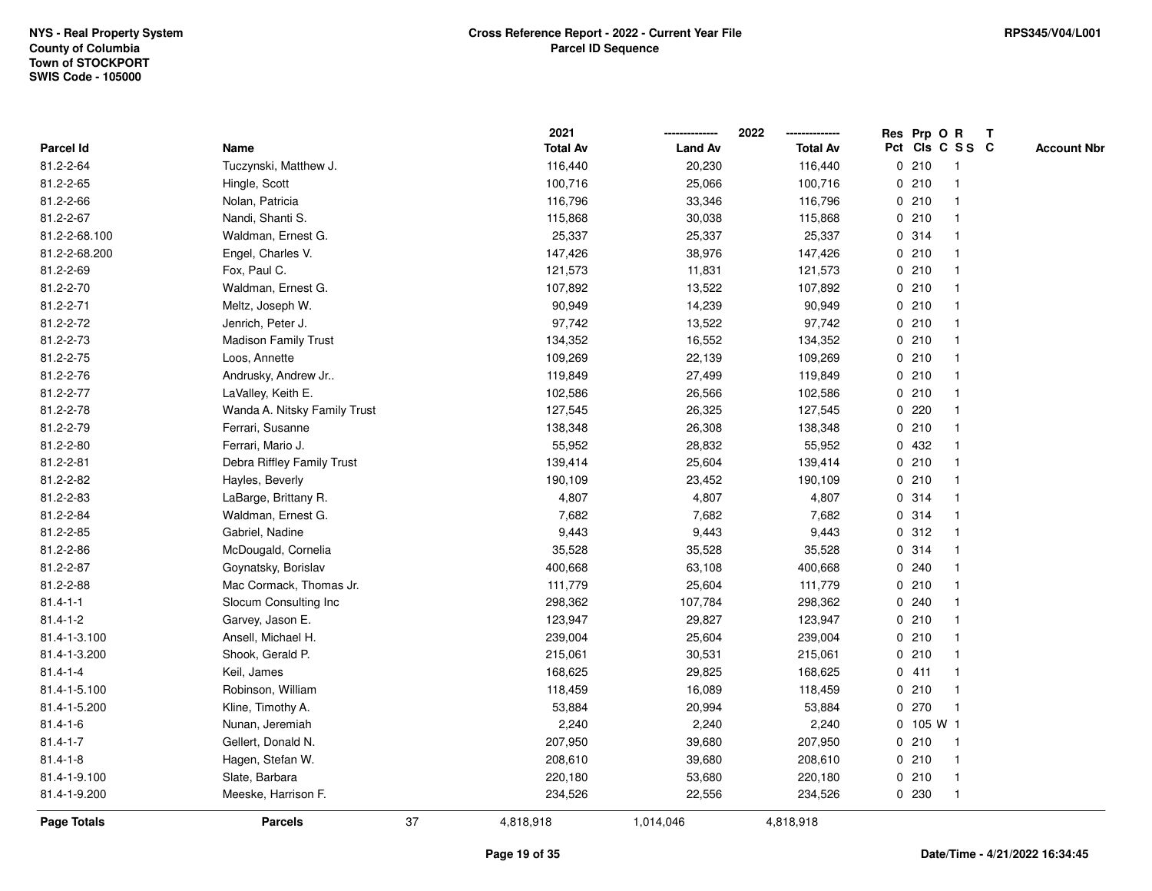|                |                              |    | 2021            |                | 2022            |           | Res Prp O R             | T |                    |
|----------------|------------------------------|----|-----------------|----------------|-----------------|-----------|-------------------------|---|--------------------|
| Parcel Id      | Name                         |    | <b>Total Av</b> | <b>Land Av</b> | <b>Total Av</b> |           | Pct Cls C S S C         |   | <b>Account Nbr</b> |
| 81.2-2-64      | Tuczynski, Matthew J.        |    | 116,440         | 20,230         | 116,440         | 0210      | $\mathbf{1}$            |   |                    |
| 81.2-2-65      | Hingle, Scott                |    | 100,716         | 25,066         | 100,716         | 0210      | -1                      |   |                    |
| 81.2-2-66      | Nolan, Patricia              |    | 116,796         | 33,346         | 116,796         | 0210      | $\mathbf 1$             |   |                    |
| 81.2-2-67      | Nandi, Shanti S.             |    | 115,868         | 30,038         | 115,868         | 0210      |                         |   |                    |
| 81.2-2-68.100  | Waldman, Ernest G.           |    | 25,337          | 25,337         | 25,337          | 0 314     |                         |   |                    |
| 81.2-2-68.200  | Engel, Charles V.            |    | 147,426         | 38,976         | 147,426         | 0210      |                         |   |                    |
| 81.2-2-69      | Fox, Paul C.                 |    | 121,573         | 11,831         | 121,573         | 0210      | -1                      |   |                    |
| 81.2-2-70      | Waldman, Ernest G.           |    | 107,892         | 13,522         | 107,892         | 0210      |                         |   |                    |
| 81.2-2-71      | Meltz, Joseph W.             |    | 90,949          | 14,239         | 90,949          | 0210      | $\mathbf 1$             |   |                    |
| 81.2-2-72      | Jenrich, Peter J.            |    | 97,742          | 13,522         | 97,742          | 0210      | $\mathbf 1$             |   |                    |
| 81.2-2-73      | <b>Madison Family Trust</b>  |    | 134,352         | 16,552         | 134,352         | 0210      | -1                      |   |                    |
| 81.2-2-75      | Loos, Annette                |    | 109,269         | 22,139         | 109,269         | 0210      |                         |   |                    |
| 81.2-2-76      | Andrusky, Andrew Jr          |    | 119,849         | 27,499         | 119,849         | 0210      |                         |   |                    |
| 81.2-2-77      | LaValley, Keith E.           |    | 102,586         | 26,566         | 102,586         | 0210      |                         |   |                    |
| 81.2-2-78      | Wanda A. Nitsky Family Trust |    | 127,545         | 26,325         | 127,545         | 0.220     |                         |   |                    |
| 81.2-2-79      | Ferrari, Susanne             |    | 138,348         | 26,308         | 138,348         | 0210      | $\mathbf{1}$            |   |                    |
| 81.2-2-80      | Ferrari, Mario J.            |    | 55,952          | 28,832         | 55,952          | 0 432     |                         |   |                    |
| 81.2-2-81      | Debra Riffley Family Trust   |    | 139,414         | 25,604         | 139,414         | 0210      |                         |   |                    |
| 81.2-2-82      | Hayles, Beverly              |    | 190,109         | 23,452         | 190,109         | 0210      |                         |   |                    |
| 81.2-2-83      | LaBarge, Brittany R.         |    | 4,807           | 4,807          | 4,807           | 0.314     |                         |   |                    |
| 81.2-2-84      | Waldman, Ernest G.           |    | 7,682           | 7,682          | 7,682           | 0.314     | $\overline{\mathbf{1}}$ |   |                    |
| 81.2-2-85      | Gabriel, Nadine              |    | 9,443           | 9,443          | 9,443           | 0.312     |                         |   |                    |
| 81.2-2-86      | McDougald, Cornelia          |    | 35,528          | 35,528         | 35,528          | 0.314     | -1                      |   |                    |
| 81.2-2-87      | Goynatsky, Borislav          |    | 400,668         | 63,108         | 400,668         | 0.240     | $\mathbf 1$             |   |                    |
| 81.2-2-88      | Mac Cormack, Thomas Jr.      |    | 111,779         | 25,604         | 111,779         | 0210      | -1                      |   |                    |
| $81.4 - 1 - 1$ | Slocum Consulting Inc        |    | 298,362         | 107,784        | 298,362         | 0.240     |                         |   |                    |
| $81.4 - 1 - 2$ | Garvey, Jason E.             |    | 123,947         | 29,827         | 123,947         | 0210      |                         |   |                    |
| 81.4-1-3.100   | Ansell, Michael H.           |    | 239,004         | 25,604         | 239,004         | 0210      | -1                      |   |                    |
| 81.4-1-3.200   | Shook, Gerald P.             |    | 215,061         | 30,531         | 215,061         | 0210      |                         |   |                    |
| $81.4 - 1 - 4$ | Keil, James                  |    | 168,625         | 29,825         | 168,625         | 0411      | -1                      |   |                    |
| 81.4-1-5.100   | Robinson, William            |    | 118,459         | 16,089         | 118,459         | 0210      | $\mathbf 1$             |   |                    |
| 81.4-1-5.200   | Kline, Timothy A.            |    | 53,884          | 20,994         | 53,884          | 0270      | -1                      |   |                    |
| $81.4 - 1 - 6$ | Nunan, Jeremiah              |    | 2,240           | 2,240          | 2,240           | 0 105 W 1 |                         |   |                    |
| $81.4 - 1 - 7$ | Gellert, Donald N.           |    | 207,950         | 39,680         | 207,950         | 0210      | -1                      |   |                    |
| $81.4 - 1 - 8$ | Hagen, Stefan W.             |    | 208,610         | 39,680         | 208,610         | 0210      | $\mathbf 1$             |   |                    |
| 81.4-1-9.100   | Slate, Barbara               |    | 220,180         | 53,680         | 220,180         | 0210      | $\mathbf 1$             |   |                    |
| 81.4-1-9.200   | Meeske, Harrison F.          |    | 234,526         | 22,556         | 234,526         | 0 230     | $\mathbf{1}$            |   |                    |
| Page Totals    | <b>Parcels</b>               | 37 | 4,818,918       | 1,014,046      | 4,818,918       |           |                         |   |                    |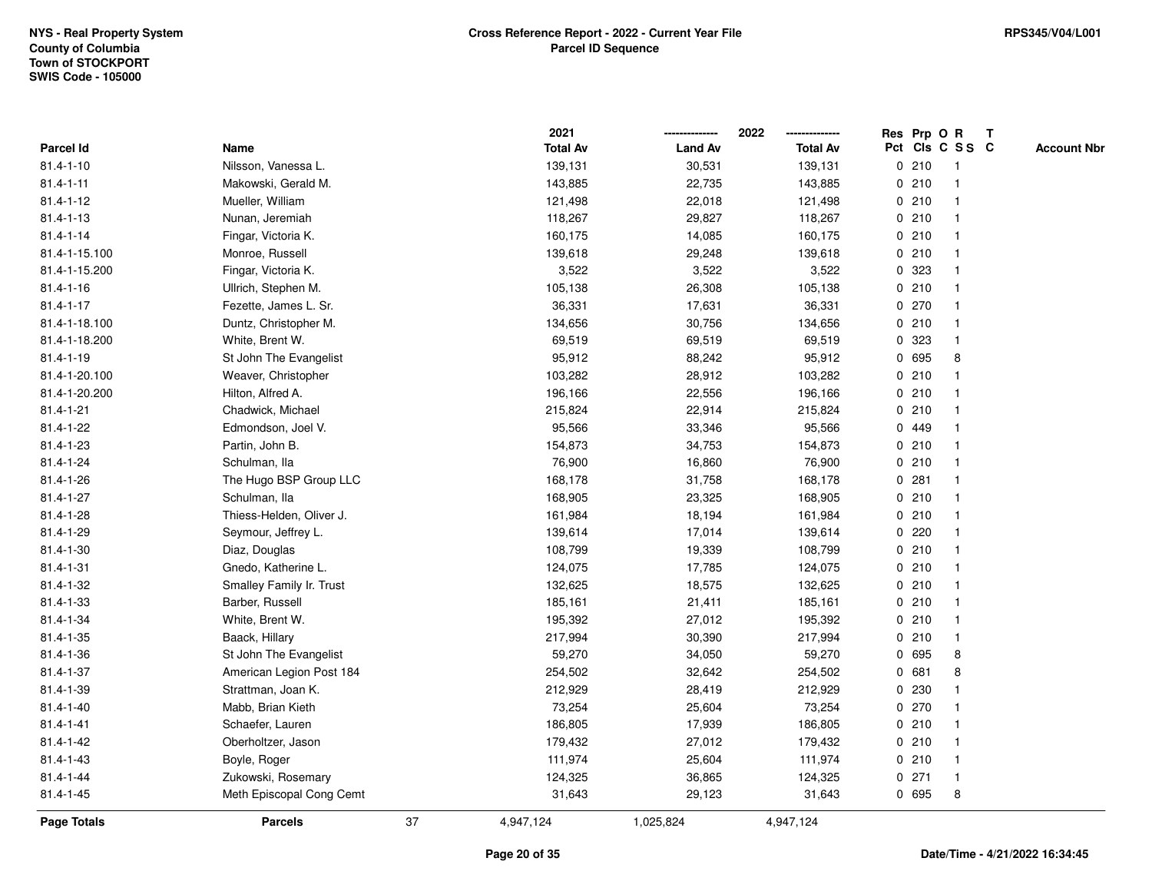|                 |                          |    | 2021            |                | 2022            |             |         | Res Prp O R             | $\mathbf{T}$ |                    |
|-----------------|--------------------------|----|-----------------|----------------|-----------------|-------------|---------|-------------------------|--------------|--------------------|
| Parcel Id       | Name                     |    | <b>Total Av</b> | <b>Land Av</b> | <b>Total Av</b> |             |         | Pct Cls C S S C         |              | <b>Account Nbr</b> |
| $81.4 - 1 - 10$ | Nilsson, Vanessa L.      |    | 139,131         | 30,531         | 139,131         |             | 0210    | -1                      |              |                    |
| $81.4 - 1 - 11$ | Makowski, Gerald M.      |    | 143,885         | 22,735         | 143,885         |             | 0210    |                         |              |                    |
| $81.4 - 1 - 12$ | Mueller, William         |    | 121,498         | 22,018         | 121,498         |             | 0210    |                         |              |                    |
| $81.4 - 1 - 13$ | Nunan, Jeremiah          |    | 118,267         | 29,827         | 118,267         | $\mathbf 0$ | 210     | -1                      |              |                    |
| $81.4 - 1 - 14$ | Fingar, Victoria K.      |    | 160,175         | 14,085         | 160,175         |             | 0210    | $\mathbf{1}$            |              |                    |
| 81.4-1-15.100   | Monroe, Russell          |    | 139,618         | 29,248         | 139,618         |             | 0210    | $\mathbf 1$             |              |                    |
| 81.4-1-15.200   | Fingar, Victoria K.      |    | 3,522           | 3,522          | 3,522           |             | 0 323   |                         |              |                    |
| $81.4 - 1 - 16$ | Ullrich, Stephen M.      |    | 105,138         | 26,308         | 105,138         |             | 0210    |                         |              |                    |
| $81.4 - 1 - 17$ | Fezette, James L. Sr.    |    | 36,331          | 17,631         | 36,331          |             | 0 270   |                         |              |                    |
| 81.4-1-18.100   | Duntz, Christopher M.    |    | 134,656         | 30,756         | 134,656         |             | 0210    |                         |              |                    |
| 81.4-1-18.200   | White, Brent W.          |    | 69,519          | 69,519         | 69,519          | 0           | 323     | $\mathbf{1}$            |              |                    |
| $81.4 - 1 - 19$ | St John The Evangelist   |    | 95,912          | 88,242         | 95,912          |             | 0 695   | 8                       |              |                    |
| 81.4-1-20.100   | Weaver, Christopher      |    | 103,282         | 28,912         | 103,282         |             | 0210    |                         |              |                    |
| 81.4-1-20.200   | Hilton, Alfred A.        |    | 196,166         | 22,556         | 196,166         |             | 0210    |                         |              |                    |
| $81.4 - 1 - 21$ | Chadwick, Michael        |    | 215,824         | 22,914         | 215,824         |             | 0210    |                         |              |                    |
| 81.4-1-22       | Edmondson, Joel V.       |    | 95,566          | 33,346         | 95,566          |             | 0 449   |                         |              |                    |
| 81.4-1-23       | Partin, John B.          |    | 154,873         | 34,753         | 154,873         | 0           | 210     | $\overline{\mathbf{1}}$ |              |                    |
| 81.4-1-24       | Schulman, Ila            |    | 76,900          | 16,860         | 76,900          | 0           | 210     | $\mathbf{1}$            |              |                    |
| 81.4-1-26       | The Hugo BSP Group LLC   |    | 168,178         | 31,758         | 168,178         |             | 0.281   | $\mathbf 1$             |              |                    |
| $81.4 - 1 - 27$ | Schulman, Ila            |    | 168,905         | 23,325         | 168,905         |             | 0210    |                         |              |                    |
| 81.4-1-28       | Thiess-Helden, Oliver J. |    | 161,984         | 18,194         | 161,984         |             | 0210    |                         |              |                    |
| 81.4-1-29       | Seymour, Jeffrey L.      |    | 139,614         | 17,014         | 139,614         |             | 0.220   |                         |              |                    |
| 81.4-1-30       | Diaz, Douglas            |    | 108,799         | 19,339         | 108,799         |             | 0210    |                         |              |                    |
| $81.4 - 1 - 31$ | Gnedo, Katherine L.      |    | 124,075         | 17,785         | 124,075         | 0           | 210     | -1                      |              |                    |
| 81.4-1-32       | Smalley Family Ir. Trust |    | 132,625         | 18,575         | 132,625         |             | 0210    | -1                      |              |                    |
| 81.4-1-33       | Barber, Russell          |    | 185,161         | 21,411         | 185,161         |             | 0210    | $\mathbf 1$             |              |                    |
| $81.4 - 1 - 34$ | White, Brent W.          |    | 195,392         | 27,012         | 195,392         |             | 0210    |                         |              |                    |
| 81.4-1-35       | Baack, Hillary           |    | 217,994         | 30,390         | 217,994         |             | 0210    |                         |              |                    |
| $81.4 - 1 - 36$ | St John The Evangelist   |    | 59,270          | 34,050         | 59,270          |             | 0 695   | 8                       |              |                    |
| 81.4-1-37       | American Legion Post 184 |    | 254,502         | 32,642         | 254,502         | 0           | 681     | 8                       |              |                    |
| 81.4-1-39       | Strattman, Joan K.       |    | 212,929         | 28,419         | 212,929         | 0           | 230     | $\mathbf 1$             |              |                    |
| $81.4 - 1 - 40$ | Mabb, Brian Kieth        |    | 73,254          | 25,604         | 73,254          |             | 0 270   | -1                      |              |                    |
| $81.4 - 1 - 41$ | Schaefer, Lauren         |    | 186,805         | 17,939         | 186,805         |             | 0210    |                         |              |                    |
| 81.4-1-42       | Oberholtzer, Jason       |    | 179,432         | 27,012         | 179,432         |             | 0210    |                         |              |                    |
| 81.4-1-43       | Boyle, Roger             |    | 111,974         | 25,604         | 111,974         |             | 0210    | $\overline{\mathbf{1}}$ |              |                    |
| $81.4 - 1 - 44$ | Zukowski, Rosemary       |    | 124,325         | 36,865         | 124,325         |             | $0$ 271 | $\mathbf{1}$            |              |                    |
| 81.4-1-45       | Meth Episcopal Cong Cemt |    | 31,643          | 29,123         | 31,643          |             | 0 695   | 8                       |              |                    |
| Page Totals     | <b>Parcels</b>           | 37 | 4,947,124       | 1,025,824      | 4,947,124       |             |         |                         |              |                    |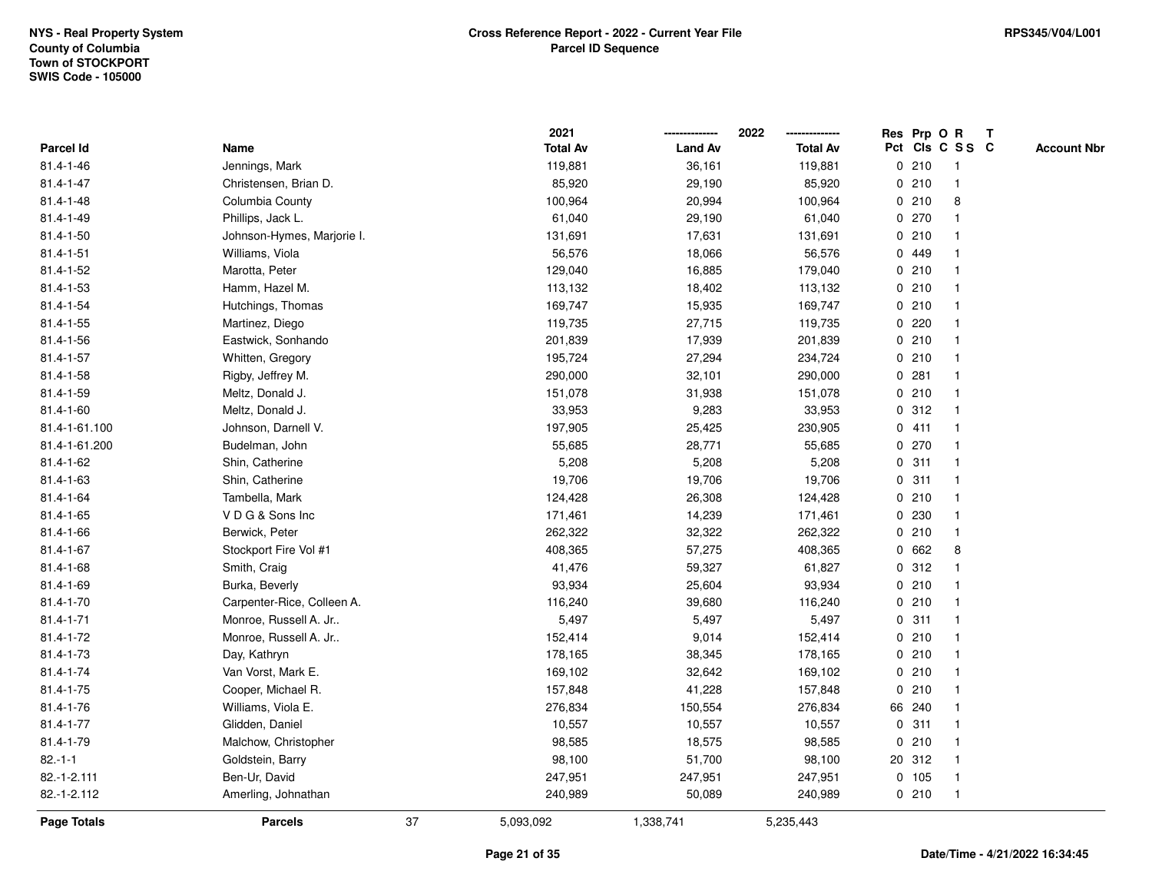|                 |                            |    | 2021            |                | 2022            |   |        | Res Prp O R             | T |                    |
|-----------------|----------------------------|----|-----------------|----------------|-----------------|---|--------|-------------------------|---|--------------------|
| Parcel Id       | Name                       |    | <b>Total Av</b> | <b>Land Av</b> | <b>Total Av</b> |   |        | Pct Cls C S S C         |   | <b>Account Nbr</b> |
| 81.4-1-46       | Jennings, Mark             |    | 119,881         | 36,161         | 119,881         |   | 0210   | $\mathbf{1}$            |   |                    |
| $81.4 - 1 - 47$ | Christensen, Brian D.      |    | 85,920          | 29,190         | 85,920          | 0 | 210    | $\mathbf{1}$            |   |                    |
| $81.4 - 1 - 48$ | Columbia County            |    | 100,964         | 20,994         | 100,964         |   | 0210   | 8                       |   |                    |
| 81.4-1-49       | Phillips, Jack L.          |    | 61,040          | 29,190         | 61,040          |   | 0 270  |                         |   |                    |
| $81.4 - 1 - 50$ | Johnson-Hymes, Marjorie I. |    | 131,691         | 17,631         | 131,691         |   | 0210   |                         |   |                    |
| $81.4 - 1 - 51$ | Williams, Viola            |    | 56,576          | 18,066         | 56,576          |   | 0 449  |                         |   |                    |
| 81.4-1-52       | Marotta, Peter             |    | 129,040         | 16,885         | 179,040         |   | 0210   |                         |   |                    |
| 81.4-1-53       | Hamm, Hazel M.             |    | 113,132         | 18,402         | 113,132         | 0 | 210    | -1                      |   |                    |
| 81.4-1-54       | Hutchings, Thomas          |    | 169,747         | 15,935         | 169,747         |   | 0210   | $\overline{\mathbf{1}}$ |   |                    |
| $81.4 - 1 - 55$ | Martinez, Diego            |    | 119,735         | 27,715         | 119,735         |   | 0.220  | -1                      |   |                    |
| 81.4-1-56       | Eastwick, Sonhando         |    | 201,839         | 17,939         | 201,839         |   | 0210   |                         |   |                    |
| 81.4-1-57       | Whitten, Gregory           |    | 195,724         | 27,294         | 234,724         |   | 0210   |                         |   |                    |
| 81.4-1-58       | Rigby, Jeffrey M.          |    | 290,000         | 32,101         | 290,000         | 0 | 281    |                         |   |                    |
| 81.4-1-59       | Meltz, Donald J.           |    | 151,078         | 31,938         | 151,078         |   | 0210   | $\overline{\mathbf{1}}$ |   |                    |
| 81.4-1-60       | Meltz, Donald J.           |    | 33,953          | 9,283          | 33,953          | 0 | 312    | -1                      |   |                    |
| 81.4-1-61.100   | Johnson, Darnell V.        |    | 197,905         | 25,425         | 230,905         |   | 0411   | -1                      |   |                    |
| 81.4-1-61.200   | Budelman, John             |    | 55,685          | 28,771         | 55,685          |   | 0 270  | $\mathbf{1}$            |   |                    |
| 81.4-1-62       | Shin, Catherine            |    | 5,208           | 5,208          | 5,208           |   | 0.311  |                         |   |                    |
| $81.4 - 1 - 63$ | Shin, Catherine            |    | 19,706          | 19,706         | 19,706          |   | 0.311  |                         |   |                    |
| $81.4 - 1 - 64$ | Tambella, Mark             |    | 124,428         | 26,308         | 124,428         |   | 0210   |                         |   |                    |
| $81.4 - 1 - 65$ | VDG& Sons Inc              |    | 171,461         | 14,239         | 171,461         |   | 0230   | $\overline{\mathbf{1}}$ |   |                    |
| 81.4-1-66       | Berwick, Peter             |    | 262,322         | 32,322         | 262,322         | 0 | 210    | $\overline{\mathbf{1}}$ |   |                    |
| $81.4 - 1 - 67$ | Stockport Fire Vol #1      |    | 408,365         | 57,275         | 408,365         |   | 0 662  | 8                       |   |                    |
| 81.4-1-68       | Smith, Craig               |    | 41,476          | 59,327         | 61,827          |   | 0.312  |                         |   |                    |
| 81.4-1-69       | Burka, Beverly             |    | 93,934          | 25,604         | 93,934          |   | 0210   |                         |   |                    |
| 81.4-1-70       | Carpenter-Rice, Colleen A. |    | 116,240         | 39,680         | 116,240         |   | 0210   |                         |   |                    |
| $81.4 - 1 - 71$ | Monroe, Russell A. Jr      |    | 5,497           | 5,497          | 5,497           |   | 0.311  |                         |   |                    |
| 81.4-1-72       | Monroe, Russell A. Jr      |    | 152,414         | 9,014          | 152,414         |   | 0210   |                         |   |                    |
| 81.4-1-73       | Day, Kathryn               |    | 178,165         | 38,345         | 178,165         | 0 | 210    | -1                      |   |                    |
| 81.4-1-74       | Van Vorst, Mark E.         |    | 169,102         | 32,642         | 169,102         | 0 | 210    | $\overline{\mathbf{1}}$ |   |                    |
| 81.4-1-75       | Cooper, Michael R.         |    | 157,848         | 41,228         | 157,848         |   | 0210   | $\mathbf{1}$            |   |                    |
| 81.4-1-76       | Williams, Viola E.         |    | 276,834         | 150,554        | 276,834         |   | 66 240 |                         |   |                    |
| $81.4 - 1 - 77$ | Glidden, Daniel            |    | 10,557          | 10,557         | 10,557          |   | 0.311  |                         |   |                    |
| 81.4-1-79       | Malchow, Christopher       |    | 98,585          | 18,575         | 98,585          |   | 0210   |                         |   |                    |
| $82.-1-1$       | Goldstein, Barry           |    | 98,100          | 51,700         | 98,100          |   | 20 312 | $\mathbf{1}$            |   |                    |
| 82.-1-2.111     | Ben-Ur, David              |    | 247,951         | 247,951        | 247,951         |   | 0 105  | $\mathbf{1}$            |   |                    |
| 82.-1-2.112     | Amerling, Johnathan        |    | 240,989         | 50,089         | 240,989         |   | 0210   | $\mathbf{1}$            |   |                    |
| Page Totals     | <b>Parcels</b>             | 37 | 5,093,092       | 1,338,741      | 5,235,443       |   |        |                         |   |                    |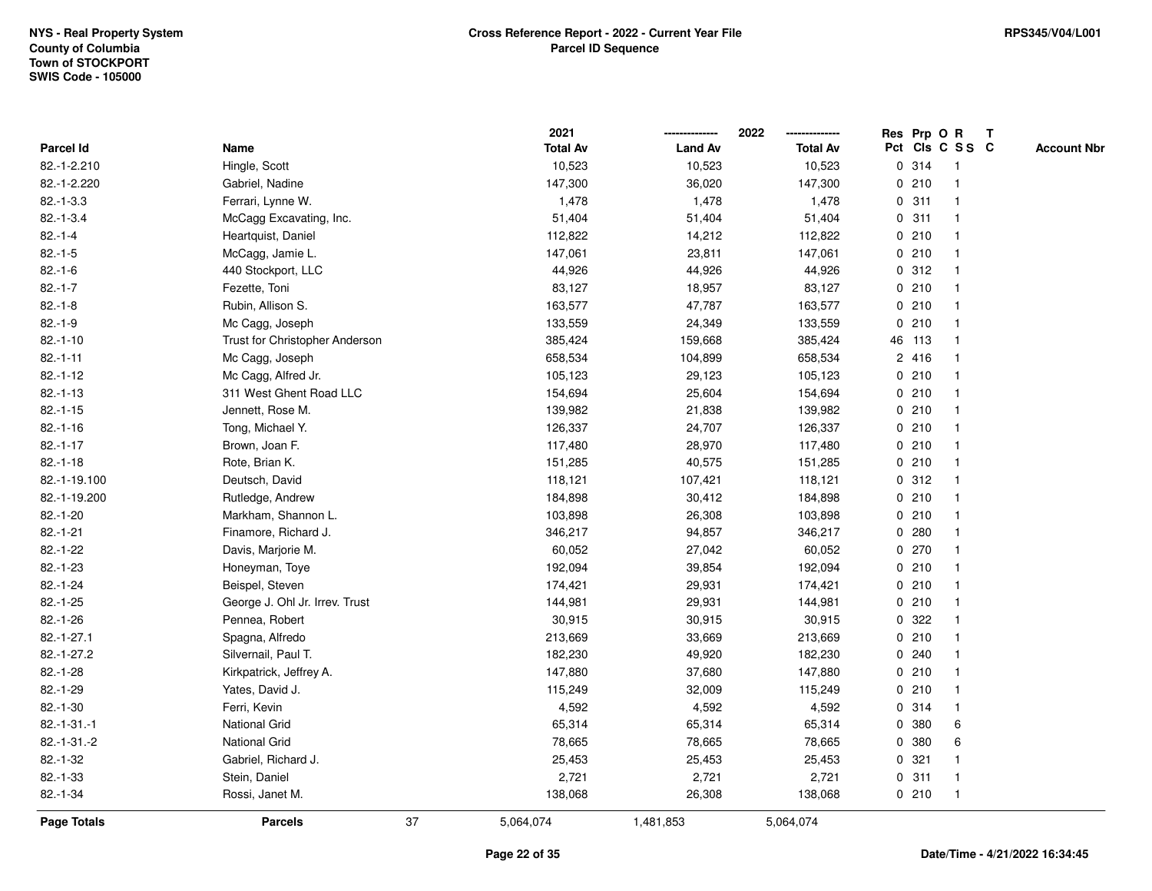|                    |                                |    | 2021            |                | 2022            |   |        | Res Prp O R     | T |                    |
|--------------------|--------------------------------|----|-----------------|----------------|-----------------|---|--------|-----------------|---|--------------------|
| Parcel Id          | Name                           |    | <b>Total Av</b> | <b>Land Av</b> | <b>Total Av</b> |   |        | Pct Cls C S S C |   | <b>Account Nbr</b> |
| 82.-1-2.210        | Hingle, Scott                  |    | 10,523          | 10,523         | 10,523          |   | 0 314  | $\mathbf{1}$    |   |                    |
| 82.-1-2.220        | Gabriel, Nadine                |    | 147,300         | 36,020         | 147,300         | 0 | 210    | $\overline{1}$  |   |                    |
| $82.-1-3.3$        | Ferrari, Lynne W.              |    | 1,478           | 1,478          | 1,478           |   | 0.311  | -1              |   |                    |
| $82.-1-3.4$        | McCagg Excavating, Inc.        |    | 51,404          | 51,404         | 51,404          |   | 0.311  |                 |   |                    |
| $82.-1-4$          | Heartquist, Daniel             |    | 112,822         | 14,212         | 112,822         |   | 0210   |                 |   |                    |
| $82.-1-5$          | McCagg, Jamie L.               |    | 147,061         | 23,811         | 147,061         |   | 0210   |                 |   |                    |
| $82.-1-6$          | 440 Stockport, LLC             |    | 44,926          | 44,926         | 44,926          |   | 0.312  |                 |   |                    |
| $82.-1-7$          | Fezette, Toni                  |    | 83,127          | 18,957         | 83,127          |   | 0210   | $\overline{1}$  |   |                    |
| $82.-1-8$          | Rubin, Allison S.              |    | 163,577         | 47,787         | 163,577         |   | 0210   | -1              |   |                    |
| $82.-1-9$          | Mc Cagg, Joseph                |    | 133,559         | 24,349         | 133,559         |   | 0210   | $\mathbf{1}$    |   |                    |
| $82.-1-10$         | Trust for Christopher Anderson |    | 385,424         | 159,668        | 385,424         |   | 46 113 |                 |   |                    |
| $82.-1-11$         | Mc Cagg, Joseph                |    | 658,534         | 104,899        | 658,534         |   | 2 416  |                 |   |                    |
| $82.-1-12$         | Mc Cagg, Alfred Jr.            |    | 105,123         | 29,123         | 105,123         |   | 0210   |                 |   |                    |
| $82.-1-13$         | 311 West Ghent Road LLC        |    | 154,694         | 25,604         | 154,694         |   | 0210   | -1              |   |                    |
| $82.-1-15$         | Jennett, Rose M.               |    | 139,982         | 21,838         | 139,982         |   | 0210   |                 |   |                    |
| $82.-1-16$         | Tong, Michael Y.               |    | 126,337         | 24,707         | 126,337         |   | 0210   | $\overline{1}$  |   |                    |
| $82.-1-17$         | Brown, Joan F.                 |    | 117,480         | 28,970         | 117,480         |   | 0210   | $\overline{1}$  |   |                    |
| $82.-1-18$         | Rote, Brian K.                 |    | 151,285         | 40,575         | 151,285         |   | 0210   |                 |   |                    |
| 82.-1-19.100       | Deutsch, David                 |    | 118,121         | 107,421        | 118,121         |   | 0.312  |                 |   |                    |
| 82.-1-19.200       | Rutledge, Andrew               |    | 184,898         | 30,412         | 184,898         |   | 0210   |                 |   |                    |
| $82.-1-20$         | Markham, Shannon L.            |    | 103,898         | 26,308         | 103,898         |   | 0210   |                 |   |                    |
| $82.-1-21$         | Finamore, Richard J.           |    | 346,217         | 94,857         | 346,217         |   | 0.280  |                 |   |                    |
| $82.-1-22$         | Davis, Marjorie M.             |    | 60,052          | 27,042         | 60,052          |   | 0270   | -1              |   |                    |
| $82.-1-23$         | Honeyman, Toye                 |    | 192,094         | 39,854         | 192,094         |   | 0210   | $\overline{1}$  |   |                    |
| $82.-1-24$         | Beispel, Steven                |    | 174,421         | 29,931         | 174,421         |   | 0210   | -1              |   |                    |
| $82 - 1 - 25$      | George J. Ohl Jr. Irrev. Trust |    | 144,981         | 29,931         | 144,981         |   | 0210   |                 |   |                    |
| $82.-1-26$         | Pennea, Robert                 |    | 30,915          | 30,915         | 30,915          |   | 0 322  |                 |   |                    |
| $82.-1-27.1$       | Spagna, Alfredo                |    | 213,669         | 33,669         | 213,669         |   | 0210   |                 |   |                    |
| 82.-1-27.2         | Silvernail, Paul T.            |    | 182,230         | 49,920         | 182,230         |   | 0.240  |                 |   |                    |
| $82.-1-28$         | Kirkpatrick, Jeffrey A.        |    | 147,880         | 37,680         | 147,880         | 0 | 210    |                 |   |                    |
| 82.-1-29           | Yates, David J.                |    | 115,249         | 32,009         | 115,249         |   | 0210   | -1              |   |                    |
| $82.-1-30$         | Ferri, Kevin                   |    | 4,592           | 4,592          | 4,592           |   | 0.314  | $\mathbf{1}$    |   |                    |
| $82.-1-31.-1$      | <b>National Grid</b>           |    | 65,314          | 65,314         | 65,314          |   | 0 380  | 6               |   |                    |
| 82.-1-31.-2        | <b>National Grid</b>           |    | 78,665          | 78,665         | 78,665          |   | 0 380  | 6               |   |                    |
| $82 - 1 - 32$      | Gabriel, Richard J.            |    | 25,453          | 25,453         | 25,453          |   | 0.321  |                 |   |                    |
| $82.-1-33$         | Stein, Daniel                  |    | 2,721           | 2,721          | 2,721           |   | 0.311  | -1              |   |                    |
| $82.-1-34$         | Rossi, Janet M.                |    | 138,068         | 26,308         | 138,068         |   | 0210   | $\overline{1}$  |   |                    |
| <b>Page Totals</b> | <b>Parcels</b>                 | 37 | 5,064,074       | 1,481,853      | 5,064,074       |   |        |                 |   |                    |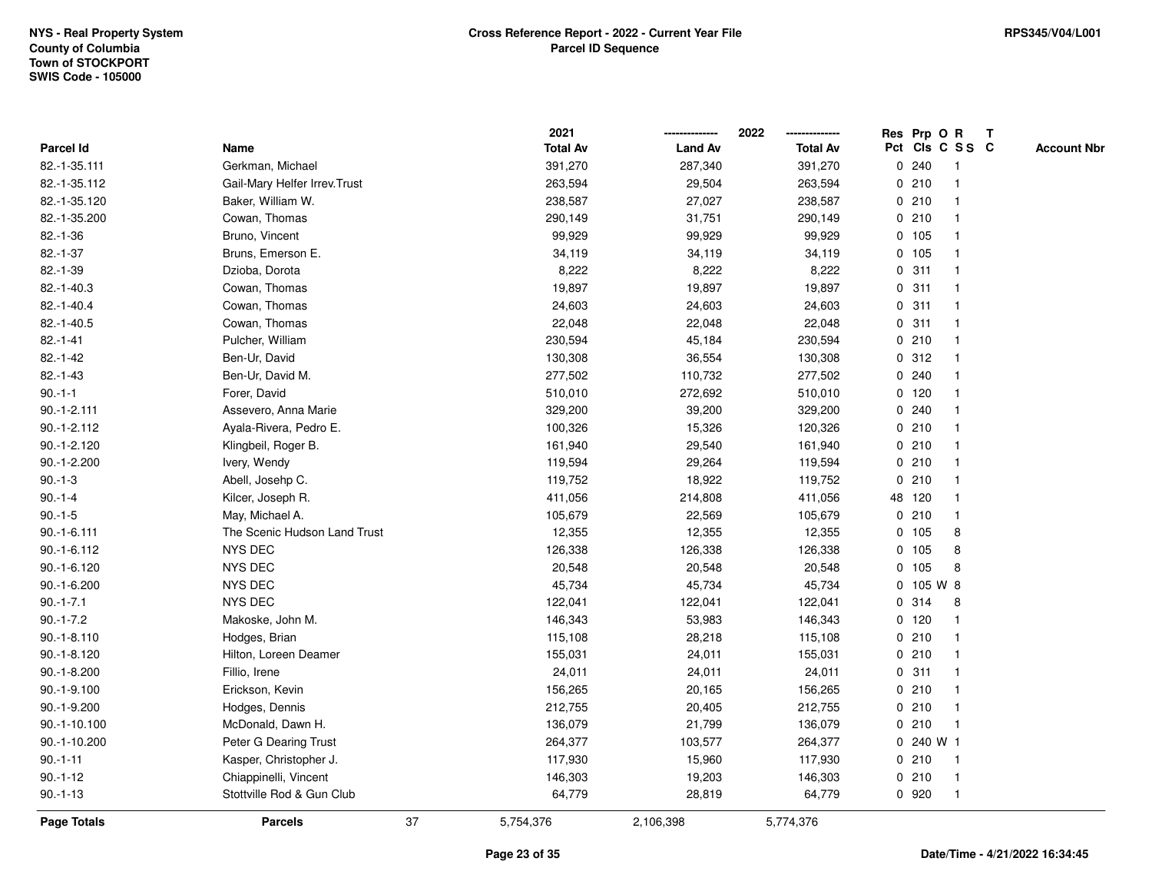|               |                               |    | 2021            |                | 2022            |              |           | Res Prp O R     | Т |                    |
|---------------|-------------------------------|----|-----------------|----------------|-----------------|--------------|-----------|-----------------|---|--------------------|
| Parcel Id     | Name                          |    | <b>Total Av</b> | <b>Land Av</b> | <b>Total Av</b> |              |           | Pct Cls C S S C |   | <b>Account Nbr</b> |
| 82.-1-35.111  | Gerkman, Michael              |    | 391,270         | 287,340        | 391,270         |              | 0.240     | $\mathbf{1}$    |   |                    |
| 82.-1-35.112  | Gail-Mary Helfer Irrev. Trust |    | 263,594         | 29,504         | 263,594         |              | 0210      | 1               |   |                    |
| 82.-1-35.120  | Baker, William W.             |    | 238,587         | 27,027         | 238,587         |              | 0210      | $\mathbf{1}$    |   |                    |
| 82.-1-35.200  | Cowan, Thomas                 |    | 290,149         | 31,751         | 290,149         |              | 0210      | -1              |   |                    |
| $82.-1-36$    | Bruno, Vincent                |    | 99,929          | 99,929         | 99,929          |              | 0 105     |                 |   |                    |
| $82.-1-37$    | Bruns, Emerson E.             |    | 34,119          | 34,119         | 34,119          |              | 0 105     |                 |   |                    |
| $82.-1-39$    | Dzioba, Dorota                |    | 8,222           | 8,222          | 8,222           |              | 0.311     | $\mathbf{1}$    |   |                    |
| 82.-1-40.3    | Cowan, Thomas                 |    | 19,897          | 19,897         | 19,897          | 0            | 311       | $\mathbf{1}$    |   |                    |
| $82.-1-40.4$  | Cowan, Thomas                 |    | 24,603          | 24,603         | 24,603          |              | 0.311     | 1               |   |                    |
| $82.-1-40.5$  | Cowan, Thomas                 |    | 22,048          | 22,048         | 22,048          |              | 0.311     | 1               |   |                    |
| $82.-1-41$    | Pulcher, William              |    | 230,594         | 45,184         | 230,594         |              | 0210      | $\mathbf 1$     |   |                    |
| $82.-1-42$    | Ben-Ur, David                 |    | 130,308         | 36,554         | 130,308         |              | 0.312     |                 |   |                    |
| $82.-1-43$    | Ben-Ur, David M.              |    | 277,502         | 110,732        | 277,502         |              | 0.240     |                 |   |                    |
| $90.-1-1$     | Forer, David                  |    | 510,010         | 272,692        | 510,010         |              | $0$ 120   | $\mathbf 1$     |   |                    |
| $90.-1-2.111$ | Assevero, Anna Marie          |    | 329,200         | 39,200         | 329,200         |              | 0.240     | $\mathbf{1}$    |   |                    |
| $90.-1-2.112$ | Ayala-Rivera, Pedro E.        |    | 100,326         | 15,326         | 120,326         |              | 0210      | $\mathbf{1}$    |   |                    |
| $90.-1-2.120$ | Klingbeil, Roger B.           |    | 161,940         | 29,540         | 161,940         |              | 0210      | $\mathbf{1}$    |   |                    |
| 90.-1-2.200   | Ivery, Wendy                  |    | 119,594         | 29,264         | 119,594         |              | 0210      | 1               |   |                    |
| $90.-1-3$     | Abell, Josehp C.              |    | 119,752         | 18,922         | 119,752         |              | 0210      | 1               |   |                    |
| $90.-1-4$     | Kilcer, Joseph R.             |    | 411,056         | 214,808        | 411,056         |              | 48 120    |                 |   |                    |
| $90.-1-5$     | May, Michael A.               |    | 105,679         | 22,569         | 105,679         |              | 0210      | $\mathbf{1}$    |   |                    |
| $90.-1-6.111$ | The Scenic Hudson Land Trust  |    | 12,355          | 12,355         | 12,355          |              | 0 105     | 8               |   |                    |
| $90.-1-6.112$ | NYS DEC                       |    | 126,338         | 126,338        | 126,338         |              | 0, 105    | 8               |   |                    |
| 90.-1-6.120   | NYS DEC                       |    | 20,548          | 20,548         | 20,548          | $\mathbf{0}$ | 105       | 8               |   |                    |
| $90.-1-6.200$ | NYS DEC                       |    | 45,734          | 45,734         | 45,734          |              | 0 105 W 8 |                 |   |                    |
| $90.-1-7.1$   | <b>NYS DEC</b>                |    | 122,041         | 122,041        | 122,041         |              | 0.314     | 8               |   |                    |
| $90.-1-7.2$   | Makoske, John M.              |    | 146,343         | 53,983         | 146,343         |              | $0$ 120   |                 |   |                    |
| $90.-1-8.110$ | Hodges, Brian                 |    | 115,108         | 28,218         | 115,108         |              | 0210      | $\mathbf{1}$    |   |                    |
| $90.-1-8.120$ | Hilton, Loreen Deamer         |    | 155,031         | 24,011         | 155,031         |              | 0210      | $\mathbf{1}$    |   |                    |
| 90.-1-8.200   | Fillio, Irene                 |    | 24,011          | 24,011         | 24,011          |              | 0.311     | $\mathbf 1$     |   |                    |
| 90.-1-9.100   | Erickson, Kevin               |    | 156,265         | 20,165         | 156,265         |              | 0210      | 1               |   |                    |
| 90.-1-9.200   | Hodges, Dennis                |    | 212,755         | 20,405         | 212,755         |              | 0210      | 1               |   |                    |
| 90.-1-10.100  | McDonald, Dawn H.             |    | 136,079         | 21,799         | 136,079         |              | 0210      | $\mathbf 1$     |   |                    |
| 90.-1-10.200  | Peter G Dearing Trust         |    | 264,377         | 103,577        | 264,377         |              | 0 240 W 1 |                 |   |                    |
| $90.-1-11$    | Kasper, Christopher J.        |    | 117,930         | 15,960         | 117,930         |              | 0210      | 1               |   |                    |
| $90.-1-12$    | Chiappinelli, Vincent         |    | 146,303         | 19,203         | 146,303         |              | 0210      | $\mathbf{1}$    |   |                    |
| $90.-1-13$    | Stottville Rod & Gun Club     |    | 64,779          | 28,819         | 64,779          |              | 0 920     | $\mathbf{1}$    |   |                    |
| Page Totals   | <b>Parcels</b>                | 37 | 5,754,376       | 2,106,398      | 5,774,376       |              |           |                 |   |                    |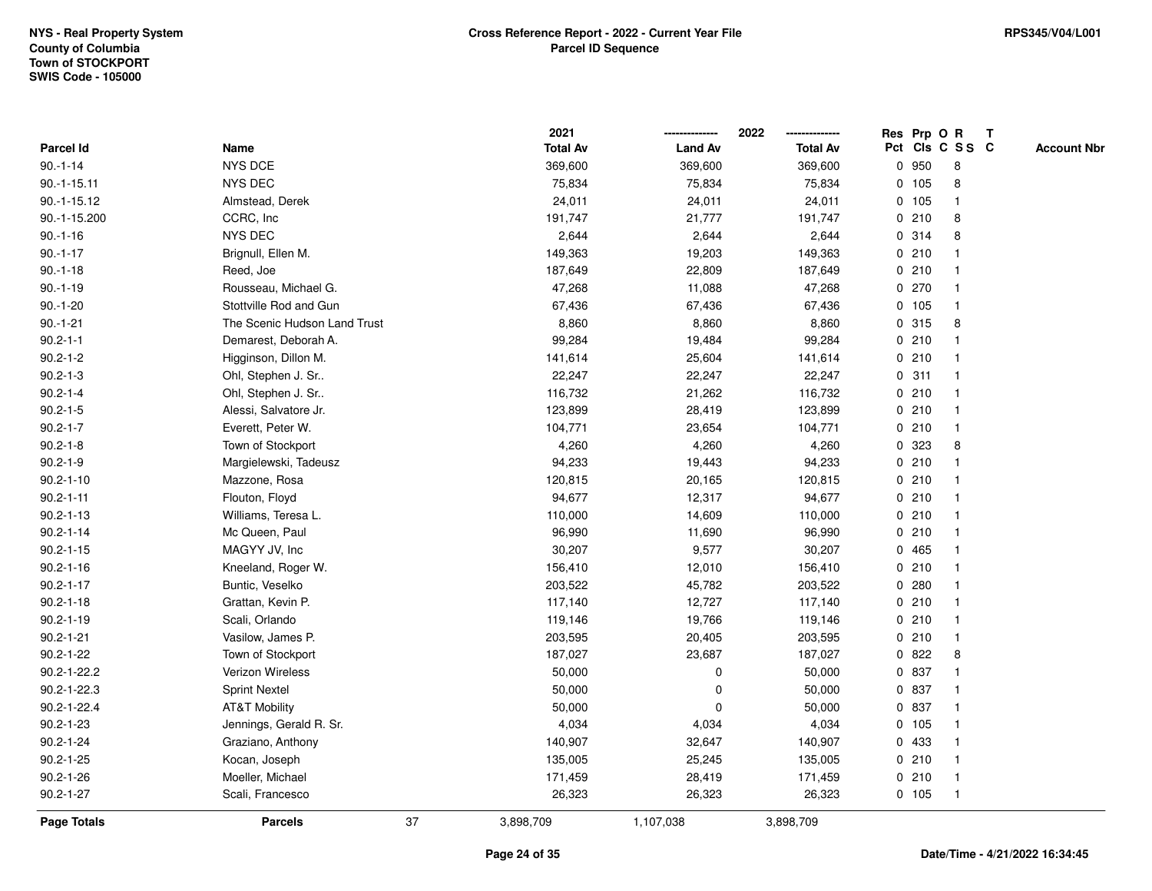|                    |                              |    | 2021            |                | 2022            |       | Res Prp O R     | Т |                    |
|--------------------|------------------------------|----|-----------------|----------------|-----------------|-------|-----------------|---|--------------------|
| Parcel Id          | Name                         |    | <b>Total Av</b> | <b>Land Av</b> | <b>Total Av</b> |       | Pct Cls C S S C |   | <b>Account Nbr</b> |
| $90.-1-14$         | NYS DCE                      |    | 369,600         | 369,600        | 369,600         | 0 950 | 8               |   |                    |
| $90.-1-15.11$      | NYS DEC                      |    | 75,834          | 75,834         | 75,834          | 0 105 | 8               |   |                    |
| $90.-1-15.12$      | Almstead, Derek              |    | 24,011          | 24,011         | 24,011          | 0 105 | $\mathbf{1}$    |   |                    |
| 90.-1-15.200       | CCRC, Inc                    |    | 191,747         | 21,777         | 191,747         | 0210  | 8               |   |                    |
| $90.-1-16$         | NYS DEC                      |    | 2,644           | 2,644          | 2,644           | 0.314 | 8               |   |                    |
| $90.-1-17$         | Brignull, Ellen M.           |    | 149,363         | 19,203         | 149,363         | 0210  | $\mathbf 1$     |   |                    |
| $90.-1-18$         | Reed, Joe                    |    | 187,649         | 22,809         | 187,649         | 0210  | $\mathbf 1$     |   |                    |
| $90.-1-19$         | Rousseau, Michael G.         |    | 47,268          | 11,088         | 47,268          | 0270  | $\mathbf{1}$    |   |                    |
| $90.-1-20$         | Stottville Rod and Gun       |    | 67,436          | 67,436         | 67,436          | 0 105 | $\mathbf{1}$    |   |                    |
| $90.-1-21$         | The Scenic Hudson Land Trust |    | 8,860           | 8,860          | 8,860           | 0.315 | 8               |   |                    |
| $90.2 - 1 - 1$     | Demarest, Deborah A.         |    | 99,284          | 19,484         | 99,284          | 0210  | $\mathbf{1}$    |   |                    |
| $90.2 - 1 - 2$     | Higginson, Dillon M.         |    | 141,614         | 25,604         | 141,614         | 0210  | $\mathbf 1$     |   |                    |
| $90.2 - 1 - 3$     | Ohl, Stephen J. Sr           |    | 22,247          | 22,247         | 22,247          | 0.311 |                 |   |                    |
| $90.2 - 1 - 4$     | Ohl, Stephen J. Sr           |    | 116,732         | 21,262         | 116,732         | 0210  | $\mathbf 1$     |   |                    |
| $90.2 - 1 - 5$     | Alessi, Salvatore Jr.        |    | 123,899         | 28,419         | 123,899         | 0210  | $\mathbf{1}$    |   |                    |
| $90.2 - 1 - 7$     | Everett, Peter W.            |    | 104,771         | 23,654         | 104,771         | 0210  | $\mathbf{1}$    |   |                    |
| $90.2 - 1 - 8$     | Town of Stockport            |    | 4,260           | 4,260          | 4,260           | 0 323 | 8               |   |                    |
| $90.2 - 1 - 9$     | Margielewski, Tadeusz        |    | 94,233          | 19,443         | 94,233          | 0210  | $\mathbf{1}$    |   |                    |
| $90.2 - 1 - 10$    | Mazzone, Rosa                |    | 120,815         | 20,165         | 120,815         | 0210  | $\mathbf{1}$    |   |                    |
| $90.2 - 1 - 11$    | Flouton, Floyd               |    | 94,677          | 12,317         | 94,677          | 0210  |                 |   |                    |
| $90.2 - 1 - 13$    | Williams, Teresa L.          |    | 110,000         | 14,609         | 110,000         | 0210  | $\mathbf{1}$    |   |                    |
| $90.2 - 1 - 14$    | Mc Queen, Paul               |    | 96,990          | 11,690         | 96,990          | 0210  | $\mathbf{1}$    |   |                    |
| $90.2 - 1 - 15$    | MAGYY JV, Inc                |    | 30,207          | 9,577          | 30,207          | 0 465 | $\mathbf{1}$    |   |                    |
| $90.2 - 1 - 16$    | Kneeland, Roger W.           |    | 156,410         | 12,010         | 156,410         | 0210  | $\mathbf{1}$    |   |                    |
| $90.2 - 1 - 17$    | Buntic, Veselko              |    | 203,522         | 45,782         | 203,522         | 0.280 | $\mathbf{1}$    |   |                    |
| $90.2 - 1 - 18$    | Grattan, Kevin P.            |    | 117,140         | 12,727         | 117,140         | 0210  | -1              |   |                    |
| $90.2 - 1 - 19$    | Scali, Orlando               |    | 119,146         | 19,766         | 119,146         | 0210  | $\mathbf 1$     |   |                    |
| $90.2 - 1 - 21$    | Vasilow, James P.            |    | 203,595         | 20,405         | 203,595         | 0210  | $\mathbf{1}$    |   |                    |
| $90.2 - 1 - 22$    | Town of Stockport            |    | 187,027         | 23,687         | 187,027         | 0822  | 8               |   |                    |
| 90.2-1-22.2        | Verizon Wireless             |    | 50,000          | $\mathbf 0$    | 50,000          | 0 837 | $\mathbf{1}$    |   |                    |
| $90.2 - 1 - 22.3$  | <b>Sprint Nextel</b>         |    | 50,000          | $\mathbf 0$    | 50,000          | 0 837 | $\mathbf{1}$    |   |                    |
| 90.2-1-22.4        | AT&T Mobility                |    | 50,000          | $\mathbf 0$    | 50,000          | 0 837 | $\mathbf{1}$    |   |                    |
| $90.2 - 1 - 23$    | Jennings, Gerald R. Sr.      |    | 4,034           | 4,034          | 4,034           | 0 105 | $\mathbf{1}$    |   |                    |
| $90.2 - 1 - 24$    | Graziano, Anthony            |    | 140,907         | 32,647         | 140,907         | 0 433 |                 |   |                    |
| $90.2 - 1 - 25$    | Kocan, Joseph                |    | 135,005         | 25,245         | 135,005         | 0210  | $\mathbf{1}$    |   |                    |
| $90.2 - 1 - 26$    | Moeller, Michael             |    | 171,459         | 28,419         | 171,459         | 0210  | $\mathbf{1}$    |   |                    |
| $90.2 - 1 - 27$    | Scali, Francesco             |    | 26,323          | 26,323         | 26,323          | 0 105 | $\mathbf{1}$    |   |                    |
| <b>Page Totals</b> | <b>Parcels</b>               | 37 | 3,898,709       | 1,107,038      | 3,898,709       |       |                 |   |                    |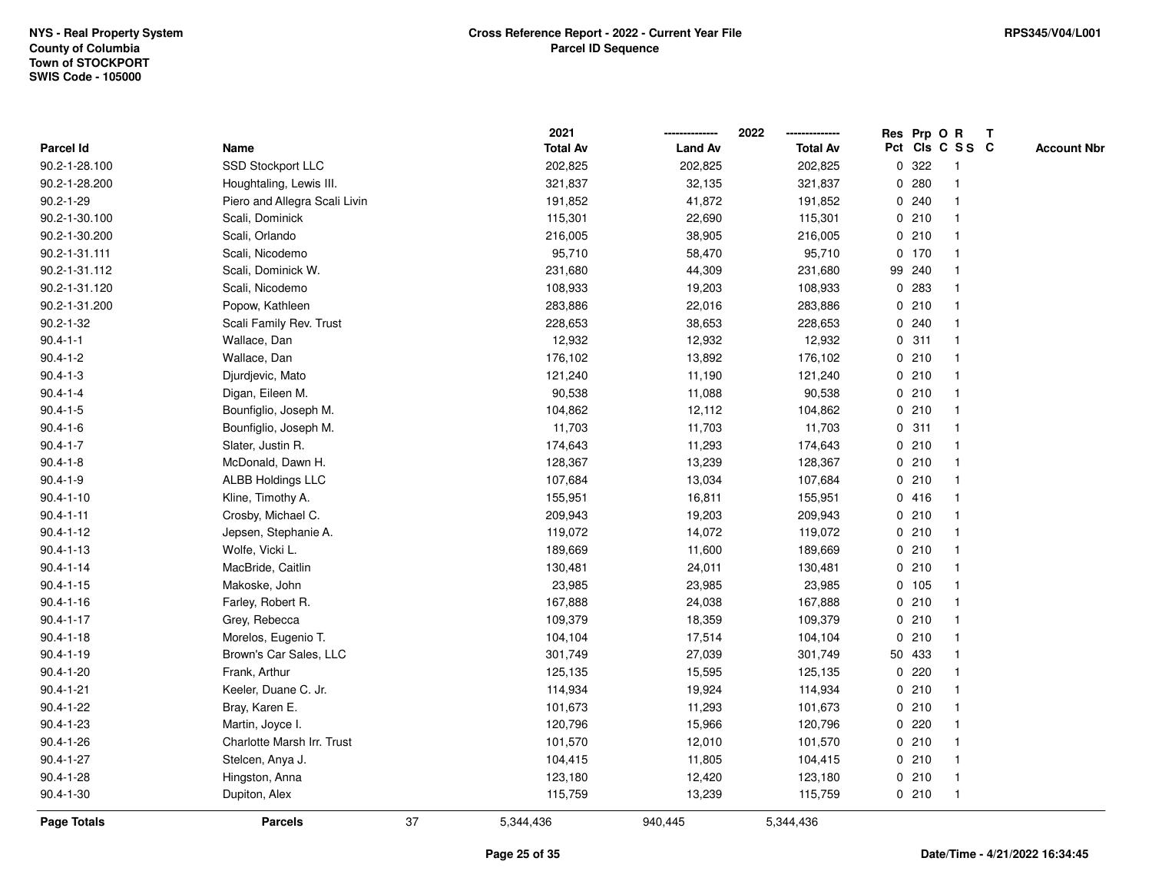|                  |                               |    | 2021            |                | 2022            |             |         | Res Prp O R             | $\mathbf{T}$ |                    |
|------------------|-------------------------------|----|-----------------|----------------|-----------------|-------------|---------|-------------------------|--------------|--------------------|
| <b>Parcel Id</b> | Name                          |    | <b>Total Av</b> | <b>Land Av</b> | <b>Total Av</b> |             |         | Pct Cls C S S C         |              | <b>Account Nbr</b> |
| 90.2-1-28.100    | SSD Stockport LLC             |    | 202,825         | 202,825        | 202,825         | 0           | 322     |                         |              |                    |
| 90.2-1-28.200    | Houghtaling, Lewis III.       |    | 321,837         | 32,135         | 321,837         |             | 0.280   |                         |              |                    |
| $90.2 - 1 - 29$  | Piero and Allegra Scali Livin |    | 191,852         | 41,872         | 191,852         |             | 0.240   | -1                      |              |                    |
| 90.2-1-30.100    | Scali, Dominick               |    | 115,301         | 22,690         | 115,301         |             | 0210    | -1                      |              |                    |
| 90.2-1-30.200    | Scali, Orlando                |    | 216,005         | 38,905         | 216,005         |             | 0210    | $\mathbf 1$             |              |                    |
| 90.2-1-31.111    | Scali, Nicodemo               |    | 95,710          | 58,470         | 95,710          |             | $0$ 170 |                         |              |                    |
| 90.2-1-31.112    | Scali, Dominick W.            |    | 231,680         | 44,309         | 231,680         |             | 99 240  |                         |              |                    |
| 90.2-1-31.120    | Scali, Nicodemo               |    | 108,933         | 19,203         | 108,933         |             | 0.283   |                         |              |                    |
| 90.2-1-31.200    | Popow, Kathleen               |    | 283,886         | 22,016         | 283,886         |             | 0210    |                         |              |                    |
| $90.2 - 1 - 32$  | Scali Family Rev. Trust       |    | 228,653         | 38,653         | 228,653         | $\mathbf 0$ | 240     | $\mathbf{1}$            |              |                    |
| $90.4 - 1 - 1$   | Wallace, Dan                  |    | 12,932          | 12,932         | 12,932          |             | 0.311   | $\overline{\mathbf{1}}$ |              |                    |
| $90.4 - 1 - 2$   | Wallace, Dan                  |    | 176,102         | 13,892         | 176,102         |             | 0210    | $\mathbf 1$             |              |                    |
| $90.4 - 1 - 3$   | Djurdjevic, Mato              |    | 121,240         | 11,190         | 121,240         |             | 0210    |                         |              |                    |
| $90.4 - 1 - 4$   | Digan, Eileen M.              |    | 90,538          | 11,088         | 90,538          |             | 0210    |                         |              |                    |
| $90.4 - 1 - 5$   | Bounfiglio, Joseph M.         |    | 104,862         | 12,112         | 104,862         |             | 0210    |                         |              |                    |
| $90.4 - 1 - 6$   | Bounfiglio, Joseph M.         |    | 11,703          | 11,703         | 11,703          |             | 0.311   |                         |              |                    |
| $90.4 - 1 - 7$   | Slater, Justin R.             |    | 174,643         | 11,293         | 174,643         |             | 0210    | -1                      |              |                    |
| $90.4 - 1 - 8$   | McDonald, Dawn H.             |    | 128,367         | 13,239         | 128,367         |             | 0210    | -1                      |              |                    |
| $90.4 - 1 - 9$   | <b>ALBB Holdings LLC</b>      |    | 107,684         | 13,034         | 107,684         |             | 0210    |                         |              |                    |
| $90.4 - 1 - 10$  | Kline, Timothy A.             |    | 155,951         | 16,811         | 155,951         |             | 0416    |                         |              |                    |
| $90.4 - 1 - 11$  | Crosby, Michael C.            |    | 209,943         | 19,203         | 209,943         |             | 0210    |                         |              |                    |
| $90.4 - 1 - 12$  | Jepsen, Stephanie A.          |    | 119,072         | 14,072         | 119,072         |             | 0210    |                         |              |                    |
| $90.4 - 1 - 13$  | Wolfe, Vicki L.               |    | 189,669         | 11,600         | 189,669         |             | 0210    |                         |              |                    |
| $90.4 - 1 - 14$  | MacBride, Caitlin             |    | 130,481         | 24,011         | 130,481         |             | 0210    | $\mathbf 1$             |              |                    |
| $90.4 - 1 - 15$  | Makoske, John                 |    | 23,985          | 23,985         | 23,985          |             | 0 105   | $\mathbf 1$             |              |                    |
| $90.4 - 1 - 16$  | Farley, Robert R.             |    | 167,888         | 24,038         | 167,888         |             | 0210    |                         |              |                    |
| $90.4 - 1 - 17$  | Grey, Rebecca                 |    | 109,379         | 18,359         | 109,379         |             | 0210    |                         |              |                    |
| $90.4 - 1 - 18$  | Morelos, Eugenio T.           |    | 104,104         | 17,514         | 104,104         |             | 0210    |                         |              |                    |
| $90.4 - 1 - 19$  | Brown's Car Sales, LLC        |    | 301,749         | 27,039         | 301,749         |             | 50 433  |                         |              |                    |
| $90.4 - 1 - 20$  | Frank, Arthur                 |    | 125,135         | 15,595         | 125,135         | 0           | 220     | $\mathbf{1}$            |              |                    |
| $90.4 - 1 - 21$  | Keeler, Duane C. Jr.          |    | 114,934         | 19,924         | 114,934         | $\mathbf 0$ | 210     | -1                      |              |                    |
| $90.4 - 1 - 22$  | Bray, Karen E.                |    | 101,673         | 11,293         | 101,673         |             | 0210    | $\mathbf 1$             |              |                    |
| $90.4 - 1 - 23$  | Martin, Joyce I.              |    | 120,796         | 15,966         | 120,796         |             | 0.220   |                         |              |                    |
| $90.4 - 1 - 26$  | Charlotte Marsh Irr. Trust    |    | 101,570         | 12,010         | 101,570         |             | 0210    |                         |              |                    |
| $90.4 - 1 - 27$  | Stelcen, Anya J.              |    | 104,415         | 11,805         | 104,415         |             | 0210    | -1                      |              |                    |
| $90.4 - 1 - 28$  | Hingston, Anna                |    | 123,180         | 12,420         | 123,180         |             | 0210    | $\mathbf{1}$            |              |                    |
| $90.4 - 1 - 30$  | Dupiton, Alex                 |    | 115,759         | 13,239         | 115,759         |             | 0210    | $\mathbf{1}$            |              |                    |
| Page Totals      | <b>Parcels</b>                | 37 | 5,344,436       | 940,445        | 5,344,436       |             |         |                         |              |                    |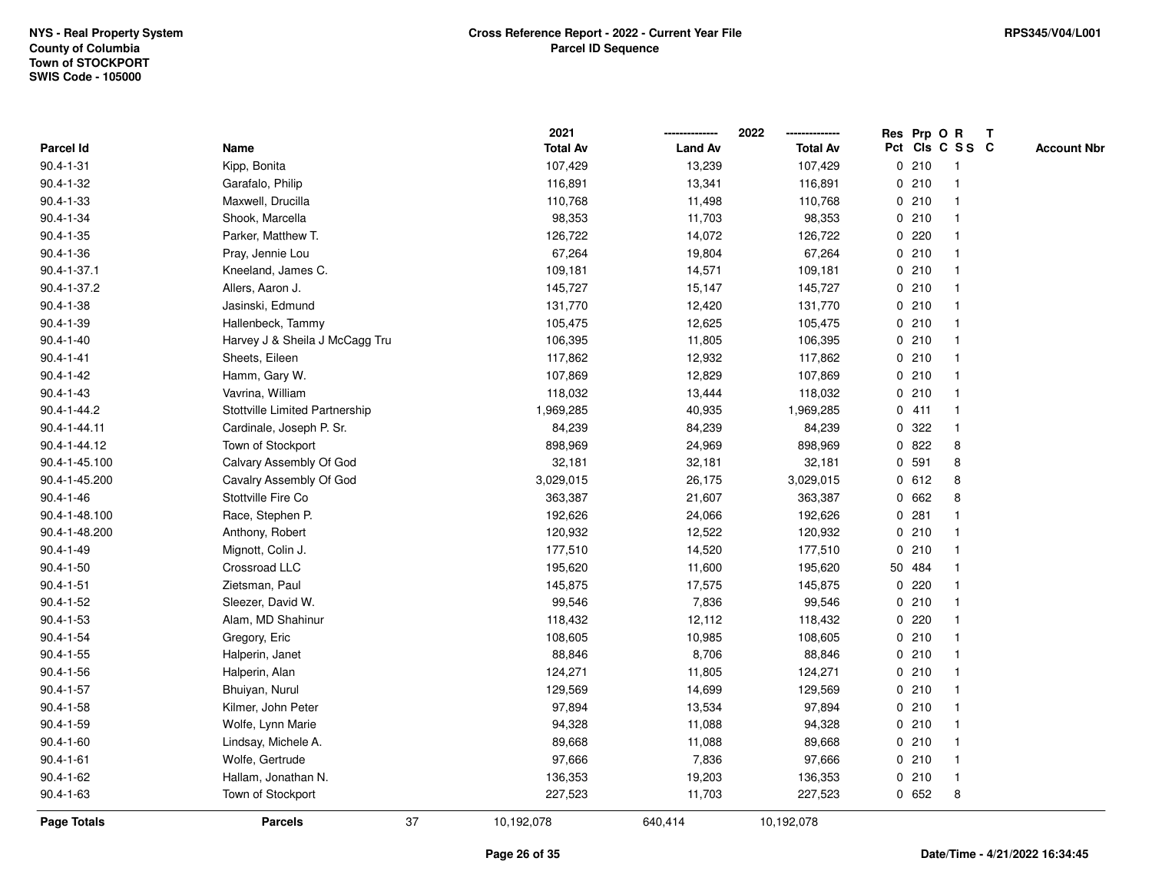|                 |                                |    | 2021            |                | 2022            | Res Prp O R |                         | T |                    |
|-----------------|--------------------------------|----|-----------------|----------------|-----------------|-------------|-------------------------|---|--------------------|
| Parcel Id       | Name                           |    | <b>Total Av</b> | <b>Land Av</b> | <b>Total Av</b> |             | Pct Cls C S S C         |   | <b>Account Nbr</b> |
| $90.4 - 1 - 31$ | Kipp, Bonita                   |    | 107,429         | 13,239         | 107,429         | 0210        | $\overline{1}$          |   |                    |
| $90.4 - 1 - 32$ | Garafalo, Philip               |    | 116,891         | 13,341         | 116,891         | 0210        | $\overline{\mathbf{1}}$ |   |                    |
| $90.4 - 1 - 33$ | Maxwell, Drucilla              |    | 110,768         | 11,498         | 110,768         | 0210        | 1                       |   |                    |
| $90.4 - 1 - 34$ | Shook, Marcella                |    | 98,353          | 11,703         | 98,353          | 0210        |                         |   |                    |
| $90.4 - 1 - 35$ | Parker, Matthew T.             |    | 126,722         | 14,072         | 126,722         | 0220        |                         |   |                    |
| $90.4 - 1 - 36$ | Pray, Jennie Lou               |    | 67,264          | 19,804         | 67,264          | 0210        |                         |   |                    |
| 90.4-1-37.1     | Kneeland, James C.             |    | 109,181         | 14,571         | 109,181         | 0210        |                         |   |                    |
| 90.4-1-37.2     | Allers, Aaron J.               |    | 145,727         | 15,147         | 145,727         | 0210        | -1                      |   |                    |
| $90.4 - 1 - 38$ | Jasinski, Edmund               |    | 131,770         | 12,420         | 131,770         | 0210        | $\overline{\mathbf{1}}$ |   |                    |
| 90.4-1-39       | Hallenbeck, Tammy              |    | 105,475         | 12,625         | 105,475         | 0210        | $\mathbf{1}$            |   |                    |
| $90.4 - 1 - 40$ | Harvey J & Sheila J McCagg Tru |    | 106,395         | 11,805         | 106,395         | 0210        |                         |   |                    |
| $90.4 - 1 - 41$ | Sheets, Eileen                 |    | 117,862         | 12,932         | 117,862         | 0210        |                         |   |                    |
| $90.4 - 1 - 42$ | Hamm, Gary W.                  |    | 107,869         | 12,829         | 107,869         | 0210        |                         |   |                    |
| $90.4 - 1 - 43$ | Vavrina, William               |    | 118,032         | 13,444         | 118,032         | 0210        |                         |   |                    |
| 90.4-1-44.2     | Stottville Limited Partnership |    | 1,969,285       | 40,935         | 1,969,285       | 0411        | $\overline{\mathbf{1}}$ |   |                    |
| 90.4-1-44.11    | Cardinale, Joseph P. Sr.       |    | 84,239          | 84,239         | 84,239          | 0 322       | $\overline{\mathbf{1}}$ |   |                    |
| 90.4-1-44.12    | Town of Stockport              |    | 898,969         | 24,969         | 898,969         | 0822        | 8                       |   |                    |
| 90.4-1-45.100   | Calvary Assembly Of God        |    | 32,181          | 32,181         | 32,181          | 0 591       | 8                       |   |                    |
| 90.4-1-45.200   | Cavalry Assembly Of God        |    | 3,029,015       | 26,175         | 3,029,015       | 0 612       | 8                       |   |                    |
| $90.4 - 1 - 46$ | Stottville Fire Co             |    | 363,387         | 21,607         | 363,387         | 0 662       | 8                       |   |                    |
| 90.4-1-48.100   | Race, Stephen P.               |    | 192,626         | 24,066         | 192,626         | 0.281       |                         |   |                    |
| 90.4-1-48.200   | Anthony, Robert                |    | 120,932         | 12,522         | 120,932         | 0210        |                         |   |                    |
| $90.4 - 1 - 49$ | Mignott, Colin J.              |    | 177,510         | 14,520         | 177,510         | 0210        | $\overline{\mathbf{1}}$ |   |                    |
| $90.4 - 1 - 50$ | Crossroad LLC                  |    | 195,620         | 11,600         | 195,620         | 50 484      | -1                      |   |                    |
| $90.4 - 1 - 51$ | Zietsman, Paul                 |    | 145,875         | 17,575         | 145,875         | 0.220       |                         |   |                    |
| $90.4 - 1 - 52$ | Sleezer, David W.              |    | 99,546          | 7,836          | 99,546          | 0210        |                         |   |                    |
| $90.4 - 1 - 53$ | Alam, MD Shahinur              |    | 118,432         | 12,112         | 118,432         | 0220        |                         |   |                    |
| $90.4 - 1 - 54$ | Gregory, Eric                  |    | 108,605         | 10,985         | 108,605         | 0210        |                         |   |                    |
| $90.4 - 1 - 55$ | Halperin, Janet                |    | 88,846          | 8,706          | 88,846          | 0210        | -1                      |   |                    |
| $90.4 - 1 - 56$ | Halperin, Alan                 |    | 124,271         | 11,805         | 124,271         | 0210        | $\overline{\mathbf{1}}$ |   |                    |
| $90.4 - 1 - 57$ | Bhuiyan, Nurul                 |    | 129,569         | 14,699         | 129,569         | 0210        | -1                      |   |                    |
| $90.4 - 1 - 58$ | Kilmer, John Peter             |    | 97,894          | 13,534         | 97,894          | 0210        |                         |   |                    |
| $90.4 - 1 - 59$ | Wolfe, Lynn Marie              |    | 94,328          | 11,088         | 94,328          | 0210        |                         |   |                    |
| $90.4 - 1 - 60$ | Lindsay, Michele A.            |    | 89,668          | 11,088         | 89,668          | 0210        |                         |   |                    |
| $90.4 - 1 - 61$ | Wolfe, Gertrude                |    | 97,666          | 7,836          | 97,666          | 0210        | $\overline{1}$          |   |                    |
| $90.4 - 1 - 62$ | Hallam, Jonathan N.            |    | 136,353         | 19,203         | 136,353         | 0210        | $\overline{1}$          |   |                    |
| $90.4 - 1 - 63$ | Town of Stockport              |    | 227,523         | 11,703         | 227,523         | 0652        | 8                       |   |                    |
| Page Totals     | <b>Parcels</b>                 | 37 | 10,192,078      | 640,414        | 10,192,078      |             |                         |   |                    |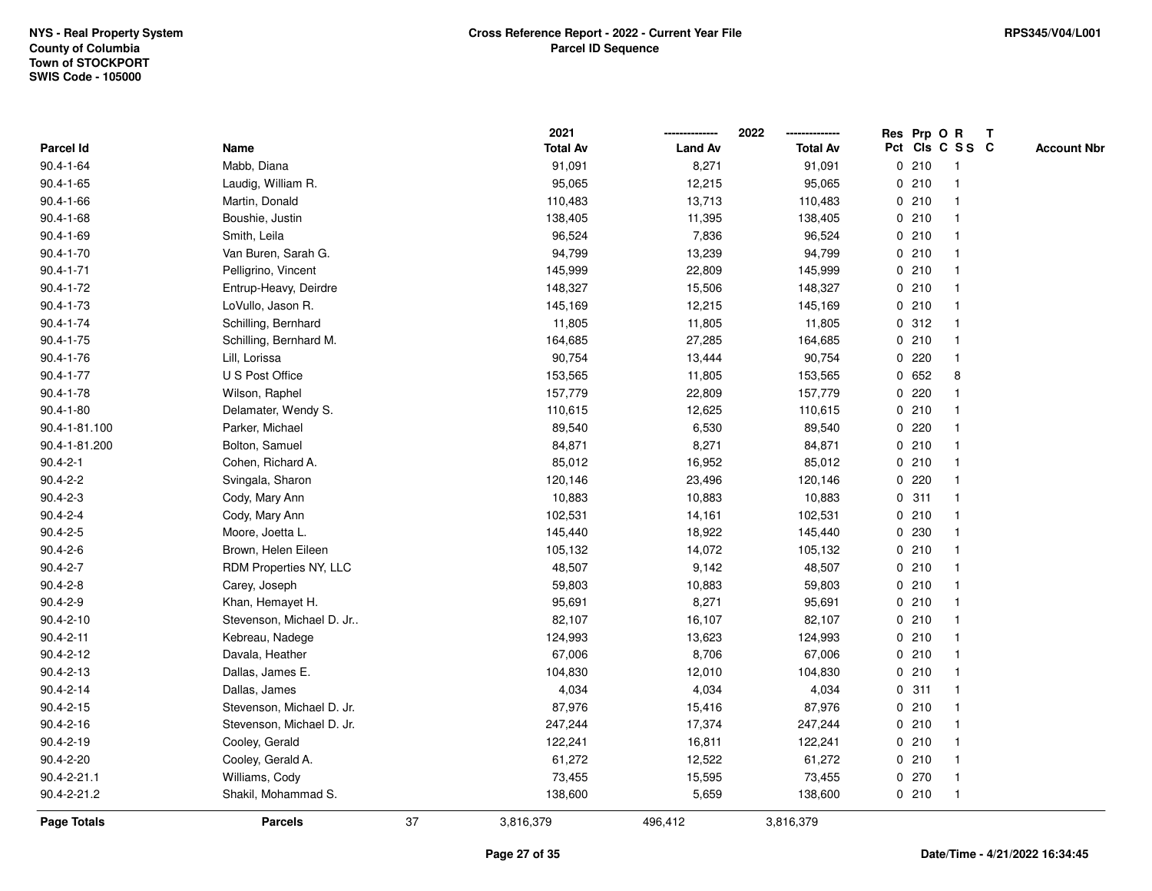|                    |                           |    | 2021            |                | 2022            | Res Prp O R |                 |                | T |                    |
|--------------------|---------------------------|----|-----------------|----------------|-----------------|-------------|-----------------|----------------|---|--------------------|
| Parcel Id          | Name                      |    | <b>Total Av</b> | <b>Land Av</b> | <b>Total Av</b> |             | Pct Cls C S S C |                |   | <b>Account Nbr</b> |
| $90.4 - 1 - 64$    | Mabb, Diana               |    | 91,091          | 8,271          | 91,091          |             | 0210            | $\mathbf{1}$   |   |                    |
| $90.4 - 1 - 65$    | Laudig, William R.        |    | 95,065          | 12,215         | 95,065          | 0           | 210             | -1             |   |                    |
| $90.4 - 1 - 66$    | Martin, Donald            |    | 110,483         | 13,713         | 110,483         |             | 0210            | -1             |   |                    |
| $90.4 - 1 - 68$    | Boushie, Justin           |    | 138,405         | 11,395         | 138,405         |             | 0210            |                |   |                    |
| $90.4 - 1 - 69$    | Smith, Leila              |    | 96,524          | 7,836          | 96,524          |             | 0210            |                |   |                    |
| $90.4 - 1 - 70$    | Van Buren, Sarah G.       |    | 94,799          | 13,239         | 94,799          |             | 0210            |                |   |                    |
| $90.4 - 1 - 71$    | Pelligrino, Vincent       |    | 145,999         | 22,809         | 145,999         |             | 0210            |                |   |                    |
| $90.4 - 1 - 72$    | Entrup-Heavy, Deirdre     |    | 148,327         | 15,506         | 148,327         |             | 0210            | $\overline{1}$ |   |                    |
| $90.4 - 1 - 73$    | LoVullo, Jason R.         |    | 145,169         | 12,215         | 145,169         |             | 0210            | -1             |   |                    |
| 90.4-1-74          | Schilling, Bernhard       |    | 11,805          | 11,805         | 11,805          |             | 0.312           | -1             |   |                    |
| $90.4 - 1 - 75$    | Schilling, Bernhard M.    |    | 164,685         | 27,285         | 164,685         |             | 0210            |                |   |                    |
| $90.4 - 1 - 76$    | Lill, Lorissa             |    | 90,754          | 13,444         | 90,754          |             | 0.220           |                |   |                    |
| $90.4 - 1 - 77$    | U S Post Office           |    | 153,565         | 11,805         | 153,565         |             | 0.652           | 8              |   |                    |
| $90.4 - 1 - 78$    | Wilson, Raphel            |    | 157,779         | 22,809         | 157,779         |             | 0.220           |                |   |                    |
| $90.4 - 1 - 80$    | Delamater, Wendy S.       |    | 110,615         | 12,625         | 110,615         | $\mathbf 0$ | 210             |                |   |                    |
| 90.4-1-81.100      | Parker, Michael           |    | 89,540          | 6,530          | 89,540          | $\mathbf 0$ | 220             | -1             |   |                    |
| 90.4-1-81.200      | Bolton, Samuel            |    | 84,871          | 8,271          | 84,871          |             | 0210            | $\mathbf{1}$   |   |                    |
| $90.4 - 2 - 1$     | Cohen, Richard A.         |    | 85,012          | 16,952         | 85,012          |             | 0210            |                |   |                    |
| $90.4 - 2 - 2$     | Svingala, Sharon          |    | 120,146         | 23,496         | 120,146         |             | 0.220           |                |   |                    |
| $90.4 - 2 - 3$     | Cody, Mary Ann            |    | 10,883          | 10,883         | 10,883          |             | 0.311           |                |   |                    |
| $90.4 - 2 - 4$     | Cody, Mary Ann            |    | 102,531         | 14,161         | 102,531         |             | 0210            |                |   |                    |
| $90.4 - 2 - 5$     | Moore, Joetta L.          |    | 145,440         | 18,922         | 145,440         |             | 0 230           |                |   |                    |
| $90.4 - 2 - 6$     | Brown, Helen Eileen       |    | 105,132         | 14,072         | 105,132         |             | 0210            | -1             |   |                    |
| $90.4 - 2 - 7$     | RDM Properties NY, LLC    |    | 48,507          | 9,142          | 48,507          | $\mathbf 0$ | 210             | $\overline{1}$ |   |                    |
| $90.4 - 2 - 8$     | Carey, Joseph             |    | 59,803          | 10,883         | 59,803          |             | 0210            |                |   |                    |
| $90.4 - 2 - 9$     | Khan, Hemayet H.          |    | 95,691          | 8,271          | 95,691          |             | 0210            |                |   |                    |
| $90.4 - 2 - 10$    | Stevenson, Michael D. Jr  |    | 82,107          | 16,107         | 82,107          |             | 0210            |                |   |                    |
| $90.4 - 2 - 11$    | Kebreau, Nadege           |    | 124,993         | 13,623         | 124,993         |             | 0210            |                |   |                    |
| 90.4-2-12          | Davala, Heather           |    | 67,006          | 8,706          | 67,006          |             | 0210            |                |   |                    |
| $90.4 - 2 - 13$    | Dallas, James E.          |    | 104,830         | 12,010         | 104,830         | 0           | 210             | -1             |   |                    |
| 90.4-2-14          | Dallas, James             |    | 4,034           | 4,034          | 4,034           | 0           | 311             | -1             |   |                    |
| $90.4 - 2 - 15$    | Stevenson, Michael D. Jr. |    | 87,976          | 15,416         | 87,976          |             | 0210            | -1             |   |                    |
| $90.4 - 2 - 16$    | Stevenson, Michael D. Jr. |    | 247,244         | 17,374         | 247,244         |             | 0210            |                |   |                    |
| 90.4-2-19          | Cooley, Gerald            |    | 122,241         | 16,811         | 122,241         |             | 0210            |                |   |                    |
| 90.4-2-20          | Cooley, Gerald A.         |    | 61,272          | 12,522         | 61,272          |             | 0210            |                |   |                    |
| 90.4-2-21.1        | Williams, Cody            |    | 73,455          | 15,595         | 73,455          |             | 0270            | -1             |   |                    |
| 90.4-2-21.2        | Shakil, Mohammad S.       |    | 138,600         | 5,659          | 138,600         |             | 0210            | $\mathbf{1}$   |   |                    |
| <b>Page Totals</b> | <b>Parcels</b>            | 37 | 3,816,379       | 496,412        | 3,816,379       |             |                 |                |   |                    |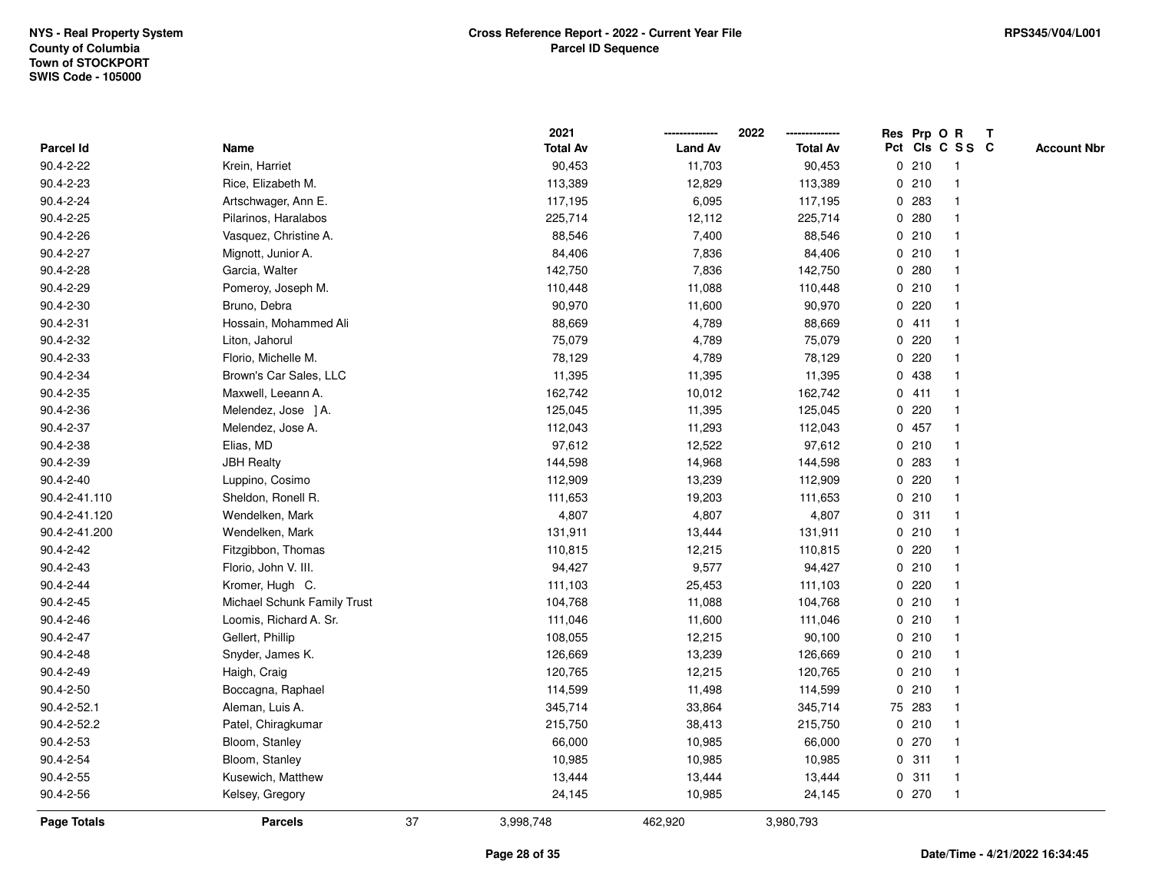|                  |                             |    | 2021            |                | 2022            |   |        | Res Prp O R     | $\mathbf{T}$       |
|------------------|-----------------------------|----|-----------------|----------------|-----------------|---|--------|-----------------|--------------------|
| <b>Parcel Id</b> | Name                        |    | <b>Total Av</b> | <b>Land Av</b> | <b>Total Av</b> |   |        | Pct Cls C S S C | <b>Account Nbr</b> |
| 90.4-2-22        | Krein, Harriet              |    | 90,453          | 11,703         | 90,453          |   | 0210   |                 |                    |
| $90.4 - 2 - 23$  | Rice, Elizabeth M.          |    | 113,389         | 12,829         | 113,389         |   | 0210   |                 |                    |
| $90.4 - 2 - 24$  | Artschwager, Ann E.         |    | 117,195         | 6,095          | 117,195         |   | 0 283  |                 |                    |
| 90.4-2-25        | Pilarinos, Haralabos        |    | 225,714         | 12,112         | 225,714         | 0 | 280    |                 |                    |
| 90.4-2-26        | Vasquez, Christine A.       |    | 88,546          | 7,400          | 88,546          |   | 0210   |                 |                    |
| 90.4-2-27        | Mignott, Junior A.          |    | 84,406          | 7,836          | 84,406          |   | 0210   |                 |                    |
| 90.4-2-28        | Garcia, Walter              |    | 142,750         | 7,836          | 142,750         |   | 0.280  |                 |                    |
| 90.4-2-29        | Pomeroy, Joseph M.          |    | 110,448         | 11,088         | 110,448         |   | 0210   |                 |                    |
| 90.4-2-30        | Bruno, Debra                |    | 90,970          | 11,600         | 90,970          |   | 0.220  |                 |                    |
| $90.4 - 2 - 31$  | Hossain, Mohammed Ali       |    | 88,669          | 4,789          | 88,669          |   | 0411   |                 |                    |
| 90.4-2-32        | Liton, Jahorul              |    | 75,079          | 4,789          | 75,079          | 0 | 220    |                 |                    |
| 90.4-2-33        | Florio, Michelle M.         |    | 78,129          | 4,789          | 78,129          |   | 0.220  |                 |                    |
| 90.4-2-34        | Brown's Car Sales, LLC      |    | 11,395          | 11,395         | 11,395          |   | 0 438  |                 |                    |
| 90.4-2-35        | Maxwell, Leeann A.          |    | 162,742         | 10,012         | 162,742         |   | 0411   |                 |                    |
| 90.4-2-36        | Melendez, Jose ] A.         |    | 125,045         | 11,395         | 125,045         | 0 | 220    |                 |                    |
| 90.4-2-37        | Melendez, Jose A.           |    | 112,043         | 11,293         | 112,043         |   | 0 457  |                 |                    |
| 90.4-2-38        | Elias, MD                   |    | 97,612          | 12,522         | 97,612          |   | 0210   |                 |                    |
| 90.4-2-39        | <b>JBH Realty</b>           |    | 144,598         | 14,968         | 144,598         | 0 | 283    |                 |                    |
| $90.4 - 2 - 40$  | Luppino, Cosimo             |    | 112,909         | 13,239         | 112,909         |   | 0.220  |                 |                    |
| 90.4-2-41.110    | Sheldon, Ronell R.          |    | 111,653         | 19,203         | 111,653         |   | 0210   |                 |                    |
| 90.4-2-41.120    | Wendelken, Mark             |    | 4,807           | 4,807          | 4,807           |   | 0.311  |                 |                    |
| 90.4-2-41.200    | Wendelken, Mark             |    | 131,911         | 13,444         | 131,911         |   | 0210   |                 |                    |
| 90.4-2-42        | Fitzgibbon, Thomas          |    | 110,815         | 12,215         | 110,815         |   | 0220   |                 |                    |
| $90.4 - 2 - 43$  | Florio, John V. III.        |    | 94,427          | 9,577          | 94,427          |   | 0210   |                 |                    |
| $90.4 - 2 - 44$  | Kromer, Hugh C.             |    | 111,103         | 25,453         | 111,103         |   | 0.220  |                 |                    |
| 90.4-2-45        | Michael Schunk Family Trust |    | 104,768         | 11,088         | 104,768         |   | 0210   |                 |                    |
| 90.4-2-46        | Loomis, Richard A. Sr.      |    | 111,046         | 11,600         | 111,046         |   | 0210   |                 |                    |
| 90.4-2-47        | Gellert, Phillip            |    | 108,055         | 12,215         | 90,100          |   | 0210   |                 |                    |
| 90.4-2-48        | Snyder, James K.            |    | 126,669         | 13,239         | 126,669         |   | 0210   |                 |                    |
| 90.4-2-49        | Haigh, Craig                |    | 120,765         | 12,215         | 120,765         |   | 0210   |                 |                    |
| 90.4-2-50        | Boccagna, Raphael           |    | 114,599         | 11,498         | 114,599         |   | 0210   | -1              |                    |
| 90.4-2-52.1      | Aleman, Luis A.             |    | 345,714         | 33,864         | 345,714         |   | 75 283 |                 |                    |
| 90.4-2-52.2      | Patel, Chiragkumar          |    | 215,750         | 38,413         | 215,750         |   | 0210   |                 |                    |
| $90.4 - 2 - 53$  | Bloom, Stanley              |    | 66,000          | 10,985         | 66,000          |   | 0270   |                 |                    |
| 90.4-2-54        | Bloom, Stanley              |    | 10,985          | 10,985         | 10,985          |   | 0.311  |                 |                    |
| 90.4-2-55        | Kusewich, Matthew           |    | 13,444          | 13,444         | 13,444          |   | 0.311  | $\mathbf 1$     |                    |
| 90.4-2-56        | Kelsey, Gregory             |    | 24,145          | 10,985         | 24,145          |   | 0270   | $\mathbf 1$     |                    |
| Page Totals      | <b>Parcels</b>              | 37 | 3,998,748       | 462,920        | 3,980,793       |   |        |                 |                    |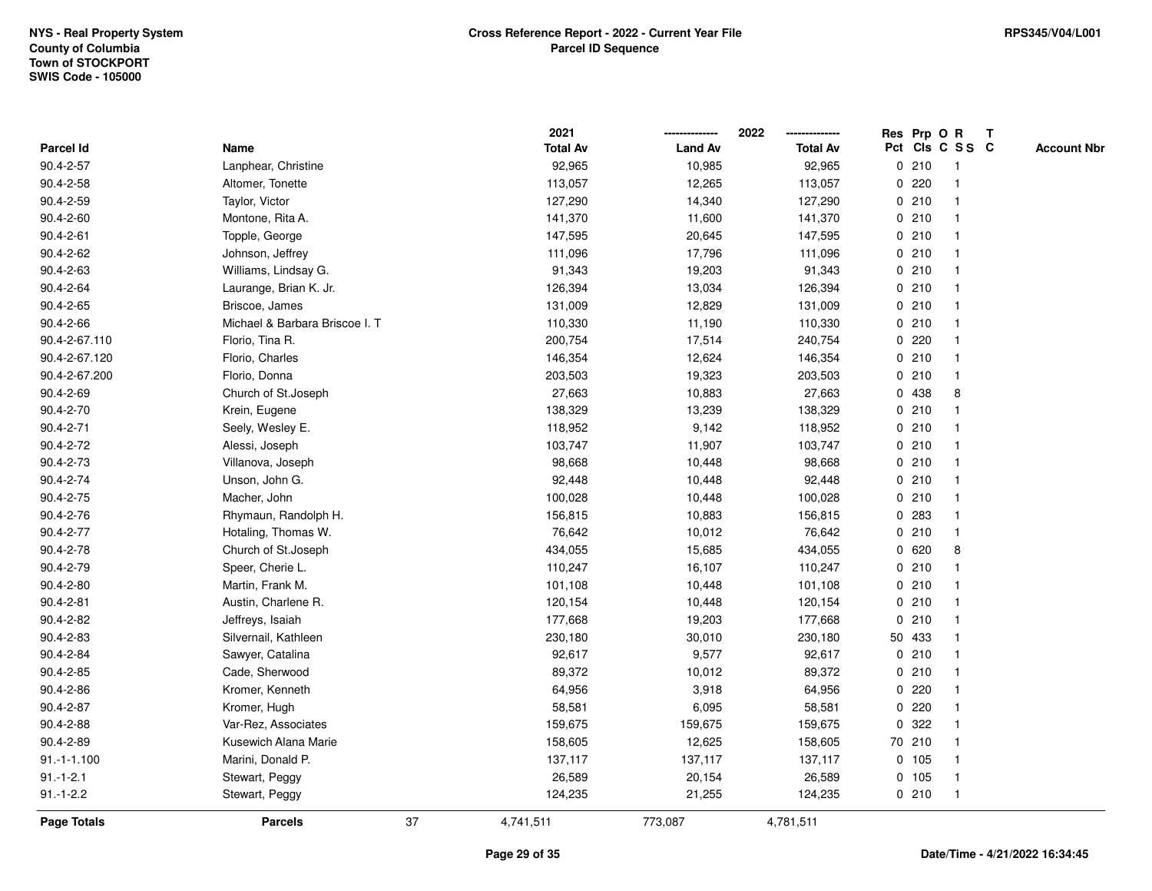|               |                                |    | 2021            |                | 2022            |             |         | Res Prp O R     | $\mathbf{T}$ |                    |
|---------------|--------------------------------|----|-----------------|----------------|-----------------|-------------|---------|-----------------|--------------|--------------------|
| Parcel Id     | Name                           |    | <b>Total Av</b> | <b>Land Av</b> | <b>Total Av</b> |             |         | Pct Cls C S S C |              | <b>Account Nbr</b> |
| 90.4-2-57     | Lanphear, Christine            |    | 92,965          | 10,985         | 92,965          |             | 0210    | 1               |              |                    |
| 90.4-2-58     | Altomer, Tonette               |    | 113,057         | 12,265         | 113,057         | 0           | 220     |                 |              |                    |
| 90.4-2-59     | Taylor, Victor                 |    | 127,290         | 14,340         | 127,290         |             | 0210    |                 |              |                    |
| 90.4-2-60     | Montone, Rita A.               |    | 141,370         | 11,600         | 141,370         |             | 0210    | $\mathbf{1}$    |              |                    |
| 90.4-2-61     | Topple, George                 |    | 147,595         | 20,645         | 147,595         |             | 0210    | $\mathbf 1$     |              |                    |
| 90.4-2-62     | Johnson, Jeffrey               |    | 111,096         | 17,796         | 111,096         |             | 0210    | 1               |              |                    |
| 90.4-2-63     | Williams, Lindsay G.           |    | 91,343          | 19,203         | 91,343          |             | 0210    |                 |              |                    |
| 90.4-2-64     | Laurange, Brian K. Jr.         |    | 126,394         | 13,034         | 126,394         |             | 0210    |                 |              |                    |
| 90.4-2-65     | Briscoe, James                 |    | 131,009         | 12,829         | 131,009         |             | 0210    |                 |              |                    |
| 90.4-2-66     | Michael & Barbara Briscoe I. T |    | 110,330         | 11,190         | 110,330         |             | 0210    |                 |              |                    |
| 90.4-2-67.110 | Florio, Tina R.                |    | 200,754         | 17,514         | 240,754         | $\mathbf 0$ | 220     |                 |              |                    |
| 90.4-2-67.120 | Florio, Charles                |    | 146,354         | 12,624         | 146,354         |             | 0210    | $\mathbf 1$     |              |                    |
| 90.4-2-67.200 | Florio, Donna                  |    | 203,503         | 19,323         | 203,503         |             | 0210    |                 |              |                    |
| 90.4-2-69     | Church of St.Joseph            |    | 27,663          | 10,883         | 27,663          |             | 0 438   | 8               |              |                    |
| 90.4-2-70     | Krein, Eugene                  |    | 138,329         | 13,239         | 138,329         | 0           | 210     |                 |              |                    |
| 90.4-2-71     | Seely, Wesley E.               |    | 118,952         | 9,142          | 118,952         |             | 0210    |                 |              |                    |
| 90.4-2-72     | Alessi, Joseph                 |    | 103,747         | 11,907         | 103,747         | 0           | 210     |                 |              |                    |
| 90.4-2-73     | Villanova, Joseph              |    | 98,668          | 10,448         | 98,668          |             | 0210    | $\mathbf 1$     |              |                    |
| 90.4-2-74     | Unson, John G.                 |    | 92,448          | 10,448         | 92,448          |             | 0210    |                 |              |                    |
| 90.4-2-75     | Macher, John                   |    | 100,028         | 10,448         | 100,028         |             | 0210    |                 |              |                    |
| 90.4-2-76     | Rhymaun, Randolph H.           |    | 156,815         | 10,883         | 156,815         |             | 0 283   |                 |              |                    |
| 90.4-2-77     | Hotaling, Thomas W.            |    | 76,642          | 10,012         | 76,642          |             | 0210    |                 |              |                    |
| 90.4-2-78     | Church of St.Joseph            |    | 434,055         | 15,685         | 434,055         |             | 0620    | 8               |              |                    |
| 90.4-2-79     | Speer, Cherie L.               |    | 110,247         | 16,107         | 110,247         |             | 0210    | $\mathbf{1}$    |              |                    |
| 90.4-2-80     | Martin, Frank M.               |    | 101,108         | 10,448         | 101,108         |             | 0210    | 1               |              |                    |
| 90.4-2-81     | Austin, Charlene R.            |    | 120,154         | 10,448         | 120,154         |             | 0210    |                 |              |                    |
| 90.4-2-82     | Jeffreys, Isaiah               |    | 177,668         | 19,203         | 177,668         |             | 0210    |                 |              |                    |
| 90.4-2-83     | Silvernail, Kathleen           |    | 230,180         | 30,010         | 230,180         |             | 50 433  |                 |              |                    |
| 90.4-2-84     | Sawyer, Catalina               |    | 92,617          | 9,577          | 92,617          |             | 0210    |                 |              |                    |
| 90.4-2-85     | Cade, Sherwood                 |    | 89,372          | 10,012         | 89,372          | $\mathbf 0$ | 210     |                 |              |                    |
| 90.4-2-86     | Kromer, Kenneth                |    | 64,956          | 3,918          | 64,956          | 0           | 220     | $\mathbf 1$     |              |                    |
| 90.4-2-87     | Kromer, Hugh                   |    | 58,581          | 6,095          | 58,581          |             | 0.220   |                 |              |                    |
| 90.4-2-88     | Var-Rez, Associates            |    | 159,675         | 159,675        | 159,675         |             | 0.322   |                 |              |                    |
| 90.4-2-89     | Kusewich Alana Marie           |    | 158,605         | 12,625         | 158,605         |             | 70 210  |                 |              |                    |
| $91.-1-1.100$ | Marini, Donald P.              |    | 137,117         | 137,117        | 137,117         |             | 0 105   |                 |              |                    |
| $91.-1-2.1$   | Stewart, Peggy                 |    | 26,589          | 20,154         | 26,589          |             | $0$ 105 | $\overline{1}$  |              |                    |
| $91.-1-2.2$   | Stewart, Peggy                 |    | 124,235         | 21,255         | 124,235         |             | 0210    | $\mathbf{1}$    |              |                    |
| Page Totals   | <b>Parcels</b>                 | 37 | 4,741,511       | 773,087        | 4,781,511       |             |         |                 |              |                    |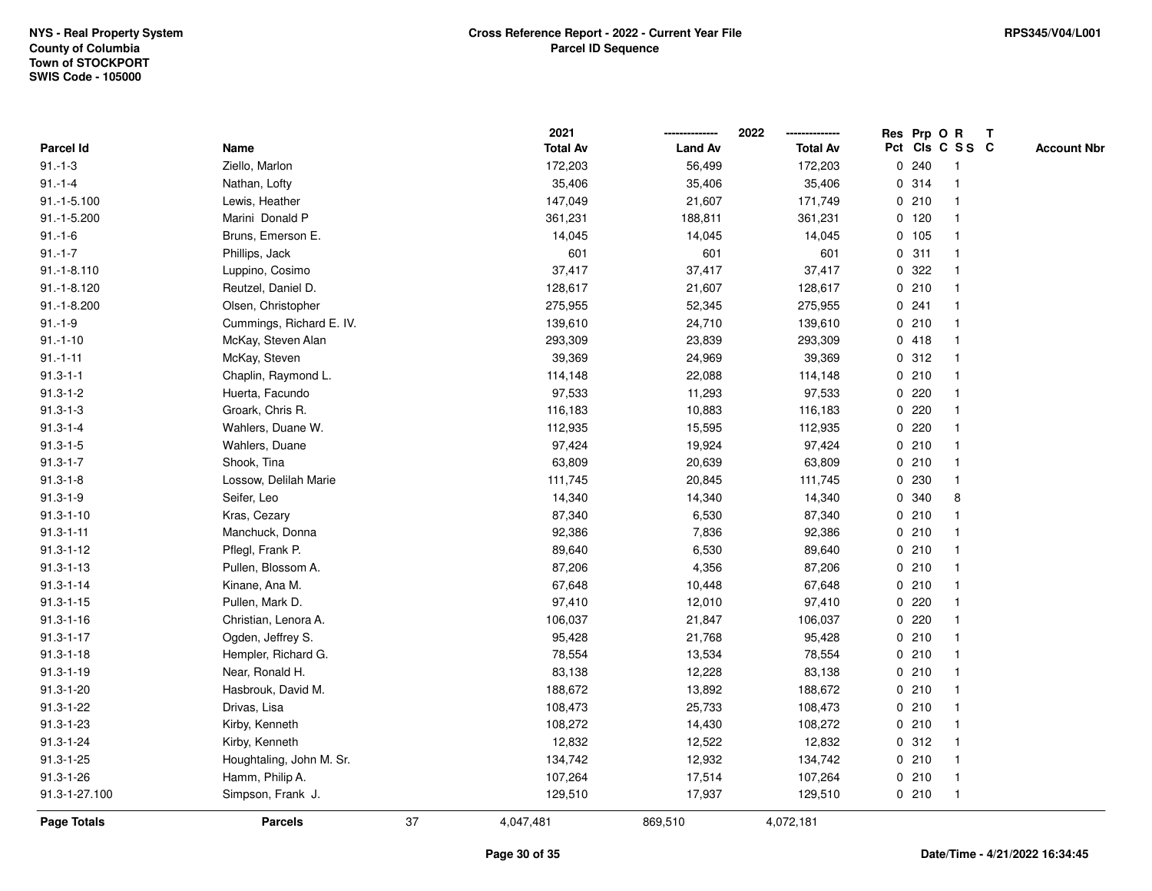|                  |                          |    | 2021            |                | 2022            |   |         | Res Prp O R     | $\mathbf{T}$ |                    |
|------------------|--------------------------|----|-----------------|----------------|-----------------|---|---------|-----------------|--------------|--------------------|
| <b>Parcel Id</b> | Name                     |    | <b>Total Av</b> | <b>Land Av</b> | <b>Total Av</b> |   |         | Pct Cls C S S C |              | <b>Account Nbr</b> |
| $91.-1-3$        | Ziello, Marlon           |    | 172,203         | 56,499         | 172,203         |   | 0.240   |                 |              |                    |
| $91 - 1 - 4$     | Nathan, Lofty            |    | 35,406          | 35,406         | 35,406          |   | 0 314   |                 |              |                    |
| $91.-1-5.100$    | Lewis, Heather           |    | 147,049         | 21,607         | 171,749         |   | 0210    |                 |              |                    |
| 91.-1-5.200      | Marini Donald P          |    | 361,231         | 188,811        | 361,231         |   | $0$ 120 |                 |              |                    |
| $91.-1-6$        | Bruns, Emerson E.        |    | 14,045          | 14,045         | 14,045          |   | 0 105   |                 |              |                    |
| $91.-1-7$        | Phillips, Jack           |    | 601             | 601            | 601             |   | 0.311   |                 |              |                    |
| $91.-1-8.110$    | Luppino, Cosimo          |    | 37,417          | 37,417         | 37,417          |   | 0.322   |                 |              |                    |
| $91.-1-8.120$    | Reutzel, Daniel D.       |    | 128,617         | 21,607         | 128,617         |   | 0210    |                 |              |                    |
| $91.-1-8.200$    | Olsen, Christopher       |    | 275,955         | 52,345         | 275,955         |   | 0.241   |                 |              |                    |
| $91.-1-9$        | Cummings, Richard E. IV. |    | 139,610         | 24,710         | 139,610         |   | 0210    |                 |              |                    |
| $91.-1-10$       | McKay, Steven Alan       |    | 293,309         | 23,839         | 293,309         |   | 0418    | $\mathbf 1$     |              |                    |
| $91.-1-11$       | McKay, Steven            |    | 39,369          | 24,969         | 39,369          |   | 0.312   |                 |              |                    |
| $91.3 - 1 - 1$   | Chaplin, Raymond L.      |    | 114,148         | 22,088         | 114,148         |   | 0210    |                 |              |                    |
| $91.3 - 1 - 2$   | Huerta, Facundo          |    | 97,533          | 11,293         | 97,533          |   | 0.220   |                 |              |                    |
| $91.3 - 1 - 3$   | Groark, Chris R.         |    | 116,183         | 10,883         | 116,183         |   | $0$ 220 |                 |              |                    |
| $91.3 - 1 - 4$   | Wahlers, Duane W.        |    | 112,935         | 15,595         | 112,935         |   | 0220    |                 |              |                    |
| $91.3 - 1 - 5$   | Wahlers, Duane           |    | 97,424          | 19,924         | 97,424          | 0 | 210     |                 |              |                    |
| $91.3 - 1 - 7$   | Shook, Tina              |    | 63,809          | 20,639         | 63,809          |   | 0210    |                 |              |                    |
| $91.3 - 1 - 8$   | Lossow, Delilah Marie    |    | 111,745         | 20,845         | 111,745         |   | 0 230   |                 |              |                    |
| $91.3 - 1 - 9$   | Seifer, Leo              |    | 14,340          | 14,340         | 14,340          |   | 0 340   | 8               |              |                    |
| $91.3 - 1 - 10$  | Kras, Cezary             |    | 87,340          | 6,530          | 87,340          |   | 0210    |                 |              |                    |
| $91.3 - 1 - 11$  | Manchuck, Donna          |    | 92,386          | 7,836          | 92,386          |   | 0210    |                 |              |                    |
| $91.3 - 1 - 12$  | Pflegl, Frank P.         |    | 89,640          | 6,530          | 89,640          |   | 0210    |                 |              |                    |
| $91.3 - 1 - 13$  | Pullen, Blossom A.       |    | 87,206          | 4,356          | 87,206          |   | 0210    |                 |              |                    |
| $91.3 - 1 - 14$  | Kinane, Ana M.           |    | 67,648          | 10,448         | 67,648          |   | 0210    |                 |              |                    |
| $91.3 - 1 - 15$  | Pullen, Mark D.          |    | 97,410          | 12,010         | 97,410          |   | 0.220   |                 |              |                    |
| $91.3 - 1 - 16$  | Christian, Lenora A.     |    | 106,037         | 21,847         | 106,037         |   | 0.220   |                 |              |                    |
| $91.3 - 1 - 17$  | Ogden, Jeffrey S.        |    | 95,428          | 21,768         | 95,428          |   | 0210    |                 |              |                    |
| $91.3 - 1 - 18$  | Hempler, Richard G.      |    | 78,554          | 13,534         | 78,554          |   | 0210    |                 |              |                    |
| $91.3 - 1 - 19$  | Near, Ronald H.          |    | 83,138          | 12,228         | 83,138          |   | 0210    |                 |              |                    |
| $91.3 - 1 - 20$  | Hasbrouk, David M.       |    | 188,672         | 13,892         | 188,672         |   | 0210    |                 |              |                    |
| $91.3 - 1 - 22$  | Drivas, Lisa             |    | 108,473         | 25,733         | 108,473         |   | 0210    |                 |              |                    |
| 91.3-1-23        | Kirby, Kenneth           |    | 108,272         | 14,430         | 108,272         |   | 0210    |                 |              |                    |
| $91.3 - 1 - 24$  | Kirby, Kenneth           |    | 12,832          | 12,522         | 12,832          |   | 0.312   |                 |              |                    |
| $91.3 - 1 - 25$  | Houghtaling, John M. Sr. |    | 134,742         | 12,932         | 134,742         |   | 0210    |                 |              |                    |
| $91.3 - 1 - 26$  | Hamm, Philip A.          |    | 107,264         | 17,514         | 107,264         |   | 0210    | $\overline{1}$  |              |                    |
| 91.3-1-27.100    | Simpson, Frank J.        |    | 129,510         | 17,937         | 129,510         |   | 0210    | $\overline{1}$  |              |                    |
| Page Totals      | <b>Parcels</b>           | 37 | 4,047,481       | 869,510        | 4,072,181       |   |         |                 |              |                    |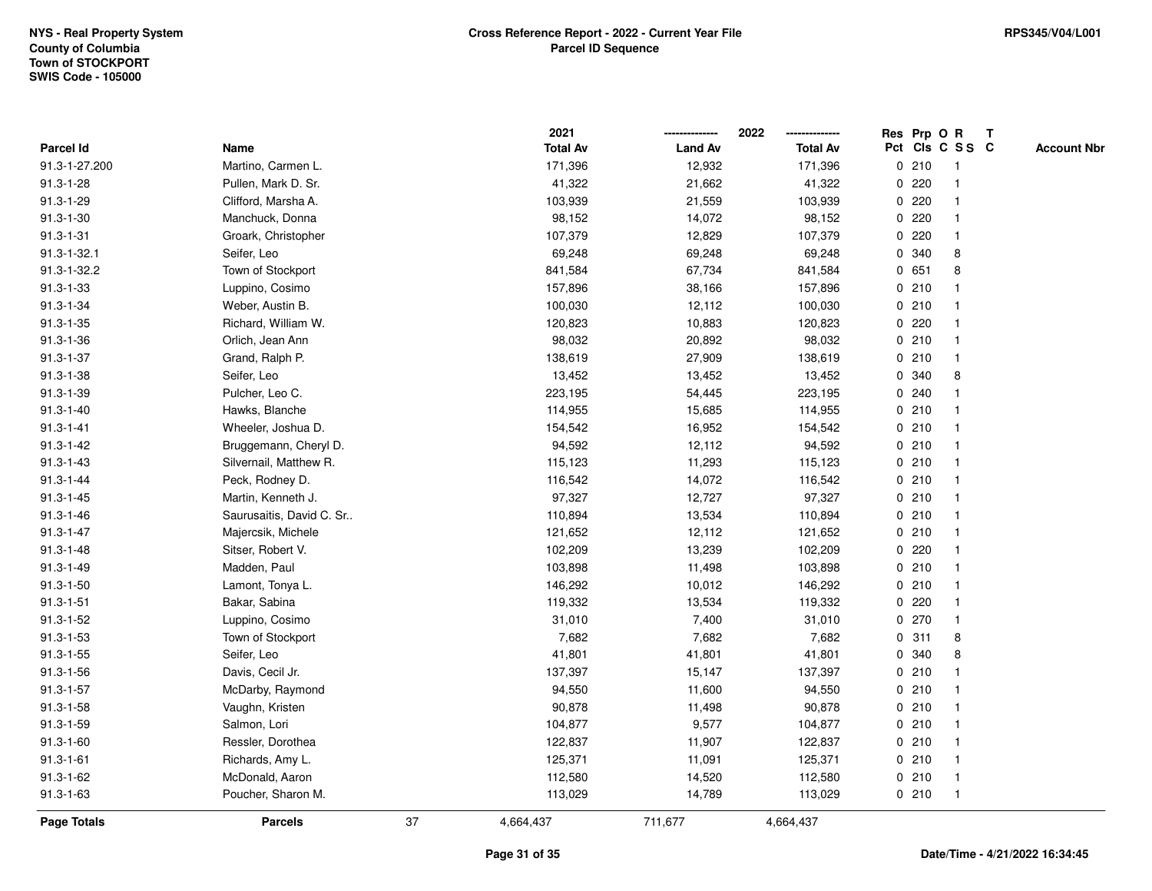|                  |                          |    | 2021            |                | 2022            | Res Prp O R |       |                 | $\mathbf{T}$ |                    |
|------------------|--------------------------|----|-----------------|----------------|-----------------|-------------|-------|-----------------|--------------|--------------------|
| <b>Parcel Id</b> | Name                     |    | <b>Total Av</b> | <b>Land Av</b> | <b>Total Av</b> |             |       | Pct Cls C S S C |              | <b>Account Nbr</b> |
| 91.3-1-27.200    | Martino, Carmen L.       |    | 171,396         | 12,932         | 171,396         |             | 0210  |                 |              |                    |
| $91.3 - 1 - 28$  | Pullen, Mark D. Sr.      |    | 41,322          | 21,662         | 41,322          |             | 0220  |                 |              |                    |
| $91.3 - 1 - 29$  | Clifford, Marsha A.      |    | 103,939         | 21,559         | 103,939         | $\mathbf 0$ | 220   |                 |              |                    |
| $91.3 - 1 - 30$  | Manchuck, Donna          |    | 98,152          | 14,072         | 98,152          | 0           | 220   |                 |              |                    |
| $91.3 - 1 - 31$  | Groark, Christopher      |    | 107,379         | 12,829         | 107,379         |             | 0.220 | $\mathbf 1$     |              |                    |
| 91.3-1-32.1      | Seifer, Leo              |    | 69,248          | 69,248         | 69,248          |             | 0 340 | 8               |              |                    |
| 91.3-1-32.2      | Town of Stockport        |    | 841,584         | 67,734         | 841,584         |             | 0 651 | 8               |              |                    |
| $91.3 - 1 - 33$  | Luppino, Cosimo          |    | 157,896         | 38,166         | 157,896         |             | 0210  |                 |              |                    |
| $91.3 - 1 - 34$  | Weber, Austin B.         |    | 100,030         | 12,112         | 100,030         |             | 0210  |                 |              |                    |
| $91.3 - 1 - 35$  | Richard, William W.      |    | 120,823         | 10,883         | 120,823         | 0           | 220   | -1              |              |                    |
| $91.3 - 1 - 36$  | Orlich, Jean Ann         |    | 98,032          | 20,892         | 98,032          |             | 0210  | $\mathbf 1$     |              |                    |
| $91.3 - 1 - 37$  | Grand, Ralph P.          |    | 138,619         | 27,909         | 138,619         |             | 0210  | $\mathbf 1$     |              |                    |
| $91.3 - 1 - 38$  | Seifer, Leo              |    | 13,452          | 13,452         | 13,452          |             | 0 340 | 8               |              |                    |
| $91.3 - 1 - 39$  | Pulcher, Leo C.          |    | 223,195         | 54,445         | 223,195         |             | 0.240 |                 |              |                    |
| $91.3 - 1 - 40$  | Hawks, Blanche           |    | 114,955         | 15,685         | 114,955         |             | 0210  |                 |              |                    |
| $91.3 - 1 - 41$  | Wheeler, Joshua D.       |    | 154,542         | 16,952         | 154,542         |             | 0210  | -1              |              |                    |
| $91.3 - 1 - 42$  | Bruggemann, Cheryl D.    |    | 94,592          | 12,112         | 94,592          | $\mathbf 0$ | 210   | $\mathbf{1}$    |              |                    |
| $91.3 - 1 - 43$  | Silvernail, Matthew R.   |    | 115,123         | 11,293         | 115,123         |             | 0210  | $\mathbf 1$     |              |                    |
| $91.3 - 1 - 44$  | Peck, Rodney D.          |    | 116,542         | 14,072         | 116,542         |             | 0210  |                 |              |                    |
| $91.3 - 1 - 45$  | Martin, Kenneth J.       |    | 97,327          | 12,727         | 97,327          |             | 0210  |                 |              |                    |
| $91.3 - 1 - 46$  | Saurusaitis, David C. Sr |    | 110,894         | 13,534         | 110,894         |             | 0210  |                 |              |                    |
| $91.3 - 1 - 47$  | Majercsik, Michele       |    | 121,652         | 12,112         | 121,652         |             | 0210  |                 |              |                    |
| $91.3 - 1 - 48$  | Sitser, Robert V.        |    | 102,209         | 13,239         | 102,209         |             | 0.220 |                 |              |                    |
| $91.3 - 1 - 49$  | Madden, Paul             |    | 103,898         | 11,498         | 103,898         |             | 0210  | $\mathbf 1$     |              |                    |
| $91.3 - 1 - 50$  | Lamont, Tonya L.         |    | 146,292         | 10,012         | 146,292         |             | 0210  | $\mathbf{1}$    |              |                    |
| $91.3 - 1 - 51$  | Bakar, Sabina            |    | 119,332         | 13,534         | 119,332         |             | 0220  | -1              |              |                    |
| $91.3 - 1 - 52$  | Luppino, Cosimo          |    | 31,010          | 7,400          | 31,010          |             | 0270  |                 |              |                    |
| $91.3 - 1 - 53$  | Town of Stockport        |    | 7,682           | 7,682          | 7,682           |             | 0.311 | 8               |              |                    |
| $91.3 - 1 - 55$  | Seifer, Leo              |    | 41,801          | 41,801         | 41,801          | 0           | 340   | 8               |              |                    |
| $91.3 - 1 - 56$  | Davis, Cecil Jr.         |    | 137,397         | 15,147         | 137,397         |             | 0210  | -1              |              |                    |
| $91.3 - 1 - 57$  | McDarby, Raymond         |    | 94,550          | 11,600         | 94,550          |             | 0210  | -1              |              |                    |
| $91.3 - 1 - 58$  | Vaughn, Kristen          |    | 90,878          | 11,498         | 90,878          |             | 0210  | $\mathbf 1$     |              |                    |
| $91.3 - 1 - 59$  | Salmon, Lori             |    | 104,877         | 9,577          | 104,877         |             | 0210  |                 |              |                    |
| $91.3 - 1 - 60$  | Ressler, Dorothea        |    | 122,837         | 11,907         | 122,837         |             | 0210  |                 |              |                    |
| $91.3 - 1 - 61$  | Richards, Amy L.         |    | 125,371         | 11,091         | 125,371         |             | 0210  |                 |              |                    |
| $91.3 - 1 - 62$  | McDonald, Aaron          |    | 112,580         | 14,520         | 112,580         |             | 0210  | $\mathbf{1}$    |              |                    |
| $91.3 - 1 - 63$  | Poucher, Sharon M.       |    | 113,029         | 14,789         | 113,029         |             | 0210  | $\mathbf{1}$    |              |                    |
| Page Totals      | <b>Parcels</b>           | 37 | 4,664,437       | 711,677        | 4,664,437       |             |       |                 |              |                    |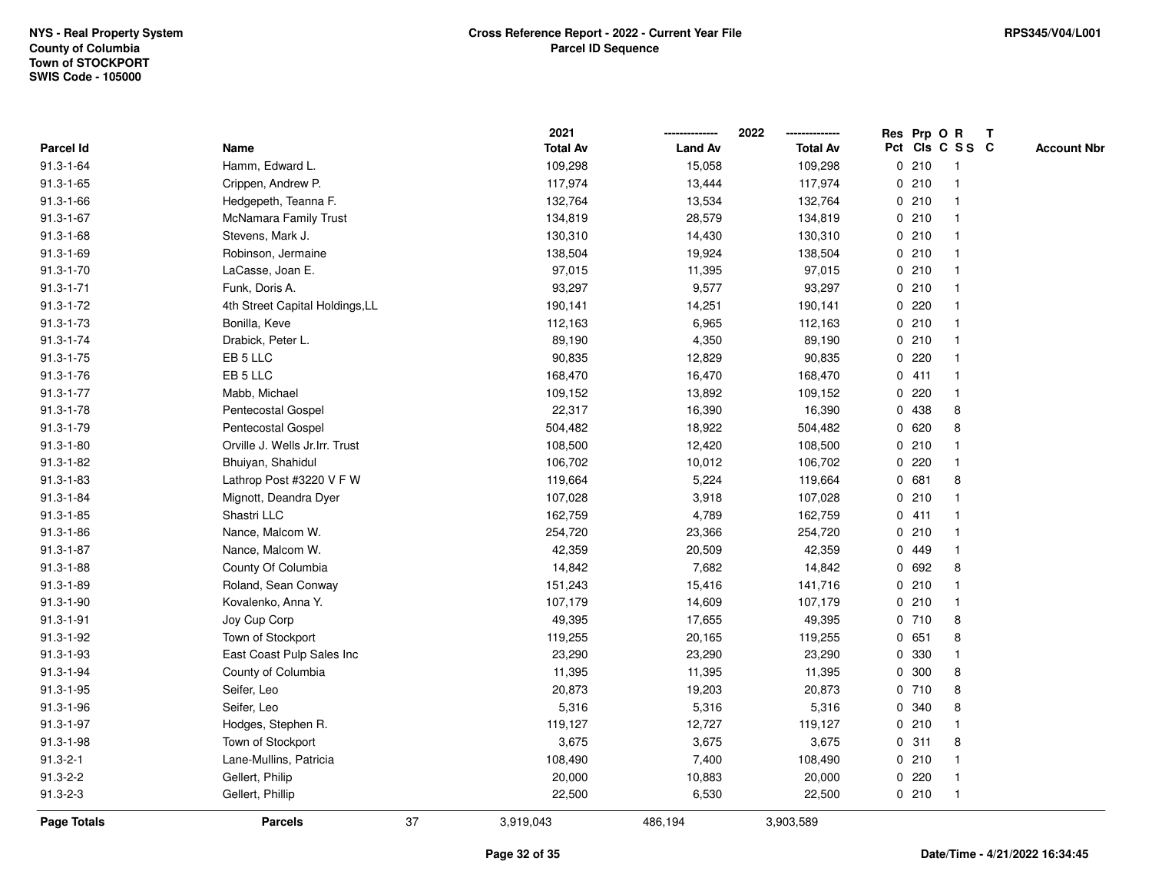|                 |                                 |    | 2021            |                | 2022            |             |         | Res Prp O R     | $\mathbf{T}$ |                    |
|-----------------|---------------------------------|----|-----------------|----------------|-----------------|-------------|---------|-----------------|--------------|--------------------|
| Parcel Id       | Name                            |    | <b>Total Av</b> | <b>Land Av</b> | <b>Total Av</b> |             |         | Pct Cls C S S C |              | <b>Account Nbr</b> |
| $91.3 - 1 - 64$ | Hamm, Edward L.                 |    | 109,298         | 15,058         | 109,298         |             | 0210    |                 |              |                    |
| $91.3 - 1 - 65$ | Crippen, Andrew P.              |    | 117,974         | 13,444         | 117,974         |             | 0210    |                 |              |                    |
| $91.3 - 1 - 66$ | Hedgepeth, Teanna F.            |    | 132,764         | 13,534         | 132,764         |             | 0210    |                 |              |                    |
| $91.3 - 1 - 67$ | <b>McNamara Family Trust</b>    |    | 134,819         | 28,579         | 134,819         |             | 0210    | -1              |              |                    |
| $91.3 - 1 - 68$ | Stevens, Mark J.                |    | 130,310         | 14,430         | 130,310         |             | 0210    | $\mathbf 1$     |              |                    |
| 91.3-1-69       | Robinson, Jermaine              |    | 138,504         | 19,924         | 138,504         |             | 0210    | -1              |              |                    |
| $91.3 - 1 - 70$ | LaCasse, Joan E.                |    | 97,015          | 11,395         | 97,015          |             | 0210    |                 |              |                    |
| $91.3 - 1 - 71$ | Funk, Doris A.                  |    | 93,297          | 9,577          | 93,297          |             | 0210    |                 |              |                    |
| $91.3 - 1 - 72$ | 4th Street Capital Holdings, LL |    | 190,141         | 14,251         | 190,141         |             | 0.220   |                 |              |                    |
| $91.3 - 1 - 73$ | Bonilla, Keve                   |    | 112,163         | 6,965          | 112,163         |             | 0210    |                 |              |                    |
| $91.3 - 1 - 74$ | Drabick, Peter L.               |    | 89,190          | 4,350          | 89,190          |             | 0210    | $\mathbf 1$     |              |                    |
| $91.3 - 1 - 75$ | EB 5 LLC                        |    | 90,835          | 12,829         | 90,835          | $\mathbf 0$ | 220     |                 |              |                    |
| $91.3 - 1 - 76$ | EB 5 LLC                        |    | 168,470         | 16,470         | 168,470         |             | 0411    | -1              |              |                    |
| $91.3 - 1 - 77$ | Mabb, Michael                   |    | 109,152         | 13,892         | 109,152         |             | 0.220   |                 |              |                    |
| $91.3 - 1 - 78$ | Pentecostal Gospel              |    | 22,317          | 16,390         | 16,390          | 0           | 438     | 8               |              |                    |
| 91.3-1-79       | Pentecostal Gospel              |    | 504,482         | 18,922         | 504,482         | 0           | 620     | 8               |              |                    |
| $91.3 - 1 - 80$ | Orville J. Wells Jr.Irr. Trust  |    | 108,500         | 12,420         | 108,500         | $\mathbf 0$ | 210     |                 |              |                    |
| $91.3 - 1 - 82$ | Bhuiyan, Shahidul               |    | 106,702         | 10,012         | 106,702         | 0           | 220     | $\mathbf 1$     |              |                    |
| $91.3 - 1 - 83$ | Lathrop Post #3220 V F W        |    | 119,664         | 5,224          | 119,664         |             | 0 681   | 8               |              |                    |
| $91.3 - 1 - 84$ | Mignott, Deandra Dyer           |    | 107,028         | 3,918          | 107,028         |             | 0210    |                 |              |                    |
| $91.3 - 1 - 85$ | Shastri LLC                     |    | 162,759         | 4,789          | 162,759         |             | 0411    |                 |              |                    |
| $91.3 - 1 - 86$ | Nance, Malcom W.                |    | 254,720         | 23,366         | 254,720         |             | 0210    |                 |              |                    |
| $91.3 - 1 - 87$ | Nance, Malcom W.                |    | 42,359          | 20,509         | 42,359          |             | 0 449   |                 |              |                    |
| $91.3 - 1 - 88$ | County Of Columbia              |    | 14,842          | 7,682          | 14,842          | $\mathbf 0$ | 692     | 8               |              |                    |
| $91.3 - 1 - 89$ | Roland, Sean Conway             |    | 151,243         | 15,416         | 141,716         |             | 0210    |                 |              |                    |
| $91.3 - 1 - 90$ | Kovalenko, Anna Y.              |    | 107,179         | 14,609         | 107,179         |             | 0210    | $\mathbf 1$     |              |                    |
| $91.3 - 1 - 91$ | Joy Cup Corp                    |    | 49,395          | 17,655         | 49,395          |             | 0710    | 8               |              |                    |
| 91.3-1-92       | Town of Stockport               |    | 119,255         | 20,165         | 119,255         |             | 0 651   | 8               |              |                    |
| 91.3-1-93       | East Coast Pulp Sales Inc       |    | 23,290          | 23,290         | 23,290          |             | 0 330   |                 |              |                    |
| 91.3-1-94       | County of Columbia              |    | 11,395          | 11,395         | 11,395          | 0           | 300     | 8               |              |                    |
| $91.3 - 1 - 95$ | Seifer, Leo                     |    | 20,873          | 19,203         | 20,873          |             | 0710    | 8               |              |                    |
| $91.3 - 1 - 96$ | Seifer, Leo                     |    | 5,316           | 5,316          | 5,316           |             | 0 340   | 8               |              |                    |
| 91.3-1-97       | Hodges, Stephen R.              |    | 119,127         | 12,727         | 119,127         |             | 0210    |                 |              |                    |
| 91.3-1-98       | Town of Stockport               |    | 3,675           | 3,675          | 3,675           |             | 0.311   | 8               |              |                    |
| $91.3 - 2 - 1$  | Lane-Mullins, Patricia          |    | 108,490         | 7,400          | 108,490         |             | 0210    |                 |              |                    |
| $91.3 - 2 - 2$  | Gellert, Philip                 |    | 20,000          | 10,883         | 20,000          |             | $0$ 220 | -1              |              |                    |
| $91.3 - 2 - 3$  | Gellert, Phillip                |    | 22,500          | 6,530          | 22,500          |             | 0210    | $\mathbf 1$     |              |                    |
| Page Totals     | <b>Parcels</b>                  | 37 | 3,919,043       | 486,194        | 3,903,589       |             |         |                 |              |                    |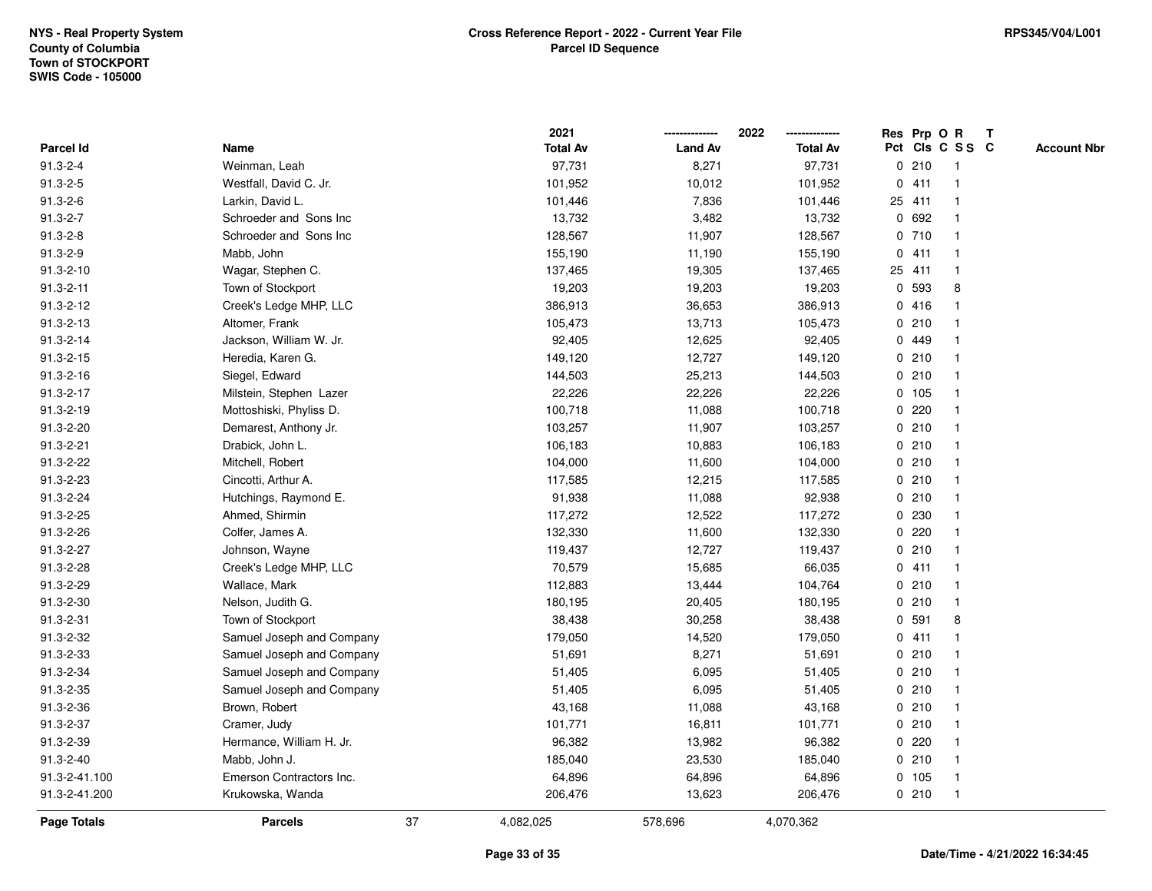|                 |                           |    | 2021            |                | 2022            |   |        | Res Prp O R     | T |                    |
|-----------------|---------------------------|----|-----------------|----------------|-----------------|---|--------|-----------------|---|--------------------|
| Parcel Id       | Name                      |    | <b>Total Av</b> | <b>Land Av</b> | <b>Total Av</b> |   |        | Pct Cls C S S C |   | <b>Account Nbr</b> |
| $91.3 - 2 - 4$  | Weinman, Leah             |    | 97,731          | 8,271          | 97,731          | 0 | 210    | $\mathbf{1}$    |   |                    |
| $91.3 - 2 - 5$  | Westfall, David C. Jr.    |    | 101,952         | 10,012         | 101,952         |   | 0411   | $\mathbf{1}$    |   |                    |
| $91.3 - 2 - 6$  | Larkin, David L.          |    | 101,446         | 7,836          | 101,446         |   | 25 411 | $\mathbf{1}$    |   |                    |
| $91.3 - 2 - 7$  | Schroeder and Sons Inc    |    | 13,732          | 3,482          | 13,732          |   | 0 692  |                 |   |                    |
| $91.3 - 2 - 8$  | Schroeder and Sons Inc    |    | 128,567         | 11,907         | 128,567         |   | 0710   |                 |   |                    |
| $91.3 - 2 - 9$  | Mabb, John                |    | 155,190         | 11,190         | 155,190         |   | 0411   |                 |   |                    |
| $91.3 - 2 - 10$ | Wagar, Stephen C.         |    | 137,465         | 19,305         | 137,465         |   | 25 411 | $\mathbf{1}$    |   |                    |
| $91.3 - 2 - 11$ | Town of Stockport         |    | 19,203          | 19,203         | 19,203          | 0 | 593    | 8               |   |                    |
| $91.3 - 2 - 12$ | Creek's Ledge MHP, LLC    |    | 386,913         | 36,653         | 386,913         |   | 0416   |                 |   |                    |
| 91.3-2-13       | Altomer, Frank            |    | 105,473         | 13,713         | 105,473         |   | 0210   |                 |   |                    |
| 91.3-2-14       | Jackson, William W. Jr.   |    | 92,405          | 12,625         | 92,405          |   | 0 449  |                 |   |                    |
| 91.3-2-15       | Heredia, Karen G.         |    | 149,120         | 12,727         | 149,120         |   | 0210   |                 |   |                    |
| 91.3-2-16       | Siegel, Edward            |    | 144,503         | 25,213         | 144,503         |   | 0210   |                 |   |                    |
| 91.3-2-17       | Milstein, Stephen Lazer   |    | 22,226          | 22,226         | 22,226          |   | 0, 105 |                 |   |                    |
| 91.3-2-19       | Mottoshiski, Phyliss D.   |    | 100,718         | 11,088         | 100,718         | 0 | 220    |                 |   |                    |
| 91.3-2-20       | Demarest, Anthony Jr.     |    | 103,257         | 11,907         | 103,257         |   | 0210   | $\mathbf{1}$    |   |                    |
| 91.3-2-21       | Drabick, John L.          |    | 106,183         | 10,883         | 106,183         |   | 0210   | $\mathbf{1}$    |   |                    |
| 91.3-2-22       | Mitchell, Robert          |    | 104,000         | 11,600         | 104,000         |   | 0210   |                 |   |                    |
| 91.3-2-23       | Cincotti, Arthur A.       |    | 117,585         | 12,215         | 117,585         |   | 0210   |                 |   |                    |
| 91.3-2-24       | Hutchings, Raymond E.     |    | 91,938          | 11,088         | 92,938          |   | 0210   |                 |   |                    |
| 91.3-2-25       | Ahmed, Shirmin            |    | 117,272         | 12,522         | 117,272         |   | 0 230  |                 |   |                    |
| 91.3-2-26       | Colfer, James A.          |    | 132,330         | 11,600         | 132,330         |   | 0220   |                 |   |                    |
| 91.3-2-27       | Johnson, Wayne            |    | 119,437         | 12,727         | 119,437         |   | 0210   | $\mathbf{1}$    |   |                    |
| 91.3-2-28       | Creek's Ledge MHP, LLC    |    | 70,579          | 15,685         | 66,035          |   | 0411   | $\mathbf{1}$    |   |                    |
| 91.3-2-29       | Wallace, Mark             |    | 112,883         | 13,444         | 104,764         |   | 0210   | $\mathbf 1$     |   |                    |
| 91.3-2-30       | Nelson, Judith G.         |    | 180,195         | 20,405         | 180,195         |   | 0210   |                 |   |                    |
| 91.3-2-31       | Town of Stockport         |    | 38,438          | 30,258         | 38,438          |   | 0 591  | 8               |   |                    |
| 91.3-2-32       | Samuel Joseph and Company |    | 179,050         | 14,520         | 179,050         |   | 0411   |                 |   |                    |
| 91.3-2-33       | Samuel Joseph and Company |    | 51,691          | 8,271          | 51,691          |   | 0210   |                 |   |                    |
| 91.3-2-34       | Samuel Joseph and Company |    | 51,405          | 6,095          | 51,405          |   | 0210   | -1              |   |                    |
| 91.3-2-35       | Samuel Joseph and Company |    | 51,405          | 6,095          | 51,405          |   | 0210   | -1              |   |                    |
| 91.3-2-36       | Brown, Robert             |    | 43,168          | 11,088         | 43,168          |   | 0210   | $\mathbf 1$     |   |                    |
| 91.3-2-37       | Cramer, Judy              |    | 101,771         | 16,811         | 101,771         |   | 0210   |                 |   |                    |
| 91.3-2-39       | Hermance, William H. Jr.  |    | 96,382          | 13,982         | 96,382          |   | 0.220  |                 |   |                    |
| 91.3-2-40       | Mabb, John J.             |    | 185,040         | 23,530         | 185,040         |   | 0210   | $\mathbf{1}$    |   |                    |
| 91.3-2-41.100   | Emerson Contractors Inc.  |    | 64,896          | 64,896         | 64,896          |   | 0 105  | -1              |   |                    |
| 91.3-2-41.200   | Krukowska, Wanda          |    | 206,476         | 13,623         | 206,476         |   | 0210   | $\mathbf{1}$    |   |                    |
| Page Totals     | <b>Parcels</b>            | 37 | 4,082,025       | 578,696        | 4,070,362       |   |        |                 |   |                    |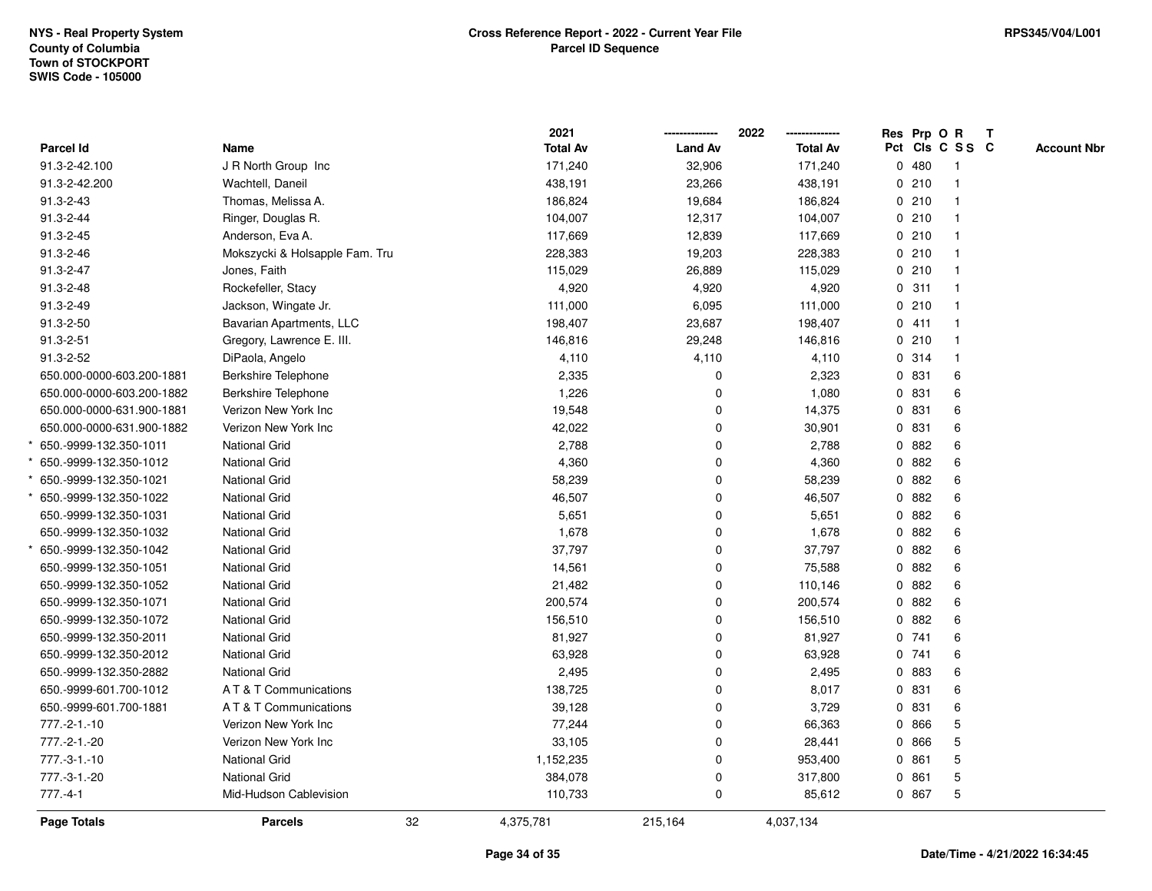|                           |                                | 2021            |                | 2022            |              | Res Prp O R     |              | $\mathbf{T}$ |                    |
|---------------------------|--------------------------------|-----------------|----------------|-----------------|--------------|-----------------|--------------|--------------|--------------------|
| <b>Parcel Id</b>          | Name                           | <b>Total Av</b> | <b>Land Av</b> | <b>Total Av</b> |              | Pct Cls C S S C |              |              | <b>Account Nbr</b> |
| 91.3-2-42.100             | J R North Group Inc            | 171,240         | 32,906         | 171,240         |              | 0480            | -1           |              |                    |
| 91.3-2-42.200             | Wachtell, Daneil               | 438,191         | 23,266         | 438,191         |              | 0210            |              |              |                    |
| 91.3-2-43                 | Thomas, Melissa A.             | 186,824         | 19,684         | 186,824         |              | 0210            | $\mathbf{1}$ |              |                    |
| 91.3-2-44                 | Ringer, Douglas R.             | 104,007         | 12,317         | 104,007         |              | 0210            | $\mathbf{1}$ |              |                    |
| 91.3-2-45                 | Anderson, Eva A.               | 117,669         | 12,839         | 117,669         |              | 0210            | $\mathbf{1}$ |              |                    |
| 91.3-2-46                 | Mokszycki & Holsapple Fam. Tru | 228,383         | 19,203         | 228,383         |              | 0210            | $\mathbf{1}$ |              |                    |
| 91.3-2-47                 | Jones, Faith                   | 115,029         | 26,889         | 115,029         |              | 0210            | $\mathbf 1$  |              |                    |
| 91.3-2-48                 | Rockefeller, Stacy             | 4,920           | 4,920          | 4,920           |              | 0.311           |              |              |                    |
| 91.3-2-49                 | Jackson, Wingate Jr.           | 111,000         | 6,095          | 111,000         |              | 0210            | $\mathbf{1}$ |              |                    |
| 91.3-2-50                 | Bavarian Apartments, LLC       | 198,407         | 23,687         | 198,407         |              | 0411            | $\mathbf{1}$ |              |                    |
| $91.3 - 2 - 51$           | Gregory, Lawrence E. III.      | 146,816         | 29,248         | 146,816         |              | 0210            | $\mathbf{1}$ |              |                    |
| 91.3-2-52                 | DiPaola, Angelo                | 4,110           | 4,110          | 4,110           |              | 0.314           | $\mathbf{1}$ |              |                    |
| 650.000-0000-603.200-1881 | <b>Berkshire Telephone</b>     | 2,335           | 0              | 2,323           |              | 0 831           | 6            |              |                    |
| 650.000-0000-603.200-1882 | <b>Berkshire Telephone</b>     | 1,226           | 0              | 1,080           |              | 0 831           | 6            |              |                    |
| 650.000-0000-631.900-1881 | Verizon New York Inc           | 19,548          | 0              | 14,375          |              | 0 831           | 6            |              |                    |
| 650.000-0000-631.900-1882 | Verizon New York Inc           | 42,022          | 0              | 30,901          |              | 0831            | 6            |              |                    |
| 650.-9999-132.350-1011    | <b>National Grid</b>           | 2,788           | 0              | 2,788           | 0            | 882             | 6            |              |                    |
| 650.-9999-132.350-1012    | <b>National Grid</b>           | 4,360           | 0              | 4,360           | 0            | 882             | 6            |              |                    |
| 650.-9999-132.350-1021    | <b>National Grid</b>           | 58,239          | 0              | 58,239          |              | 0.882           | 6            |              |                    |
| 650.-9999-132.350-1022    | <b>National Grid</b>           | 46,507          | 0              | 46,507          |              | 0882            | 6            |              |                    |
| 650.-9999-132.350-1031    | <b>National Grid</b>           | 5,651           | 0              | 5,651           |              | 0882            | 6            |              |                    |
| 650.-9999-132.350-1032    | <b>National Grid</b>           | 1,678           | 0              | 1,678           |              | 0882            | 6            |              |                    |
| 650.-9999-132.350-1042    | <b>National Grid</b>           | 37,797          | 0              | 37,797          |              | 0882            | 6            |              |                    |
| 650.-9999-132.350-1051    | <b>National Grid</b>           | 14,561          | 0              | 75,588          | $\mathbf{0}$ | 882             | 6            |              |                    |
| 650.-9999-132.350-1052    | <b>National Grid</b>           | 21,482          | 0              | 110,146         |              | 0 882           | 6            |              |                    |
| 650.-9999-132.350-1071    | <b>National Grid</b>           | 200,574         | 0              | 200,574         |              | 0.882           | 6            |              |                    |
| 650.-9999-132.350-1072    | <b>National Grid</b>           | 156,510         | 0              | 156,510         |              | 0882            | 6            |              |                    |
| 650.-9999-132.350-2011    | <b>National Grid</b>           | 81,927          | 0              | 81,927          |              | 0.741           | 6            |              |                    |
| 650.-9999-132.350-2012    | <b>National Grid</b>           | 63,928          | 0              | 63,928          |              | 0.741           | 6            |              |                    |
| 650.-9999-132.350-2882    | <b>National Grid</b>           | 2,495           | 0              | 2,495           |              | 0 883           | 6            |              |                    |
| 650.-9999-601.700-1012    | A T & T Communications         | 138,725         | 0              | 8,017           | 0            | 831             | 6            |              |                    |
| 650.-9999-601.700-1881    | A T & T Communications         | 39,128          | 0              | 3,729           |              | 0 831           | 6            |              |                    |
| $777.-2-1.-10$            | Verizon New York Inc           | 77,244          | 0              | 66,363          |              | 0 866           | 5            |              |                    |
| 777.-2-1.-20              | Verizon New York Inc           | 33,105          | 0              | 28,441          |              | 0 866           | 5            |              |                    |
| 777.-3-1.-10              | <b>National Grid</b>           | 1,152,235       | 0              | 953,400         |              | 0861            | 5            |              |                    |
| 777.-3-1.-20              | National Grid                  | 384,078         | 0              | 317,800         |              | 0 861           | 5            |              |                    |
| $777.-4-1$                | Mid-Hudson Cablevision         | 110,733         | 0              | 85,612          |              | 0 867           | 5            |              |                    |
| Page Totals               | <b>Parcels</b>                 | 32<br>4,375,781 | 215,164        | 4,037,134       |              |                 |              |              |                    |